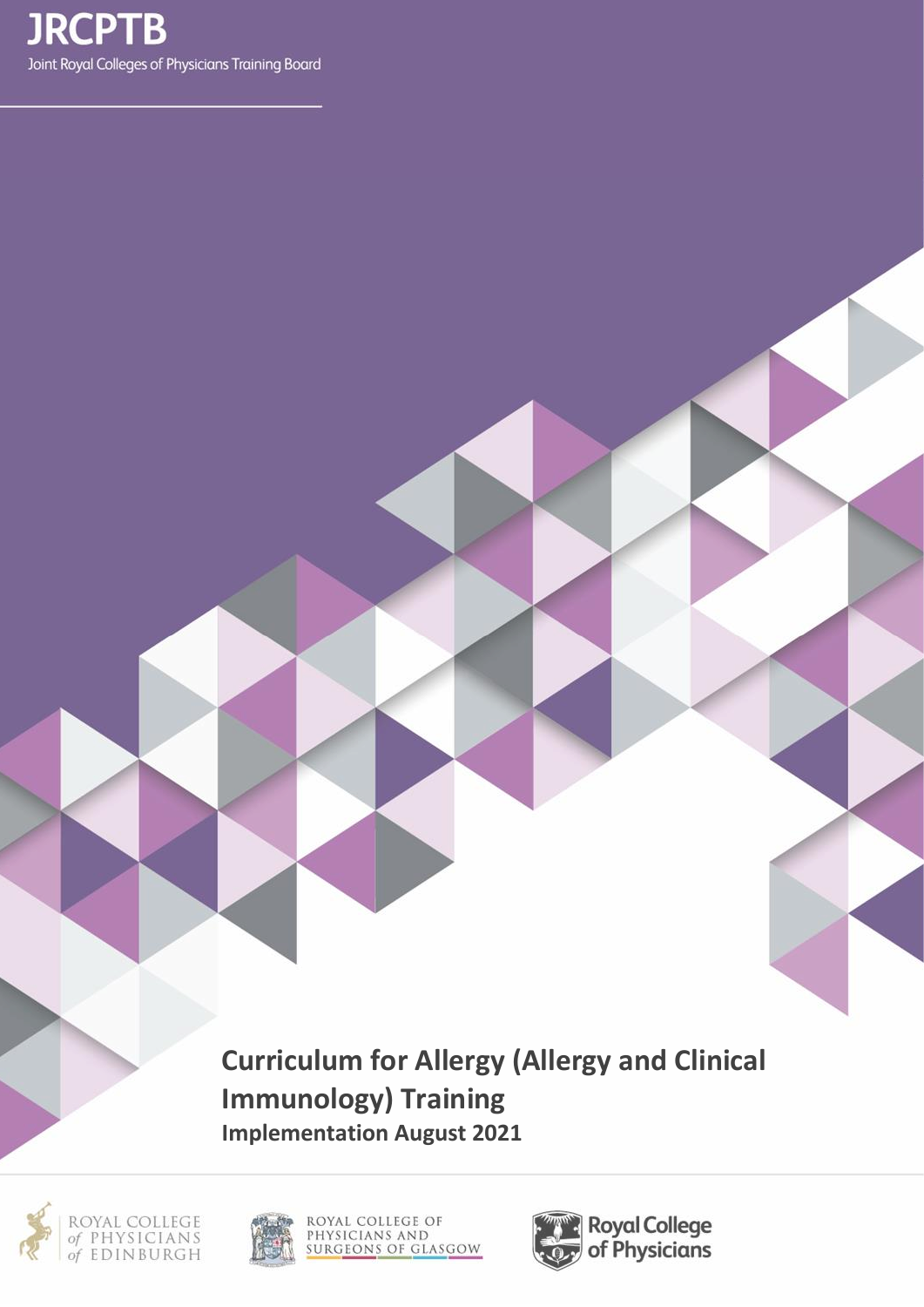**Curriculum for Allergy (Allergy and Clinical Immunology) Training Implementation August 2021**





ROYAL COLLEGE OF<br>PHYSICIANS AND<br>SURGEONS OF GLASGOW

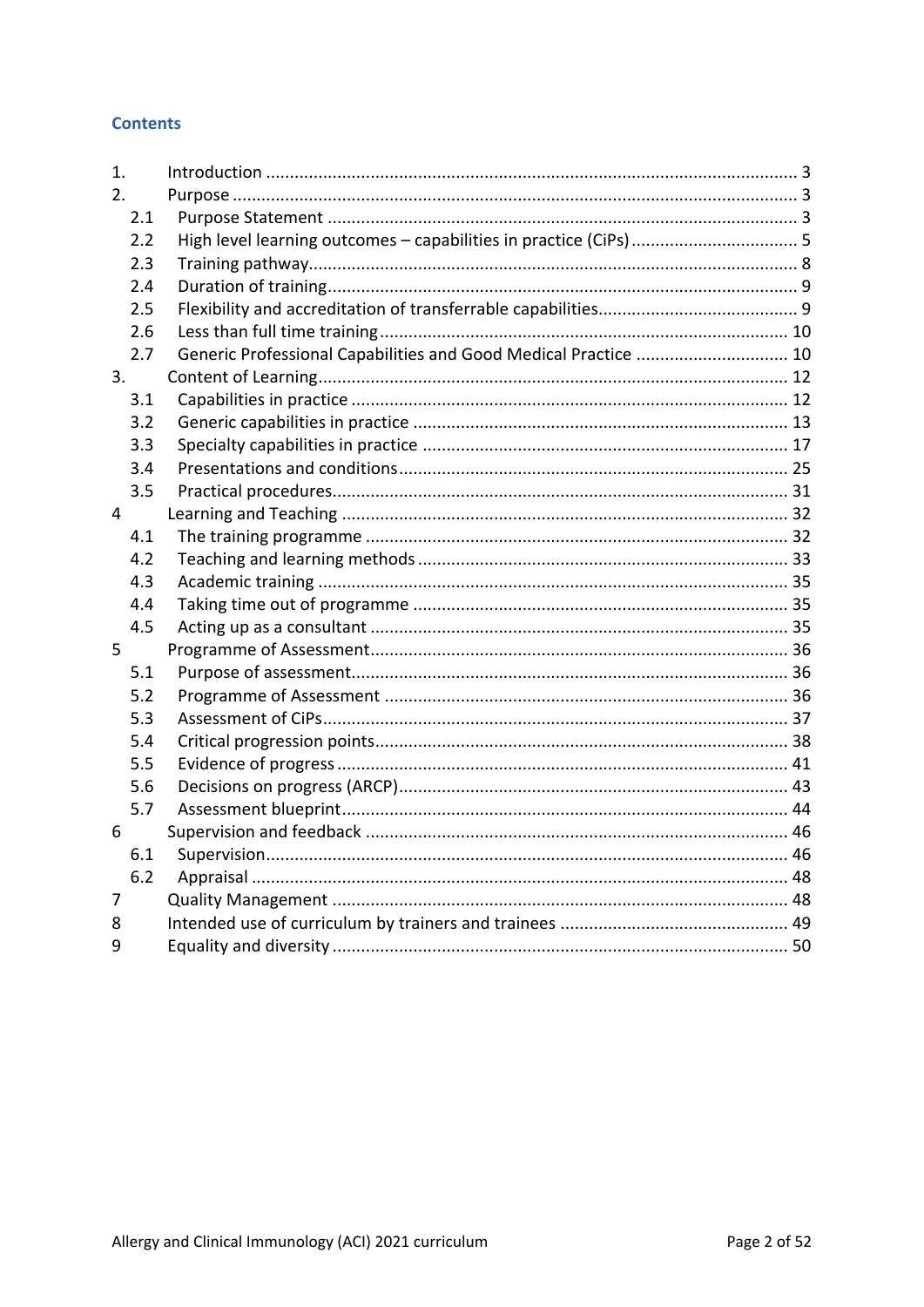## **Contents**

| 1.             |                                                                   |
|----------------|-------------------------------------------------------------------|
| 2.             |                                                                   |
| 2.1            |                                                                   |
| 2.2            | High level learning outcomes - capabilities in practice (CiPs)  5 |
| 2.3            |                                                                   |
| 2.4            |                                                                   |
| 2.5            |                                                                   |
| 2.6            |                                                                   |
| 2.7            | Generic Professional Capabilities and Good Medical Practice  10   |
| 3.             |                                                                   |
| 3.1            |                                                                   |
| 3.2            |                                                                   |
| 3.3            |                                                                   |
| 3.4            |                                                                   |
| 3.5            |                                                                   |
| $\overline{4}$ |                                                                   |
| 4.1            |                                                                   |
| 4.2            |                                                                   |
| 4.3            |                                                                   |
| 4.4            |                                                                   |
| 4.5            |                                                                   |
| 5              |                                                                   |
| 5.1            |                                                                   |
| 5.2            |                                                                   |
| 5.3            |                                                                   |
| 5.4            |                                                                   |
| 5.5            |                                                                   |
| 5.6            |                                                                   |
| 5.7            |                                                                   |
| 6              |                                                                   |
| 6.1            |                                                                   |
| 6.2            |                                                                   |
| 7              |                                                                   |
| 8              |                                                                   |
| 9              |                                                                   |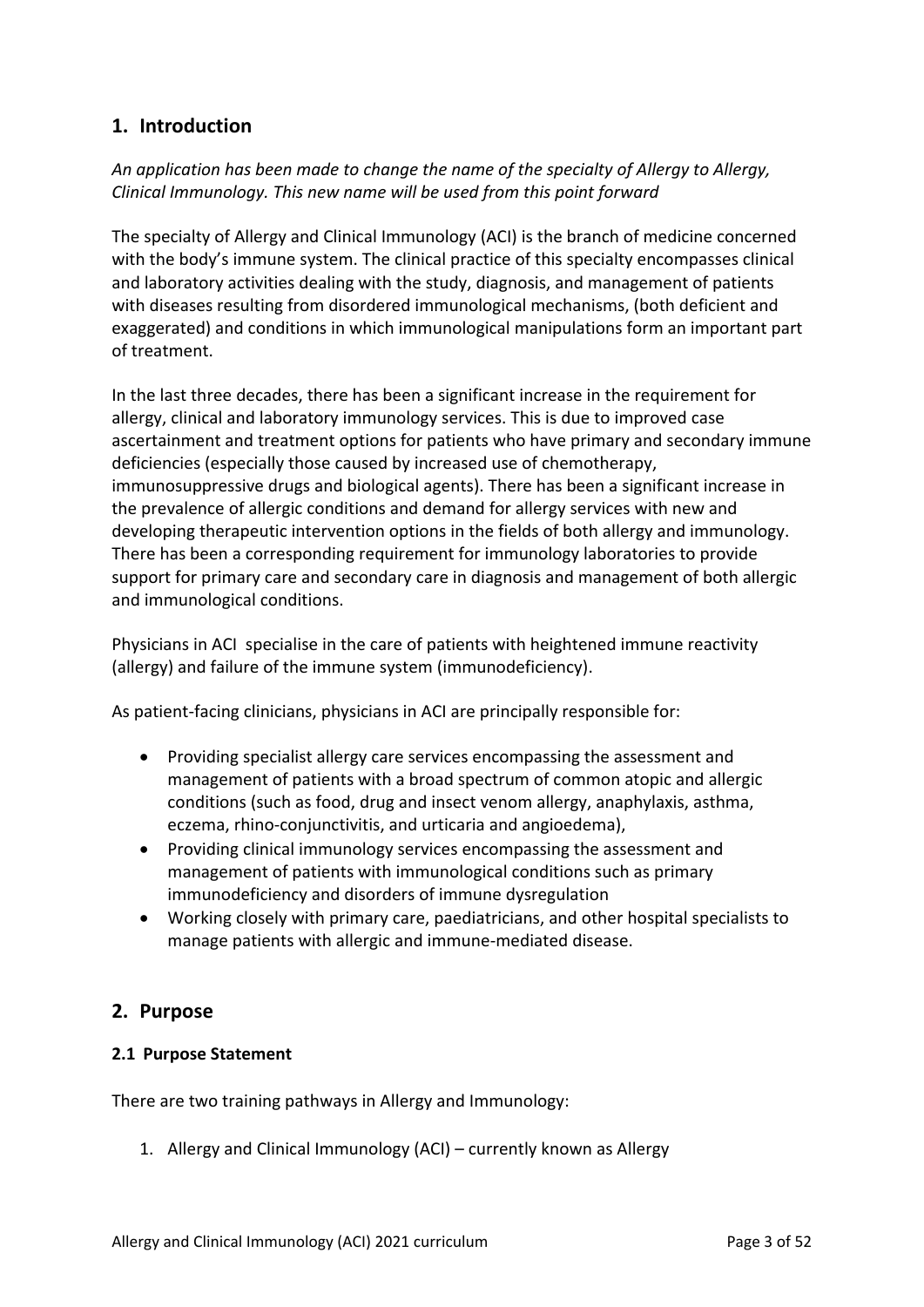# <span id="page-2-0"></span>**1. Introduction**

*An application has been made to change the name of the specialty of Allergy to Allergy, Clinical Immunology. This new name will be used from this point forward*

The specialty of Allergy and Clinical Immunology (ACI) is the branch of medicine concerned with the body's immune system. The clinical practice of this specialty encompasses clinical and laboratory activities dealing with the study, diagnosis, and management of patients with diseases resulting from disordered immunological mechanisms, (both deficient and exaggerated) and conditions in which immunological manipulations form an important part of treatment.

In the last three decades, there has been a significant increase in the requirement for allergy, clinical and laboratory immunology services. This is due to improved case ascertainment and treatment options for patients who have primary and secondary immune deficiencies (especially those caused by increased use of chemotherapy, immunosuppressive drugs and biological agents). There has been a significant increase in the prevalence of allergic conditions and demand for allergy services with new and developing therapeutic intervention options in the fields of both allergy and immunology. There has been a corresponding requirement for immunology laboratories to provide support for primary care and secondary care in diagnosis and management of both allergic and immunological conditions.

Physicians in ACI specialise in the care of patients with heightened immune reactivity (allergy) and failure of the immune system (immunodeficiency).

As patient-facing clinicians, physicians in ACI are principally responsible for:

- Providing specialist allergy care services encompassing the assessment and management of patients with a broad spectrum of common atopic and allergic conditions (such as food, drug and insect venom allergy, anaphylaxis, asthma, eczema, rhino-conjunctivitis, and urticaria and angioedema),
- Providing clinical immunology services encompassing the assessment and management of patients with immunological conditions such as primary immunodeficiency and disorders of immune dysregulation
- Working closely with primary care, paediatricians, and other hospital specialists to manage patients with allergic and immune-mediated disease.

## <span id="page-2-1"></span>**2. Purpose**

### <span id="page-2-2"></span>**2.1 Purpose Statement**

There are two training pathways in Allergy and Immunology:

1. Allergy and Clinical Immunology (ACI) – currently known as Allergy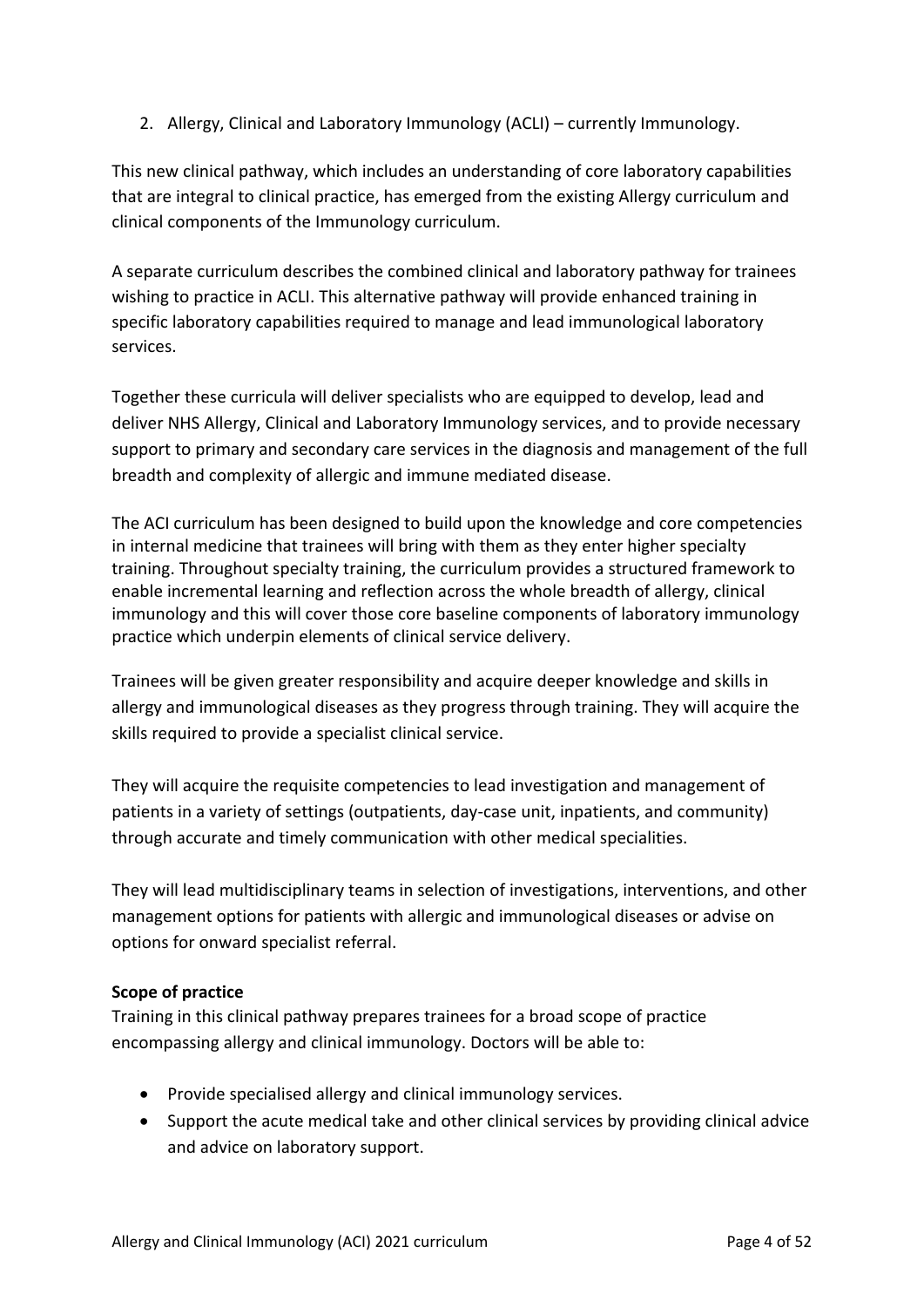2. Allergy, Clinical and Laboratory Immunology (ACLI) – currently Immunology.

This new clinical pathway, which includes an understanding of core laboratory capabilities that are integral to clinical practice, has emerged from the existing Allergy curriculum and clinical components of the Immunology curriculum.

A separate curriculum describes the combined clinical and laboratory pathway for trainees wishing to practice in ACLI. This alternative pathway will provide enhanced training in specific laboratory capabilities required to manage and lead immunological laboratory services.

Together these curricula will deliver specialists who are equipped to develop, lead and deliver NHS Allergy, Clinical and Laboratory Immunology services, and to provide necessary support to primary and secondary care services in the diagnosis and management of the full breadth and complexity of allergic and immune mediated disease.

The ACI curriculum has been designed to build upon the knowledge and core competencies in internal medicine that trainees will bring with them as they enter higher specialty training. Throughout specialty training, the curriculum provides a structured framework to enable incremental learning and reflection across the whole breadth of allergy, clinical immunology and this will cover those core baseline components of laboratory immunology practice which underpin elements of clinical service delivery.

Trainees will be given greater responsibility and acquire deeper knowledge and skills in allergy and immunological diseases as they progress through training. They will acquire the skills required to provide a specialist clinical service.

They will acquire the requisite competencies to lead investigation and management of patients in a variety of settings (outpatients, day-case unit, inpatients, and community) through accurate and timely communication with other medical specialities.

They will lead multidisciplinary teams in selection of investigations, interventions, and other management options for patients with allergic and immunological diseases or advise on options for onward specialist referral.

## **Scope of practice**

Training in this clinical pathway prepares trainees for a broad scope of practice encompassing allergy and clinical immunology. Doctors will be able to:

- Provide specialised allergy and clinical immunology services.
- Support the acute medical take and other clinical services by providing clinical advice and advice on laboratory support.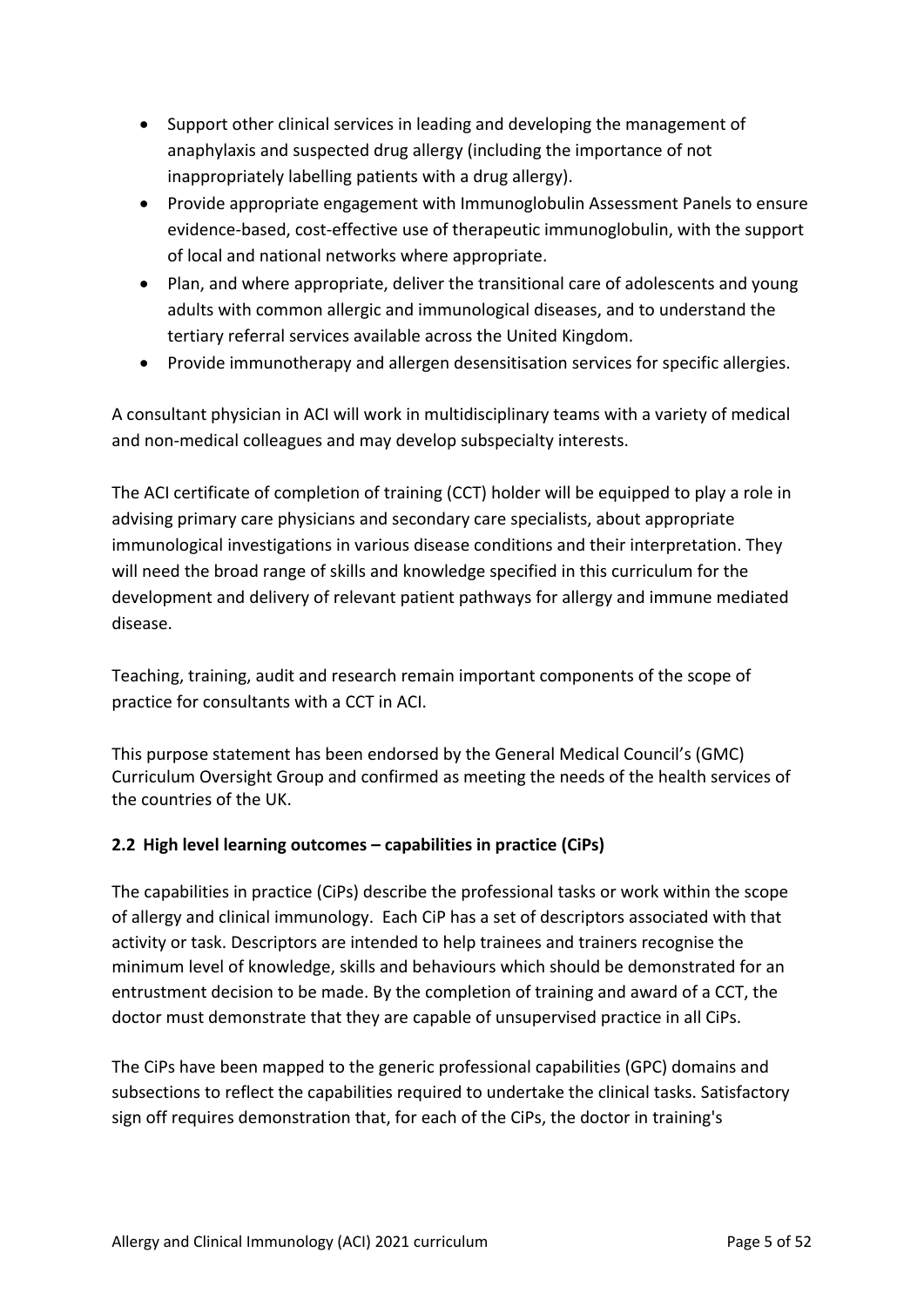- Support other clinical services in leading and developing the management of anaphylaxis and suspected drug allergy (including the importance of not inappropriately labelling patients with a drug allergy).
- Provide appropriate engagement with Immunoglobulin Assessment Panels to ensure evidence-based, cost-effective use of therapeutic immunoglobulin, with the support of local and national networks where appropriate.
- Plan, and where appropriate, deliver the transitional care of adolescents and young adults with common allergic and immunological diseases, and to understand the tertiary referral services available across the United Kingdom.
- Provide immunotherapy and allergen desensitisation services for specific allergies.

A consultant physician in ACI will work in multidisciplinary teams with a variety of medical and non-medical colleagues and may develop subspecialty interests.

The ACI certificate of completion of training (CCT) holder will be equipped to play a role in advising primary care physicians and secondary care specialists, about appropriate immunological investigations in various disease conditions and their interpretation. They will need the broad range of skills and knowledge specified in this curriculum for the development and delivery of relevant patient pathways for allergy and immune mediated disease.

Teaching, training, audit and research remain important components of the scope of practice for consultants with a CCT in ACI.

This purpose statement has been endorsed by the General Medical Council's (GMC) Curriculum Oversight Group and confirmed as meeting the needs of the health services of the countries of the UK.

## <span id="page-4-0"></span>**2.2 High level learning outcomes – capabilities in practice (CiPs)**

The capabilities in practice (CiPs) describe the professional tasks or work within the scope of allergy and clinical immunology. Each CiP has a set of descriptors associated with that activity or task. Descriptors are intended to help trainees and trainers recognise the minimum level of knowledge, skills and behaviours which should be demonstrated for an entrustment decision to be made. By the completion of training and award of a CCT, the doctor must demonstrate that they are capable of unsupervised practice in all CiPs.

The CiPs have been mapped to the generic professional capabilities (GPC) domains and subsections to reflect the capabilities required to undertake the clinical tasks. Satisfactory sign off requires demonstration that, for each of the CiPs, the doctor in training's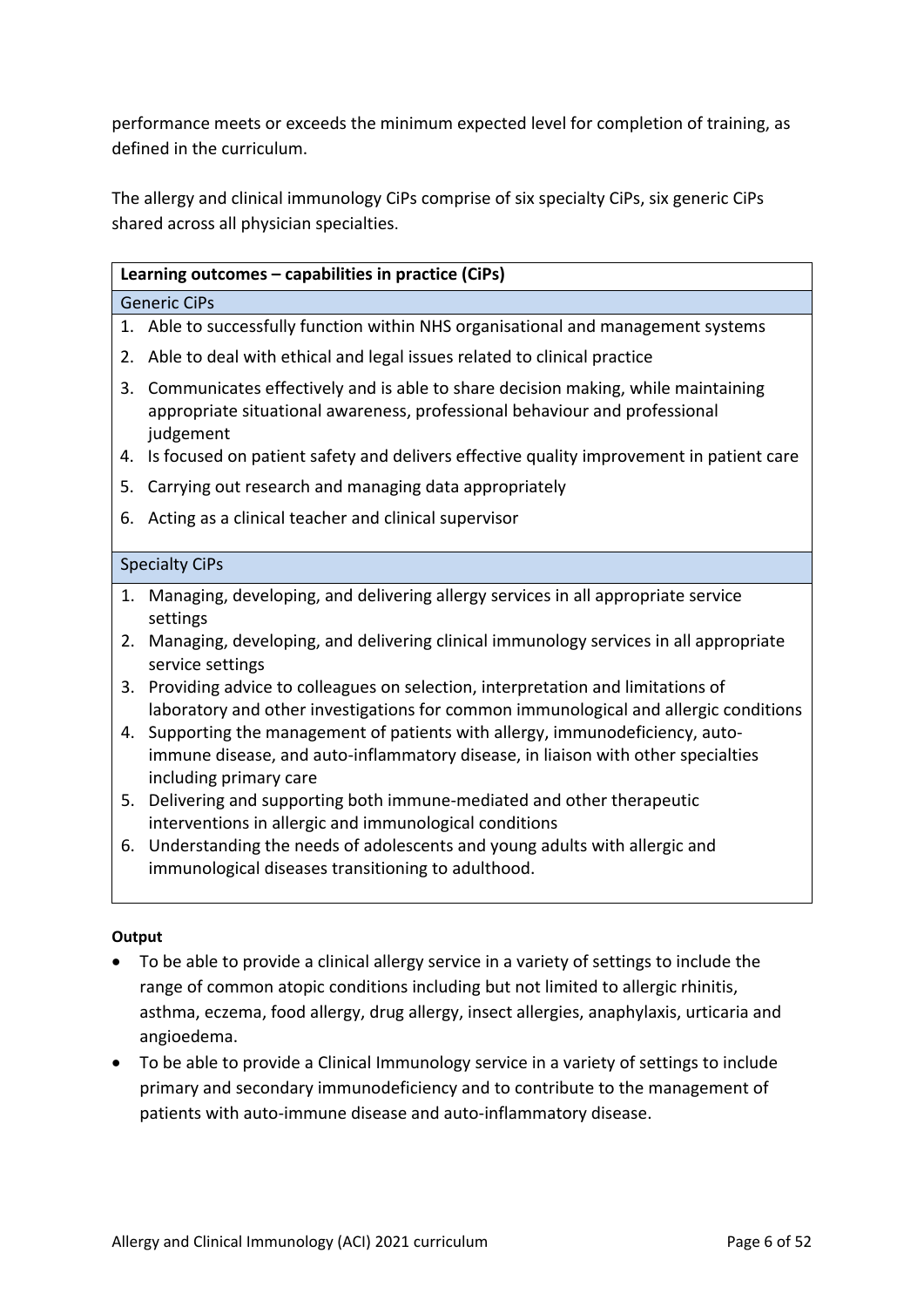performance meets or exceeds the minimum expected level for completion of training, as defined in the curriculum.

The allergy and clinical immunology CiPs comprise of six specialty CiPs, six generic CiPs shared across all physician specialties.

|                       | Learning outcomes - capabilities in practice (CiPs)                                                                                                                         |  |  |
|-----------------------|-----------------------------------------------------------------------------------------------------------------------------------------------------------------------------|--|--|
|                       | <b>Generic CiPs</b>                                                                                                                                                         |  |  |
|                       | 1. Able to successfully function within NHS organisational and management systems                                                                                           |  |  |
| 2.                    | Able to deal with ethical and legal issues related to clinical practice                                                                                                     |  |  |
| 3.                    | Communicates effectively and is able to share decision making, while maintaining<br>appropriate situational awareness, professional behaviour and professional<br>judgement |  |  |
| 4.                    | Is focused on patient safety and delivers effective quality improvement in patient care                                                                                     |  |  |
| 5.                    | Carrying out research and managing data appropriately                                                                                                                       |  |  |
| 6.                    | Acting as a clinical teacher and clinical supervisor                                                                                                                        |  |  |
| <b>Specialty CiPs</b> |                                                                                                                                                                             |  |  |
| 1.                    | Managing, developing, and delivering allergy services in all appropriate service<br>settings                                                                                |  |  |
| 2.                    | Managing, developing, and delivering clinical immunology services in all appropriate<br>service settings                                                                    |  |  |
| 3.                    | Providing advice to colleagues on selection, interpretation and limitations of<br>laboratory and other investigations for common immunological and allergic conditions      |  |  |
| 4.                    | Supporting the management of patients with allergy, immunodeficiency, auto-<br>immune disease, and auto-inflammatory disease, in liaison with other specialties             |  |  |

- d auto-inflammatory disease, in liaison with other specialties including primary care
- 5. Delivering and supporting both immune-mediated and other therapeutic interventions in allergic and immunological conditions
- 6. Understanding the needs of adolescents and young adults with allergic and immunological diseases transitioning to adulthood.

### **Output**

- To be able to provide a clinical allergy service in a variety of settings to include the range of common atopic conditions including but not limited to allergic rhinitis, asthma, eczema, food allergy, drug allergy, insect allergies, anaphylaxis, urticaria and angioedema.
- To be able to provide a Clinical Immunology service in a variety of settings to include primary and secondary immunodeficiency and to contribute to the management of patients with auto-immune disease and auto-inflammatory disease.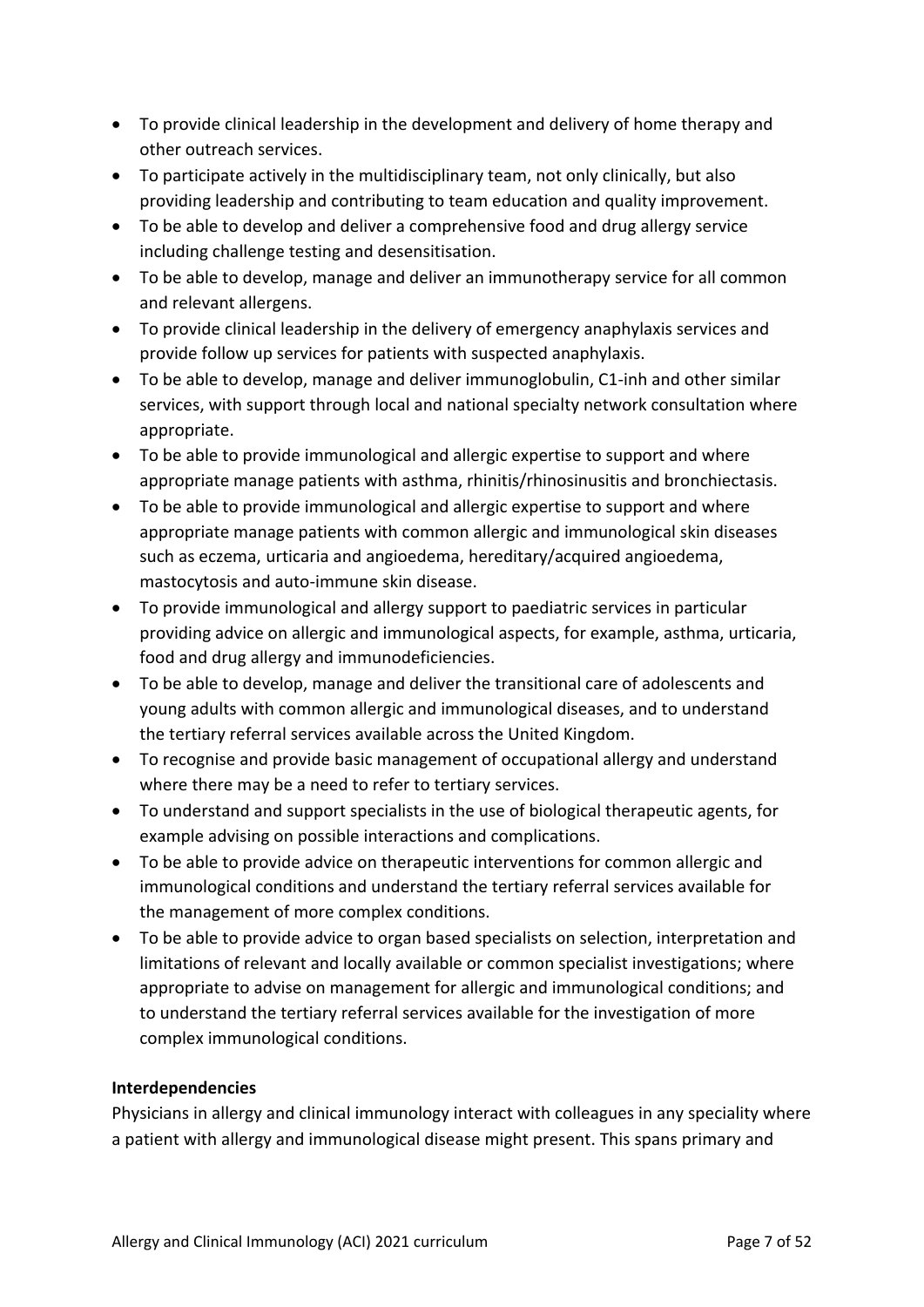- To provide clinical leadership in the development and delivery of home therapy and other outreach services.
- To participate actively in the multidisciplinary team, not only clinically, but also providing leadership and contributing to team education and quality improvement.
- To be able to develop and deliver a comprehensive food and drug allergy service including challenge testing and desensitisation.
- To be able to develop, manage and deliver an immunotherapy service for all common and relevant allergens.
- To provide clinical leadership in the delivery of emergency anaphylaxis services and provide follow up services for patients with suspected anaphylaxis.
- To be able to develop, manage and deliver immunoglobulin, C1-inh and other similar services, with support through local and national specialty network consultation where appropriate.
- To be able to provide immunological and allergic expertise to support and where appropriate manage patients with asthma, rhinitis/rhinosinusitis and bronchiectasis.
- To be able to provide immunological and allergic expertise to support and where appropriate manage patients with common allergic and immunological skin diseases such as eczema, urticaria and angioedema, hereditary/acquired angioedema, mastocytosis and auto-immune skin disease.
- To provide immunological and allergy support to paediatric services in particular providing advice on allergic and immunological aspects, for example, asthma, urticaria, food and drug allergy and immunodeficiencies.
- To be able to develop, manage and deliver the transitional care of adolescents and young adults with common allergic and immunological diseases, and to understand the tertiary referral services available across the United Kingdom.
- To recognise and provide basic management of occupational allergy and understand where there may be a need to refer to tertiary services.
- To understand and support specialists in the use of biological therapeutic agents, for example advising on possible interactions and complications.
- To be able to provide advice on therapeutic interventions for common allergic and immunological conditions and understand the tertiary referral services available for the management of more complex conditions.
- To be able to provide advice to organ based specialists on selection, interpretation and limitations of relevant and locally available or common specialist investigations; where appropriate to advise on management for allergic and immunological conditions; and to understand the tertiary referral services available for the investigation of more complex immunological conditions.

## **Interdependencies**

Physicians in allergy and clinical immunology interact with colleagues in any speciality where a patient with allergy and immunological disease might present. This spans primary and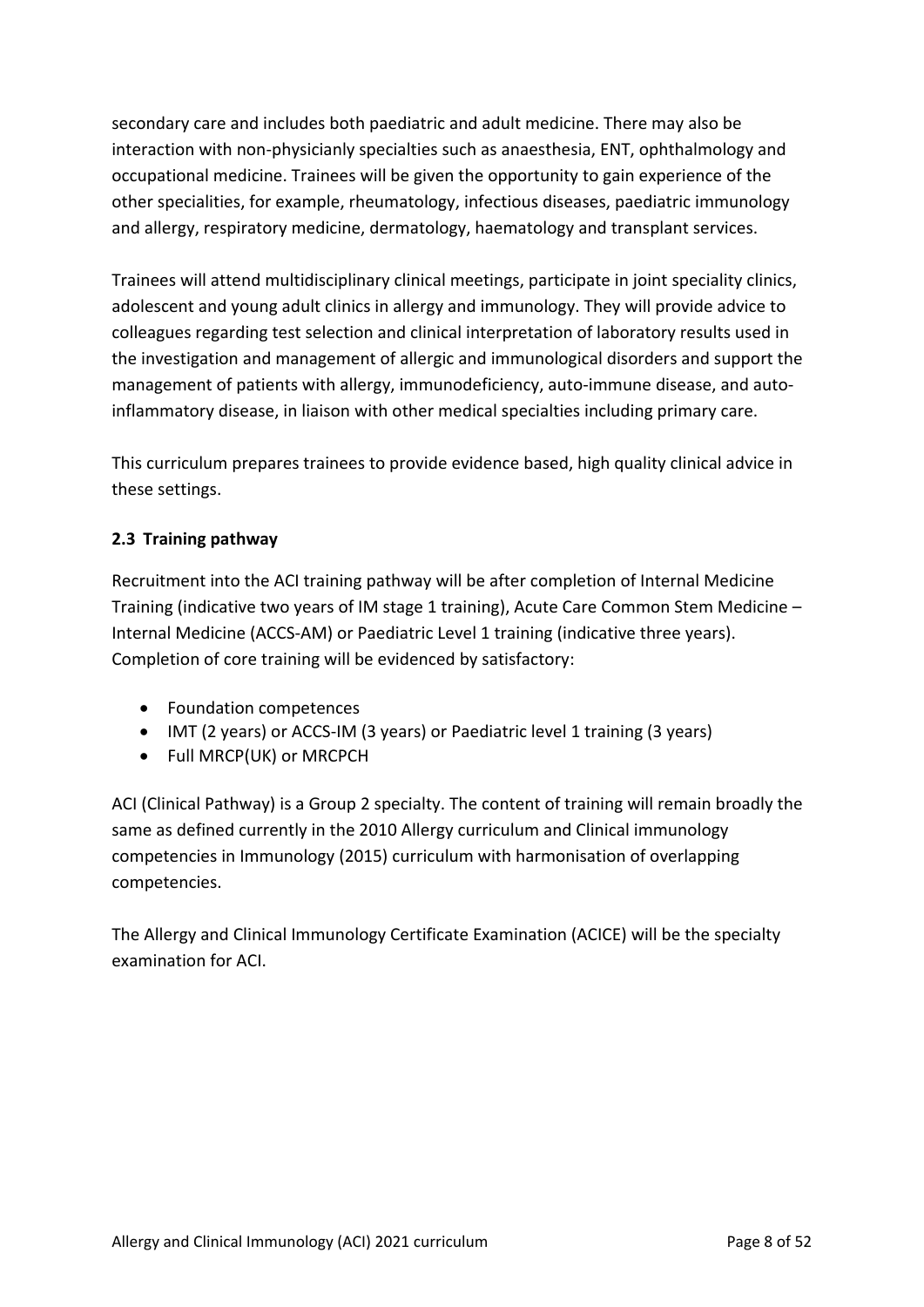secondary care and includes both paediatric and adult medicine. There may also be interaction with non-physicianly specialties such as anaesthesia, ENT, ophthalmology and occupational medicine. Trainees will be given the opportunity to gain experience of the other specialities, for example, rheumatology, infectious diseases, paediatric immunology and allergy, respiratory medicine, dermatology, haematology and transplant services.

Trainees will attend multidisciplinary clinical meetings, participate in joint speciality clinics, adolescent and young adult clinics in allergy and immunology. They will provide advice to colleagues regarding test selection and clinical interpretation of laboratory results used in the investigation and management of allergic and immunological disorders and support the management of patients with allergy, immunodeficiency, auto-immune disease, and autoinflammatory disease, in liaison with other medical specialties including primary care.

This curriculum prepares trainees to provide evidence based, high quality clinical advice in these settings.

## <span id="page-7-0"></span>**2.3 Training pathway**

Recruitment into the ACI training pathway will be after completion of Internal Medicine Training (indicative two years of IM stage 1 training), Acute Care Common Stem Medicine – Internal Medicine (ACCS-AM) or Paediatric Level 1 training (indicative three years). Completion of core training will be evidenced by satisfactory:

- Foundation competences
- IMT (2 years) or ACCS-IM (3 years) or Paediatric level 1 training (3 years)
- Full MRCP(UK) or MRCPCH

ACI (Clinical Pathway) is a Group 2 specialty. The content of training will remain broadly the same as defined currently in the 2010 Allergy curriculum and Clinical immunology competencies in Immunology (2015) curriculum with harmonisation of overlapping competencies.

The Allergy and Clinical Immunology Certificate Examination (ACICE) will be the specialty examination for ACI.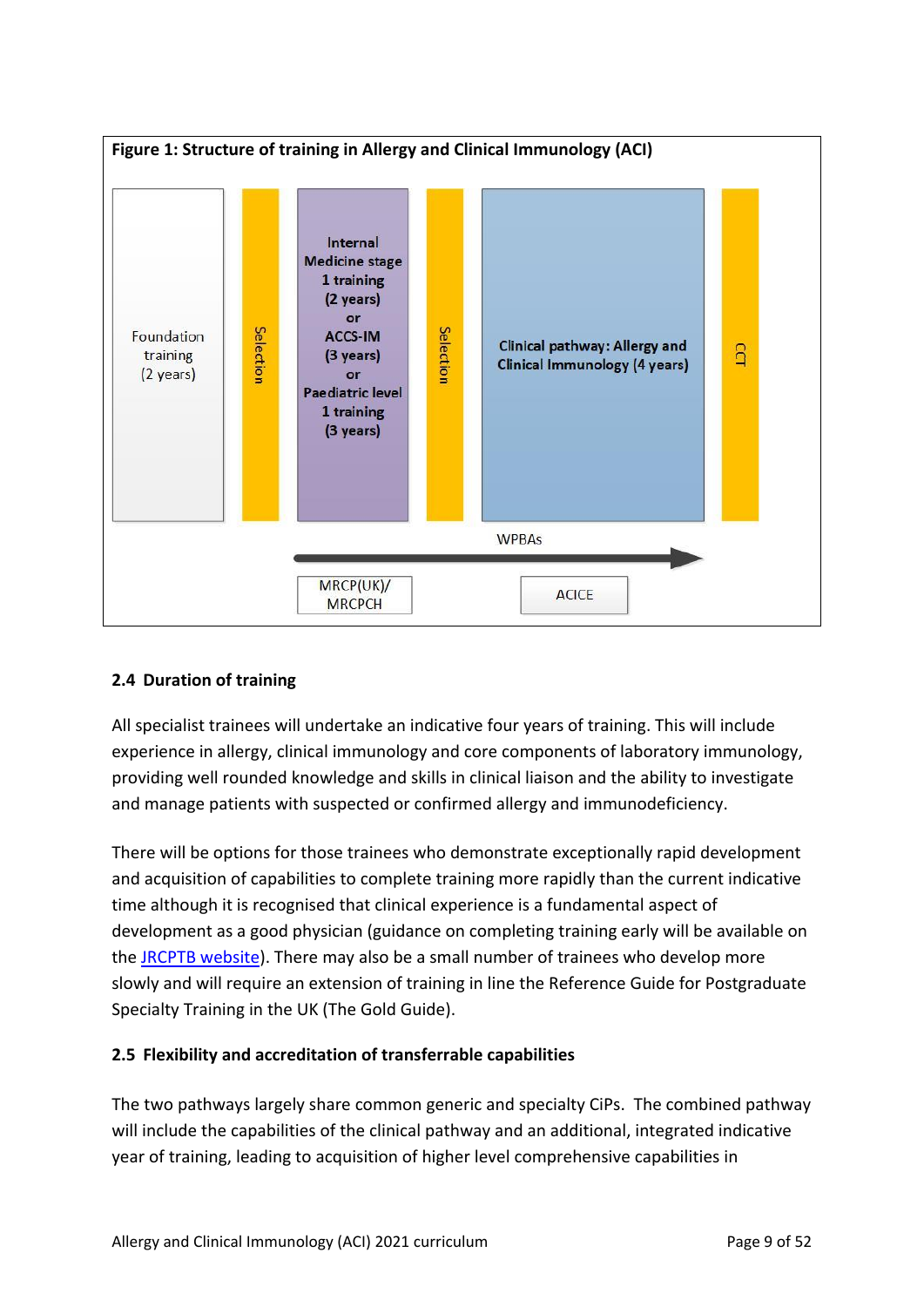

## <span id="page-8-0"></span>**2.4 Duration of training**

All specialist trainees will undertake an indicative four years of training. This will include experience in allergy, clinical immunology and core components of laboratory immunology, providing well rounded knowledge and skills in clinical liaison and the ability to investigate and manage patients with suspected or confirmed allergy and immunodeficiency.

There will be options for those trainees who demonstrate exceptionally rapid development and acquisition of capabilities to complete training more rapidly than the current indicative time although it is recognised that clinical experience is a fundamental aspect of development as a good physician (guidance on completing training early will be available on the [JRCPTB website\)](http://www.jrcptb.org.uk/). There may also be a small number of trainees who develop more slowly and will require an extension of training in line the Reference Guide for Postgraduate Specialty Training in the UK (The Gold Guide).

## <span id="page-8-1"></span>**2.5 Flexibility and accreditation of transferrable capabilities**

The two pathways largely share common generic and specialty CiPs. The combined pathway will include the capabilities of the clinical pathway and an additional, integrated indicative year of training, leading to acquisition of higher level comprehensive capabilities in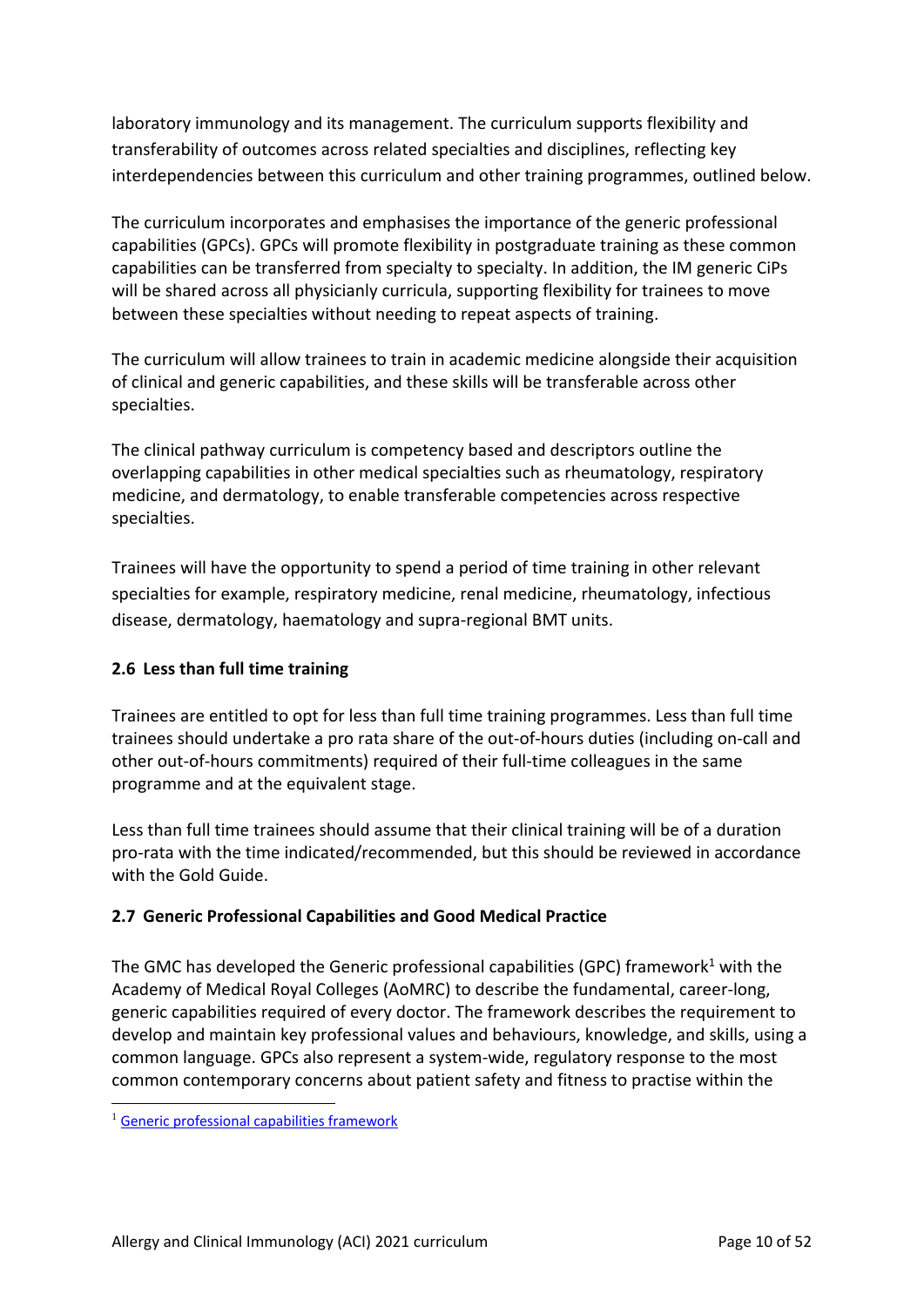laboratory immunology and its management. The curriculum supports flexibility and transferability of outcomes across related specialties and disciplines, reflecting key interdependencies between this curriculum and other training programmes, outlined below.

The curriculum incorporates and emphasises the importance of the generic professional capabilities (GPCs). GPCs will promote flexibility in postgraduate training as these common capabilities can be transferred from specialty to specialty. In addition, the IM generic CiPs will be shared across all physicianly curricula, supporting flexibility for trainees to move between these specialties without needing to repeat aspects of training.

The curriculum will allow trainees to train in academic medicine alongside their acquisition of clinical and generic capabilities, and these skills will be transferable across other specialties.

The clinical pathway curriculum is competency based and descriptors outline the overlapping capabilities in other medical specialties such as rheumatology, respiratory medicine, and dermatology, to enable transferable competencies across respective specialties.

Trainees will have the opportunity to spend a period of time training in other relevant specialties for example, respiratory medicine, renal medicine, rheumatology, infectious disease, dermatology, haematology and supra-regional BMT units.

## <span id="page-9-0"></span>**2.6 Less than full time training**

Trainees are entitled to opt for less than full time training programmes. Less than full time trainees should undertake a pro rata share of the out-of-hours duties (including on-call and other out-of-hours commitments) required of their full-time colleagues in the same programme and at the equivalent stage.

Less than full time trainees should assume that their clinical training will be of a duration pro-rata with the time indicated/recommended, but this should be reviewed in accordance with the Gold Guide.

## <span id="page-9-1"></span>**2.7 Generic Professional Capabilities and Good Medical Practice**

The GMC has developed the Generic professional capabilities (GPC) framework<sup>1</sup> with the Academy of Medical Royal Colleges (AoMRC) to describe the fundamental, career-long, generic capabilities required of every doctor. The framework describes the requirement to develop and maintain key professional values and behaviours, knowledge, and skills, using a common language. GPCs also represent a system-wide, regulatory response to the most common contemporary concerns about patient safety and fitness to practise within the

<sup>&</sup>lt;sup>1</sup> [Generic professional capabilities framework](http://www.gmc-uk.org/education/postgraduate/GPC.asp)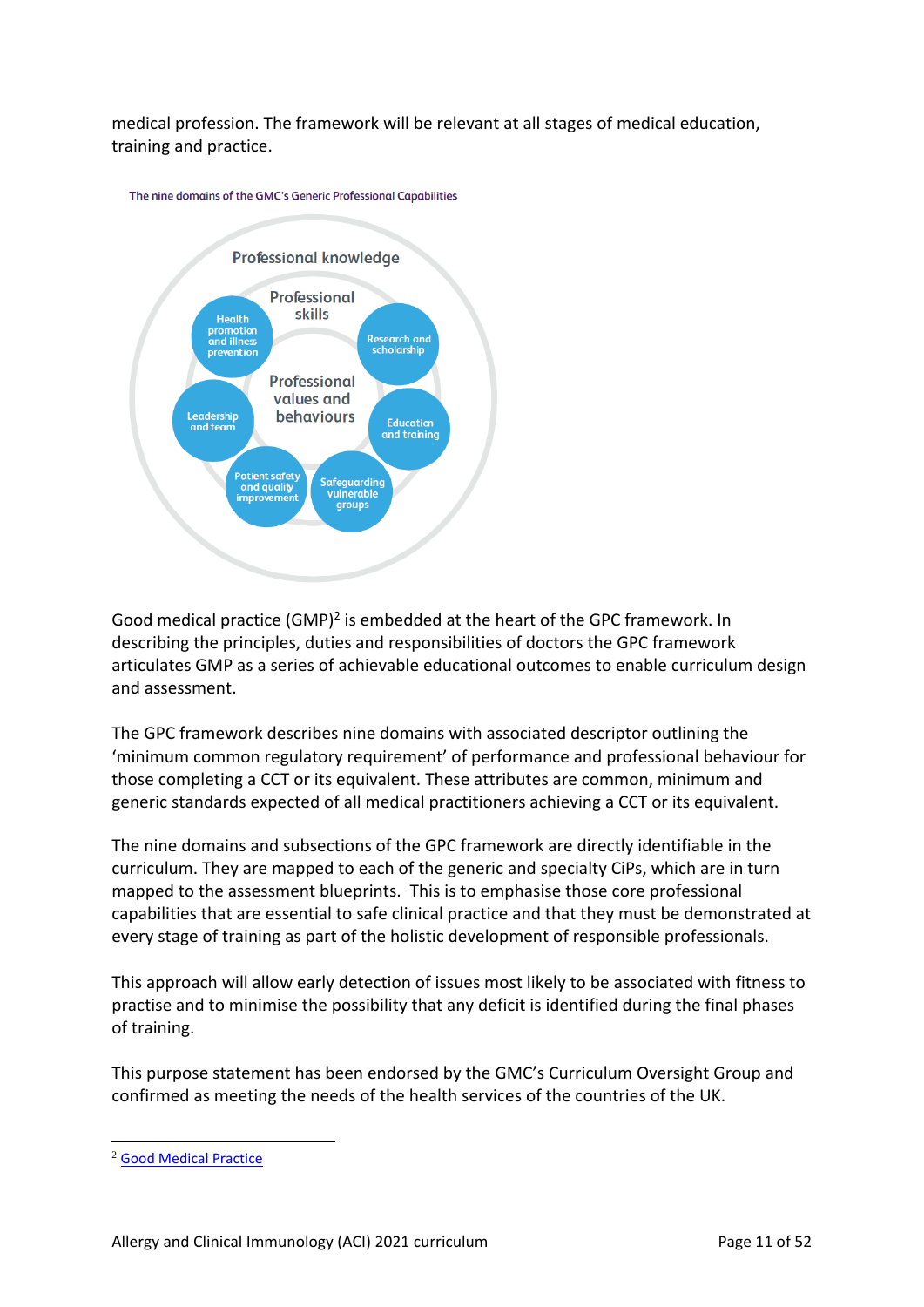medical profession. The framework will be relevant at all stages of medical education, training and practice.





Good medical practice (GMP)<sup>2</sup> is embedded at the heart of the GPC framework. In describing the principles, duties and responsibilities of doctors the GPC framework articulates GMP as a series of achievable educational outcomes to enable curriculum design and assessment.

The GPC framework describes nine domains with associated descriptor outlining the 'minimum common regulatory requirement' of performance and professional behaviour for those completing a CCT or its equivalent. These attributes are common, minimum and generic standards expected of all medical practitioners achieving a CCT or its equivalent.

The nine domains and subsections of the GPC framework are directly identifiable in the curriculum. They are mapped to each of the generic and specialty CiPs, which are in turn mapped to the assessment blueprints. This is to emphasise those core professional capabilities that are essential to safe clinical practice and that they must be demonstrated at every stage of training as part of the holistic development of responsible professionals.

This approach will allow early detection of issues most likely to be associated with fitness to practise and to minimise the possibility that any deficit is identified during the final phases of training.

This purpose statement has been endorsed by the GMC's Curriculum Oversight Group and confirmed as meeting the needs of the health services of the countries of the UK.

<sup>2</sup> [Good Medical Practice](http://www.gmc-uk.org/guidance/good_medical_practice.asp)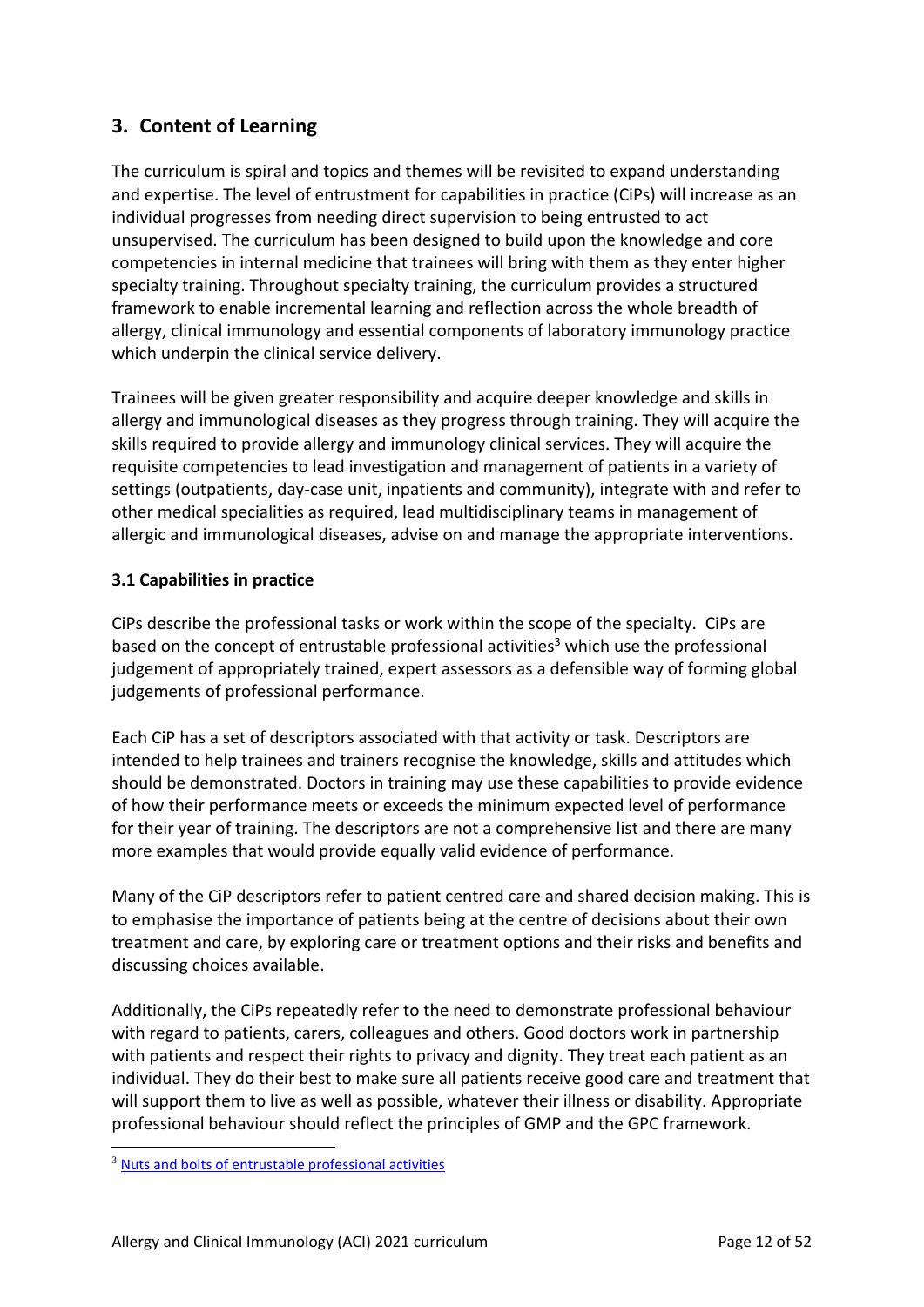# <span id="page-11-0"></span>**3. Content of Learning**

The curriculum is spiral and topics and themes will be revisited to expand understanding and expertise. The level of entrustment for capabilities in practice (CiPs) will increase as an individual progresses from needing direct supervision to being entrusted to act unsupervised. The curriculum has been designed to build upon the knowledge and core competencies in internal medicine that trainees will bring with them as they enter higher specialty training. Throughout specialty training, the curriculum provides a structured framework to enable incremental learning and reflection across the whole breadth of allergy, clinical immunology and essential components of laboratory immunology practice which underpin the clinical service delivery.

Trainees will be given greater responsibility and acquire deeper knowledge and skills in allergy and immunological diseases as they progress through training. They will acquire the skills required to provide allergy and immunology clinical services. They will acquire the requisite competencies to lead investigation and management of patients in a variety of settings (outpatients, day-case unit, inpatients and community), integrate with and refer to other medical specialities as required, lead multidisciplinary teams in management of allergic and immunological diseases, advise on and manage the appropriate interventions.

## <span id="page-11-1"></span>**3.1 Capabilities in practice**

CiPs describe the professional tasks or work within the scope of the specialty. CiPs are based on the concept of entrustable professional activities<sup>3</sup> which use the professional judgement of appropriately trained, expert assessors as a defensible way of forming global judgements of professional performance.

Each CiP has a set of descriptors associated with that activity or task. Descriptors are intended to help trainees and trainers recognise the knowledge, skills and attitudes which should be demonstrated. Doctors in training may use these capabilities to provide evidence of how their performance meets or exceeds the minimum expected level of performance for their year of training. The descriptors are not a comprehensive list and there are many more examples that would provide equally valid evidence of performance.

Many of the CiP descriptors refer to patient centred care and shared decision making. This is to emphasise the importance of patients being at the centre of decisions about their own treatment and care, by exploring care or treatment options and their risks and benefits and discussing choices available.

Additionally, the CiPs repeatedly refer to the need to demonstrate professional behaviour with regard to patients, carers, colleagues and others. Good doctors work in partnership with patients and respect their rights to privacy and dignity. They treat each patient as an individual. They do their best to make sure all patients receive good care and treatment that will support them to live as well as possible, whatever their illness or disability. Appropriate professional behaviour should reflect the principles of GMP and the GPC framework.

<sup>3</sup> [Nuts and bolts of entrustable professional activities](https://www.ncbi.nlm.nih.gov/pmc/articles/PMC3613304/)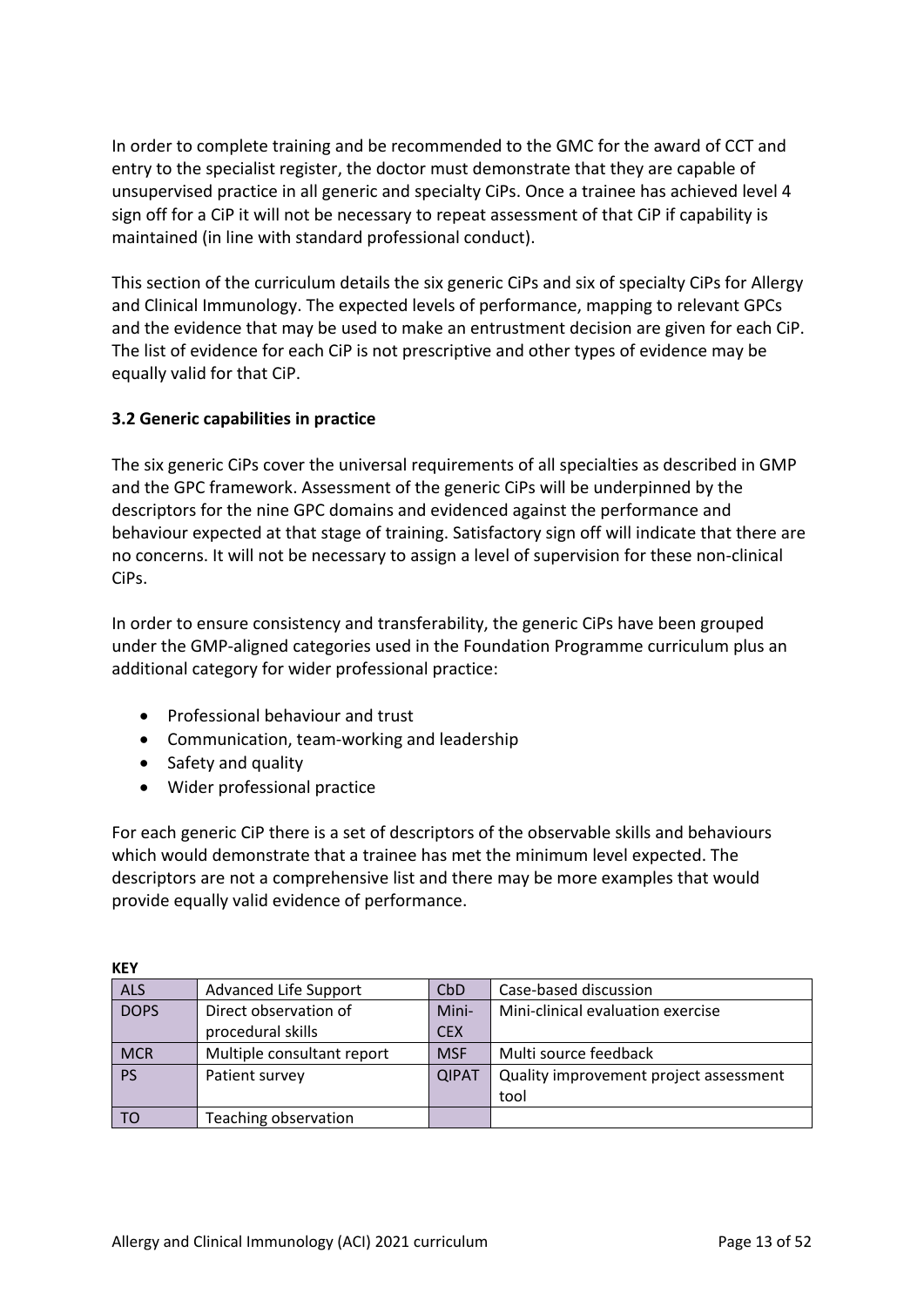In order to complete training and be recommended to the GMC for the award of CCT and entry to the specialist register, the doctor must demonstrate that they are capable of unsupervised practice in all generic and specialty CiPs. Once a trainee has achieved level 4 sign off for a CiP it will not be necessary to repeat assessment of that CiP if capability is maintained (in line with standard professional conduct).

This section of the curriculum details the six generic CiPs and six of specialty CiPs for Allergy and Clinical Immunology. The expected levels of performance, mapping to relevant GPCs and the evidence that may be used to make an entrustment decision are given for each CiP. The list of evidence for each CiP is not prescriptive and other types of evidence may be equally valid for that CiP.

## <span id="page-12-0"></span>**3.2 Generic capabilities in practice**

The six generic CiPs cover the universal requirements of all specialties as described in GMP and the GPC framework. Assessment of the generic CiPs will be underpinned by the descriptors for the nine GPC domains and evidenced against the performance and behaviour expected at that stage of training. Satisfactory sign off will indicate that there are no concerns. It will not be necessary to assign a level of supervision for these non-clinical CiPs.

In order to ensure consistency and transferability, the generic CiPs have been grouped under the GMP-aligned categories used in the Foundation Programme curriculum plus an additional category for wider professional practice:

- Professional behaviour and trust
- Communication, team-working and leadership
- Safety and quality
- Wider professional practice

For each generic CiP there is a set of descriptors of the observable skills and behaviours which would demonstrate that a trainee has met the minimum level expected. The descriptors are not a comprehensive list and there may be more examples that would provide equally valid evidence of performance.

| 11 L L      |                            |              |                                        |
|-------------|----------------------------|--------------|----------------------------------------|
| <b>ALS</b>  | Advanced Life Support      | CbD          | Case-based discussion                  |
| <b>DOPS</b> | Direct observation of      | Mini-        | Mini-clinical evaluation exercise      |
|             | procedural skills          | <b>CEX</b>   |                                        |
| <b>MCR</b>  | Multiple consultant report | <b>MSF</b>   | Multi source feedback                  |
| <b>PS</b>   | Patient survey             | <b>QIPAT</b> | Quality improvement project assessment |
|             |                            |              | tool                                   |
| TO          | Teaching observation       |              |                                        |

**KEY**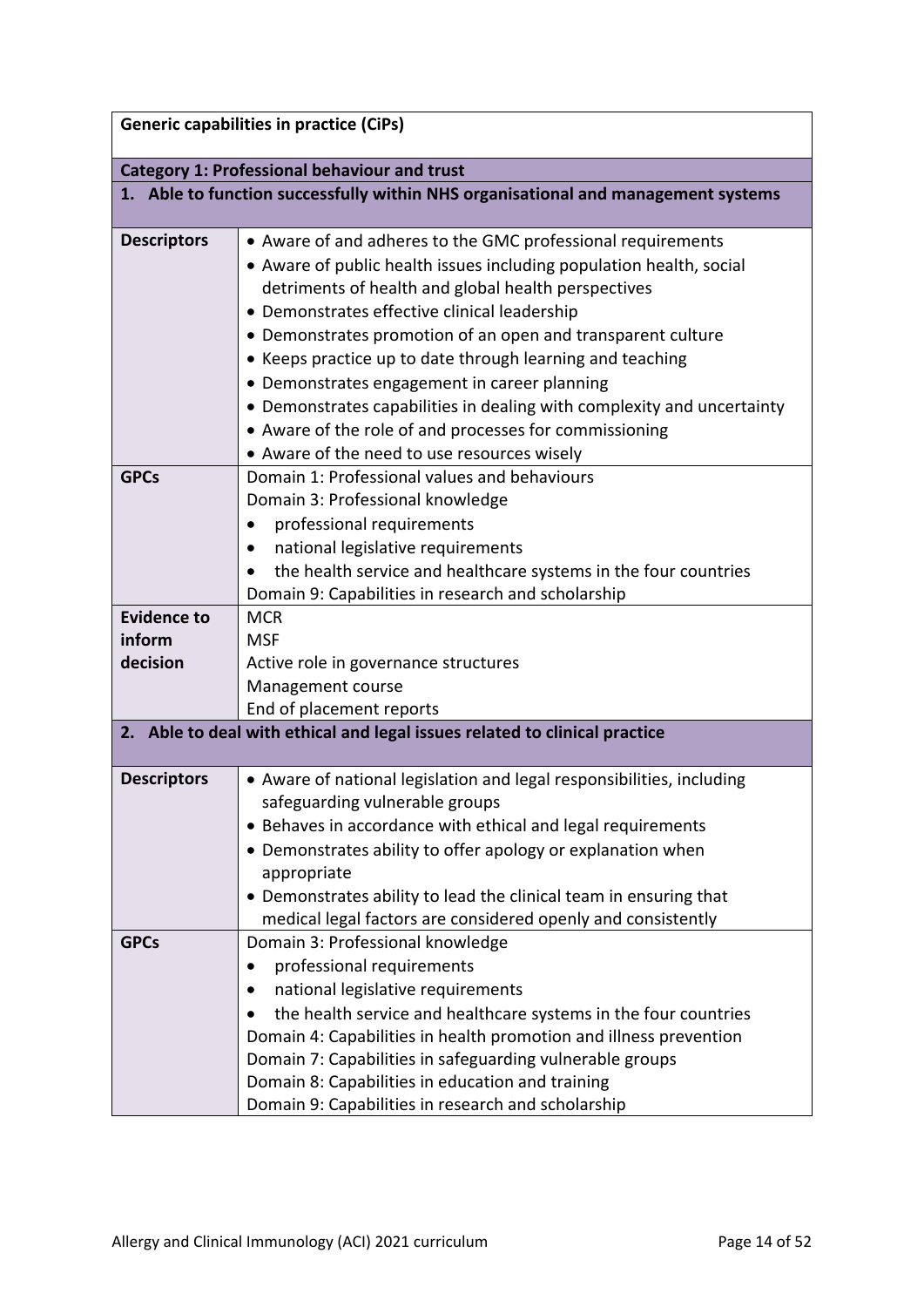| <b>Generic capabilities in practice (CiPs)</b>      |                                                                                                                                                                                                                                                                                                                                                                                                                                                                                                                                                                                                          |  |  |  |
|-----------------------------------------------------|----------------------------------------------------------------------------------------------------------------------------------------------------------------------------------------------------------------------------------------------------------------------------------------------------------------------------------------------------------------------------------------------------------------------------------------------------------------------------------------------------------------------------------------------------------------------------------------------------------|--|--|--|
| <b>Category 1: Professional behaviour and trust</b> |                                                                                                                                                                                                                                                                                                                                                                                                                                                                                                                                                                                                          |  |  |  |
|                                                     | 1. Able to function successfully within NHS organisational and management systems                                                                                                                                                                                                                                                                                                                                                                                                                                                                                                                        |  |  |  |
|                                                     |                                                                                                                                                                                                                                                                                                                                                                                                                                                                                                                                                                                                          |  |  |  |
| <b>Descriptors</b>                                  | • Aware of and adheres to the GMC professional requirements<br>• Aware of public health issues including population health, social<br>detriments of health and global health perspectives<br>• Demonstrates effective clinical leadership<br>• Demonstrates promotion of an open and transparent culture<br>• Keeps practice up to date through learning and teaching<br>• Demonstrates engagement in career planning<br>• Demonstrates capabilities in dealing with complexity and uncertainty<br>• Aware of the role of and processes for commissioning<br>• Aware of the need to use resources wisely |  |  |  |
| <b>GPCs</b>                                         | Domain 1: Professional values and behaviours                                                                                                                                                                                                                                                                                                                                                                                                                                                                                                                                                             |  |  |  |
|                                                     | Domain 3: Professional knowledge                                                                                                                                                                                                                                                                                                                                                                                                                                                                                                                                                                         |  |  |  |
|                                                     | professional requirements                                                                                                                                                                                                                                                                                                                                                                                                                                                                                                                                                                                |  |  |  |
|                                                     | national legislative requirements                                                                                                                                                                                                                                                                                                                                                                                                                                                                                                                                                                        |  |  |  |
|                                                     | the health service and healthcare systems in the four countries                                                                                                                                                                                                                                                                                                                                                                                                                                                                                                                                          |  |  |  |
| <b>Evidence to</b>                                  | Domain 9: Capabilities in research and scholarship<br><b>MCR</b>                                                                                                                                                                                                                                                                                                                                                                                                                                                                                                                                         |  |  |  |
| inform                                              | <b>MSF</b>                                                                                                                                                                                                                                                                                                                                                                                                                                                                                                                                                                                               |  |  |  |
| decision                                            | Active role in governance structures                                                                                                                                                                                                                                                                                                                                                                                                                                                                                                                                                                     |  |  |  |
|                                                     | Management course                                                                                                                                                                                                                                                                                                                                                                                                                                                                                                                                                                                        |  |  |  |
|                                                     | End of placement reports                                                                                                                                                                                                                                                                                                                                                                                                                                                                                                                                                                                 |  |  |  |
|                                                     | 2. Able to deal with ethical and legal issues related to clinical practice                                                                                                                                                                                                                                                                                                                                                                                                                                                                                                                               |  |  |  |
|                                                     |                                                                                                                                                                                                                                                                                                                                                                                                                                                                                                                                                                                                          |  |  |  |
| <b>Descriptors</b>                                  | • Aware of national legislation and legal responsibilities, including                                                                                                                                                                                                                                                                                                                                                                                                                                                                                                                                    |  |  |  |
|                                                     | safeguarding vulnerable groups                                                                                                                                                                                                                                                                                                                                                                                                                                                                                                                                                                           |  |  |  |
|                                                     | • Behaves in accordance with ethical and legal requirements                                                                                                                                                                                                                                                                                                                                                                                                                                                                                                                                              |  |  |  |
|                                                     | • Demonstrates ability to offer apology or explanation when                                                                                                                                                                                                                                                                                                                                                                                                                                                                                                                                              |  |  |  |
|                                                     | appropriate                                                                                                                                                                                                                                                                                                                                                                                                                                                                                                                                                                                              |  |  |  |
|                                                     | • Demonstrates ability to lead the clinical team in ensuring that                                                                                                                                                                                                                                                                                                                                                                                                                                                                                                                                        |  |  |  |
|                                                     | medical legal factors are considered openly and consistently                                                                                                                                                                                                                                                                                                                                                                                                                                                                                                                                             |  |  |  |
| <b>GPCs</b>                                         | Domain 3: Professional knowledge                                                                                                                                                                                                                                                                                                                                                                                                                                                                                                                                                                         |  |  |  |
|                                                     | professional requirements<br>$\bullet$                                                                                                                                                                                                                                                                                                                                                                                                                                                                                                                                                                   |  |  |  |
|                                                     | national legislative requirements                                                                                                                                                                                                                                                                                                                                                                                                                                                                                                                                                                        |  |  |  |
|                                                     | the health service and healthcare systems in the four countries                                                                                                                                                                                                                                                                                                                                                                                                                                                                                                                                          |  |  |  |
|                                                     | Domain 4: Capabilities in health promotion and illness prevention                                                                                                                                                                                                                                                                                                                                                                                                                                                                                                                                        |  |  |  |
|                                                     | Domain 7: Capabilities in safeguarding vulnerable groups<br>Domain 8: Capabilities in education and training                                                                                                                                                                                                                                                                                                                                                                                                                                                                                             |  |  |  |
|                                                     |                                                                                                                                                                                                                                                                                                                                                                                                                                                                                                                                                                                                          |  |  |  |
|                                                     | Domain 9: Capabilities in research and scholarship                                                                                                                                                                                                                                                                                                                                                                                                                                                                                                                                                       |  |  |  |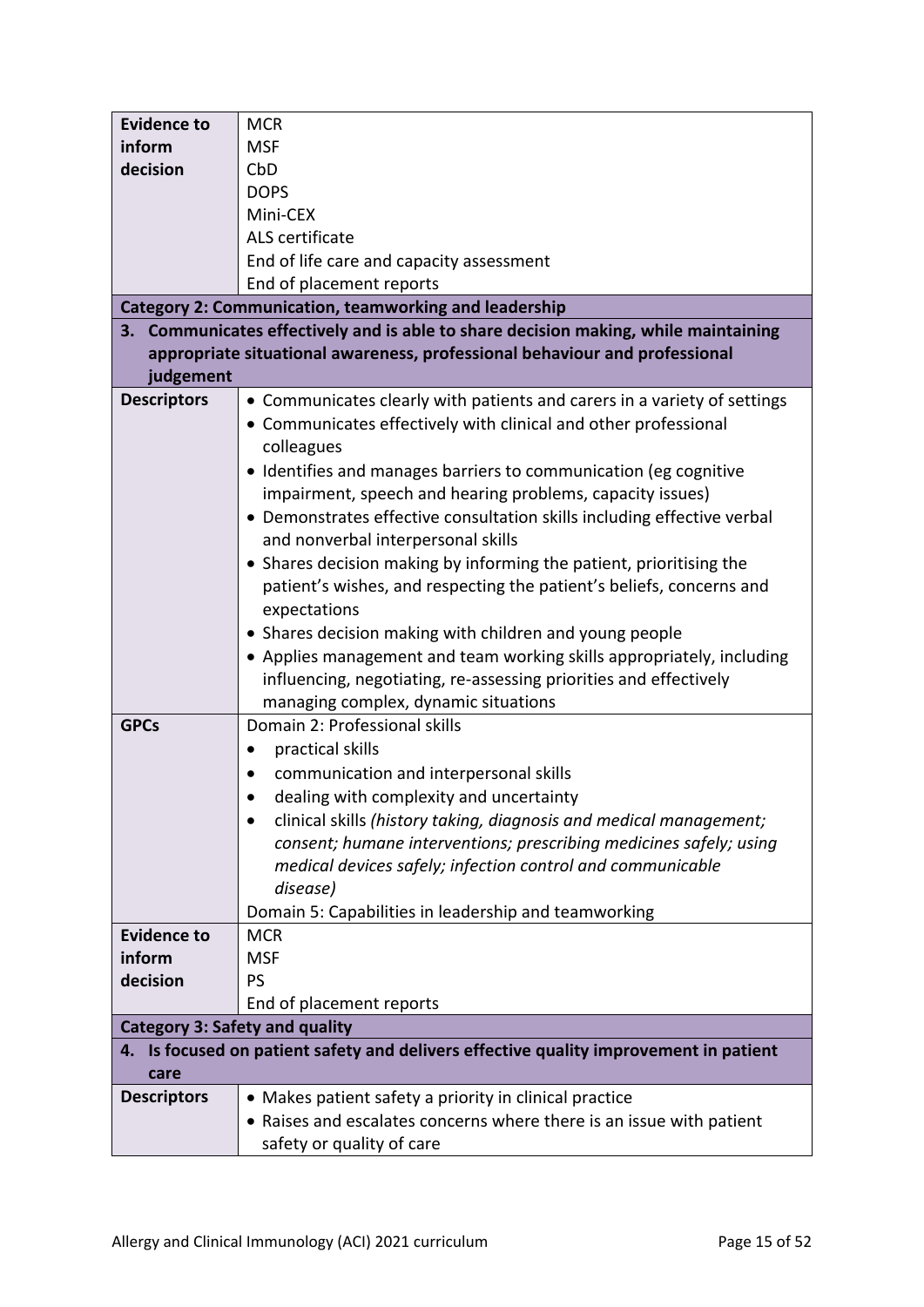| <b>Evidence to</b>                    | <b>MCR</b>                                                                            |  |  |
|---------------------------------------|---------------------------------------------------------------------------------------|--|--|
| inform                                | <b>MSF</b>                                                                            |  |  |
| decision                              | CbD                                                                                   |  |  |
|                                       | <b>DOPS</b>                                                                           |  |  |
|                                       | Mini-CEX                                                                              |  |  |
|                                       | ALS certificate                                                                       |  |  |
|                                       | End of life care and capacity assessment                                              |  |  |
|                                       | End of placement reports                                                              |  |  |
|                                       | <b>Category 2: Communication, teamworking and leadership</b>                          |  |  |
|                                       | 3. Communicates effectively and is able to share decision making, while maintaining   |  |  |
|                                       | appropriate situational awareness, professional behaviour and professional            |  |  |
| judgement                             |                                                                                       |  |  |
| <b>Descriptors</b>                    | • Communicates clearly with patients and carers in a variety of settings              |  |  |
|                                       | • Communicates effectively with clinical and other professional                       |  |  |
|                                       |                                                                                       |  |  |
|                                       | colleagues                                                                            |  |  |
|                                       | • Identifies and manages barriers to communication (eg cognitive                      |  |  |
|                                       | impairment, speech and hearing problems, capacity issues)                             |  |  |
|                                       | • Demonstrates effective consultation skills including effective verbal               |  |  |
|                                       | and nonverbal interpersonal skills                                                    |  |  |
|                                       | • Shares decision making by informing the patient, prioritising the                   |  |  |
|                                       | patient's wishes, and respecting the patient's beliefs, concerns and                  |  |  |
|                                       | expectations                                                                          |  |  |
|                                       | • Shares decision making with children and young people                               |  |  |
|                                       | • Applies management and team working skills appropriately, including                 |  |  |
|                                       | influencing, negotiating, re-assessing priorities and effectively                     |  |  |
|                                       | managing complex, dynamic situations                                                  |  |  |
| <b>GPCs</b>                           | Domain 2: Professional skills                                                         |  |  |
|                                       | practical skills<br>$\bullet$                                                         |  |  |
|                                       | communication and interpersonal skills                                                |  |  |
|                                       | dealing with complexity and uncertainty                                               |  |  |
|                                       | clinical skills (history taking, diagnosis and medical management;                    |  |  |
|                                       | consent; humane interventions; prescribing medicines safely; using                    |  |  |
|                                       | medical devices safely; infection control and communicable                            |  |  |
|                                       | disease)                                                                              |  |  |
|                                       | Domain 5: Capabilities in leadership and teamworking                                  |  |  |
| <b>Evidence to</b>                    | <b>MCR</b>                                                                            |  |  |
| inform                                | <b>MSF</b>                                                                            |  |  |
|                                       |                                                                                       |  |  |
| decision                              | <b>PS</b>                                                                             |  |  |
|                                       | End of placement reports                                                              |  |  |
| <b>Category 3: Safety and quality</b> |                                                                                       |  |  |
| care                                  | 4. Is focused on patient safety and delivers effective quality improvement in patient |  |  |
| <b>Descriptors</b>                    | • Makes patient safety a priority in clinical practice                                |  |  |
|                                       | • Raises and escalates concerns where there is an issue with patient                  |  |  |
|                                       | safety or quality of care                                                             |  |  |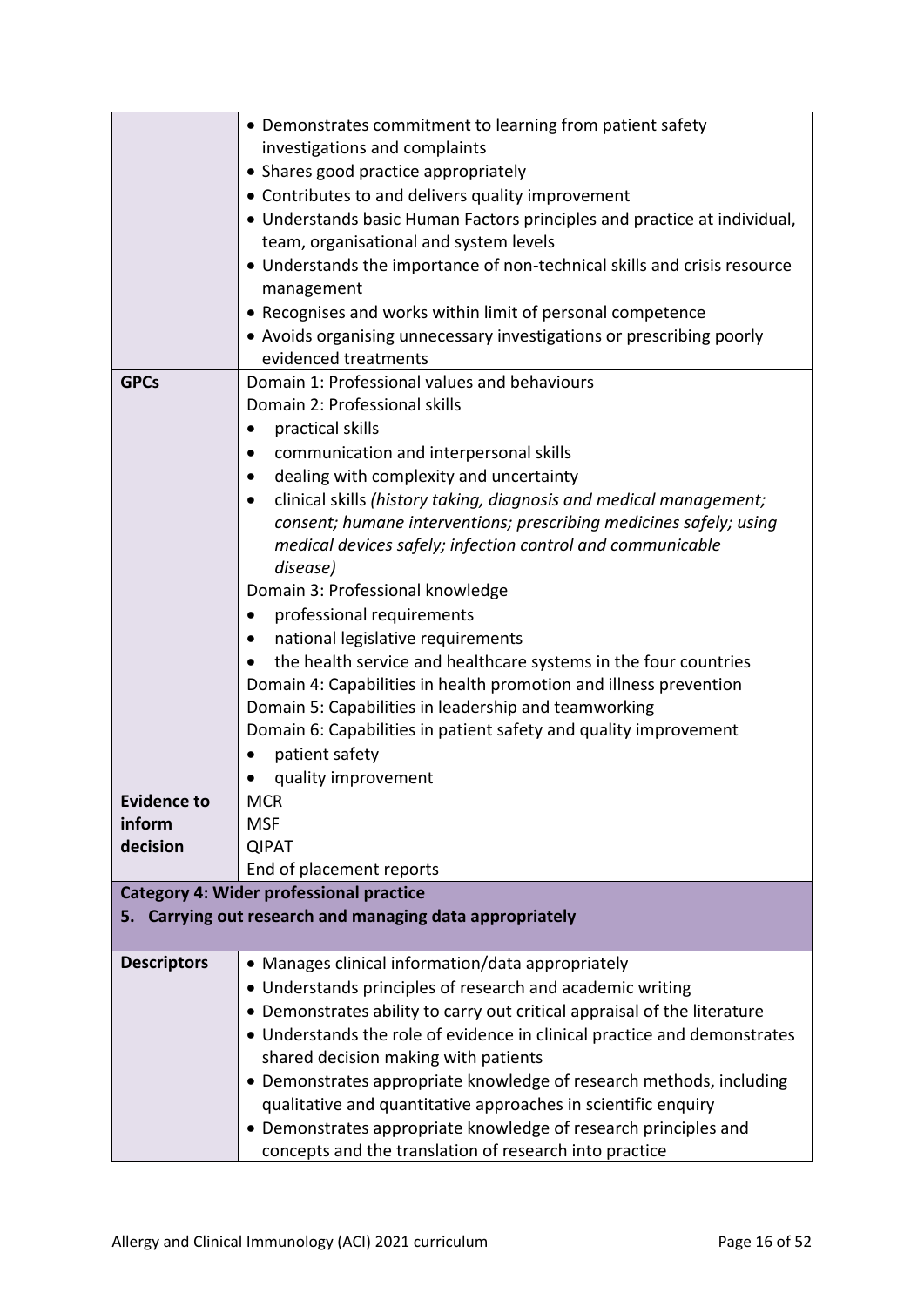|                    | • Demonstrates commitment to learning from patient safety                |  |  |
|--------------------|--------------------------------------------------------------------------|--|--|
|                    | investigations and complaints                                            |  |  |
|                    | • Shares good practice appropriately                                     |  |  |
|                    | • Contributes to and delivers quality improvement                        |  |  |
|                    | • Understands basic Human Factors principles and practice at individual, |  |  |
|                    | team, organisational and system levels                                   |  |  |
|                    | • Understands the importance of non-technical skills and crisis resource |  |  |
|                    | management                                                               |  |  |
|                    | • Recognises and works within limit of personal competence               |  |  |
|                    | • Avoids organising unnecessary investigations or prescribing poorly     |  |  |
|                    | evidenced treatments                                                     |  |  |
| <b>GPCs</b>        | Domain 1: Professional values and behaviours                             |  |  |
|                    | Domain 2: Professional skills                                            |  |  |
|                    | practical skills                                                         |  |  |
|                    | communication and interpersonal skills                                   |  |  |
|                    | dealing with complexity and uncertainty                                  |  |  |
|                    | clinical skills (history taking, diagnosis and medical management;       |  |  |
|                    | consent; humane interventions; prescribing medicines safely; using       |  |  |
|                    | medical devices safely; infection control and communicable<br>disease)   |  |  |
|                    | Domain 3: Professional knowledge                                         |  |  |
|                    | professional requirements                                                |  |  |
|                    | national legislative requirements                                        |  |  |
|                    | the health service and healthcare systems in the four countries          |  |  |
|                    | Domain 4: Capabilities in health promotion and illness prevention        |  |  |
|                    | Domain 5: Capabilities in leadership and teamworking                     |  |  |
|                    | Domain 6: Capabilities in patient safety and quality improvement         |  |  |
|                    | patient safety                                                           |  |  |
|                    | quality improvement                                                      |  |  |
| <b>Evidence to</b> | <b>MCR</b>                                                               |  |  |
| inform             | <b>MSF</b>                                                               |  |  |
| decision           | <b>QIPAT</b>                                                             |  |  |
|                    | End of placement reports                                                 |  |  |
|                    | <b>Category 4: Wider professional practice</b>                           |  |  |
|                    | 5. Carrying out research and managing data appropriately                 |  |  |
|                    |                                                                          |  |  |
| <b>Descriptors</b> | • Manages clinical information/data appropriately                        |  |  |
|                    | • Understands principles of research and academic writing                |  |  |
|                    | • Demonstrates ability to carry out critical appraisal of the literature |  |  |
|                    | • Understands the role of evidence in clinical practice and demonstrates |  |  |
|                    | shared decision making with patients                                     |  |  |
|                    | • Demonstrates appropriate knowledge of research methods, including      |  |  |
|                    | qualitative and quantitative approaches in scientific enquiry            |  |  |
|                    | • Demonstrates appropriate knowledge of research principles and          |  |  |
|                    | concepts and the translation of research into practice                   |  |  |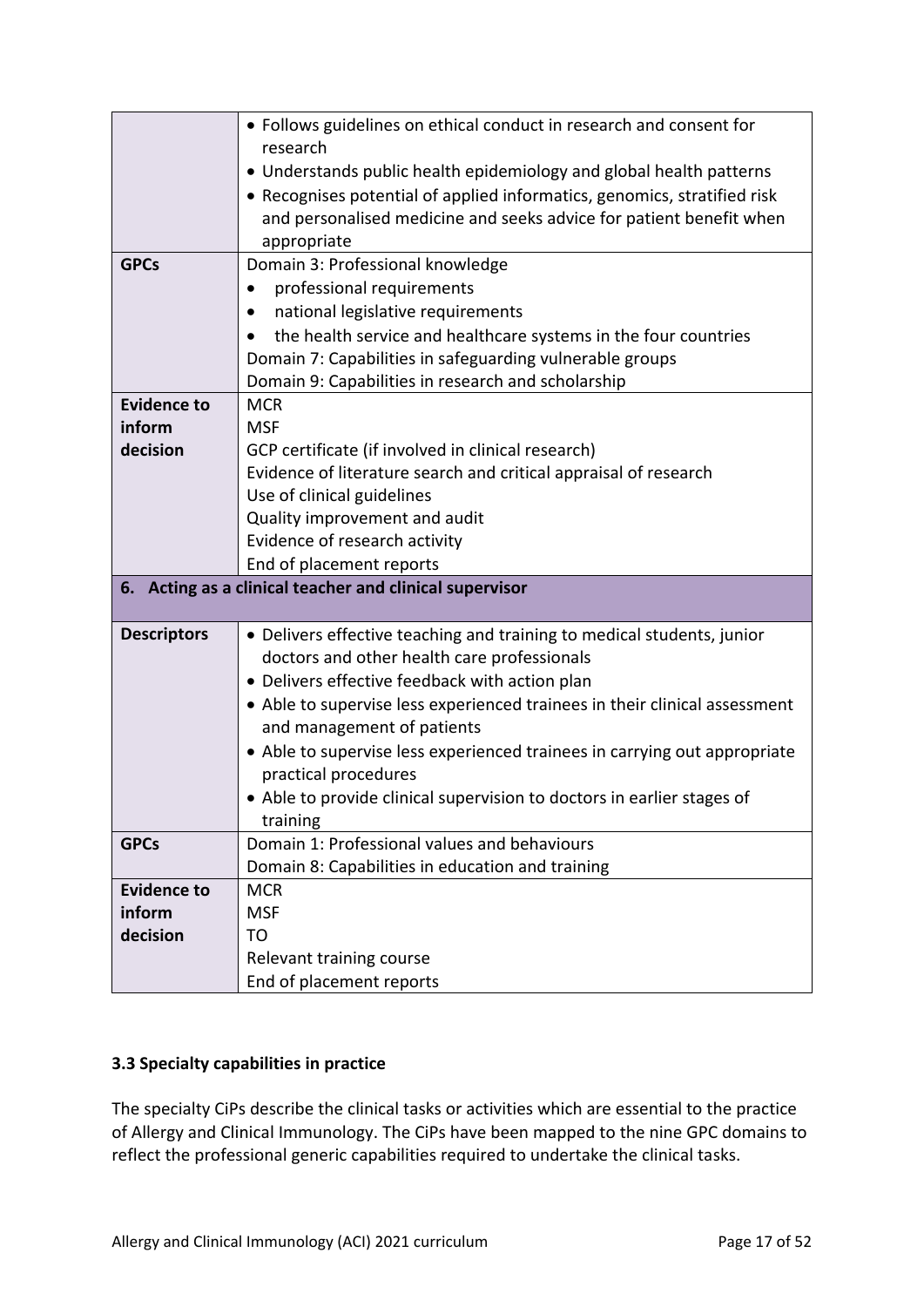|                    | • Follows guidelines on ethical conduct in research and consent for<br>research |
|--------------------|---------------------------------------------------------------------------------|
|                    |                                                                                 |
|                    | • Understands public health epidemiology and global health patterns             |
|                    | • Recognises potential of applied informatics, genomics, stratified risk        |
|                    | and personalised medicine and seeks advice for patient benefit when             |
|                    | appropriate                                                                     |
| <b>GPCs</b>        | Domain 3: Professional knowledge                                                |
|                    | professional requirements                                                       |
|                    | national legislative requirements                                               |
|                    | the health service and healthcare systems in the four countries                 |
|                    | Domain 7: Capabilities in safeguarding vulnerable groups                        |
|                    | Domain 9: Capabilities in research and scholarship                              |
| <b>Evidence to</b> | <b>MCR</b>                                                                      |
| inform             | <b>MSF</b>                                                                      |
| decision           | GCP certificate (if involved in clinical research)                              |
|                    | Evidence of literature search and critical appraisal of research                |
|                    | Use of clinical guidelines                                                      |
|                    | Quality improvement and audit                                                   |
|                    | Evidence of research activity                                                   |
|                    | End of placement reports                                                        |
|                    | 6. Acting as a clinical teacher and clinical supervisor                         |
| <b>Descriptors</b> | • Delivers effective teaching and training to medical students, junior          |
|                    | doctors and other health care professionals                                     |
|                    | • Delivers effective feedback with action plan                                  |
|                    | • Able to supervise less experienced trainees in their clinical assessment      |
|                    | and management of patients                                                      |
|                    | • Able to supervise less experienced trainees in carrying out appropriate       |
|                    | practical procedures                                                            |
|                    | • Able to provide clinical supervision to doctors in earlier stages of          |
|                    | training                                                                        |
| <b>GPCs</b>        | Domain 1: Professional values and behaviours                                    |
|                    | Domain 8: Capabilities in education and training                                |
| <b>Evidence to</b> | <b>MCR</b>                                                                      |
| inform             | <b>MSF</b>                                                                      |
| decision           | TO                                                                              |
|                    | Relevant training course                                                        |
|                    | End of placement reports                                                        |

## <span id="page-16-0"></span>**3.3 Specialty capabilities in practice**

The specialty CiPs describe the clinical tasks or activities which are essential to the practice of Allergy and Clinical Immunology. The CiPs have been mapped to the nine GPC domains to reflect the professional generic capabilities required to undertake the clinical tasks.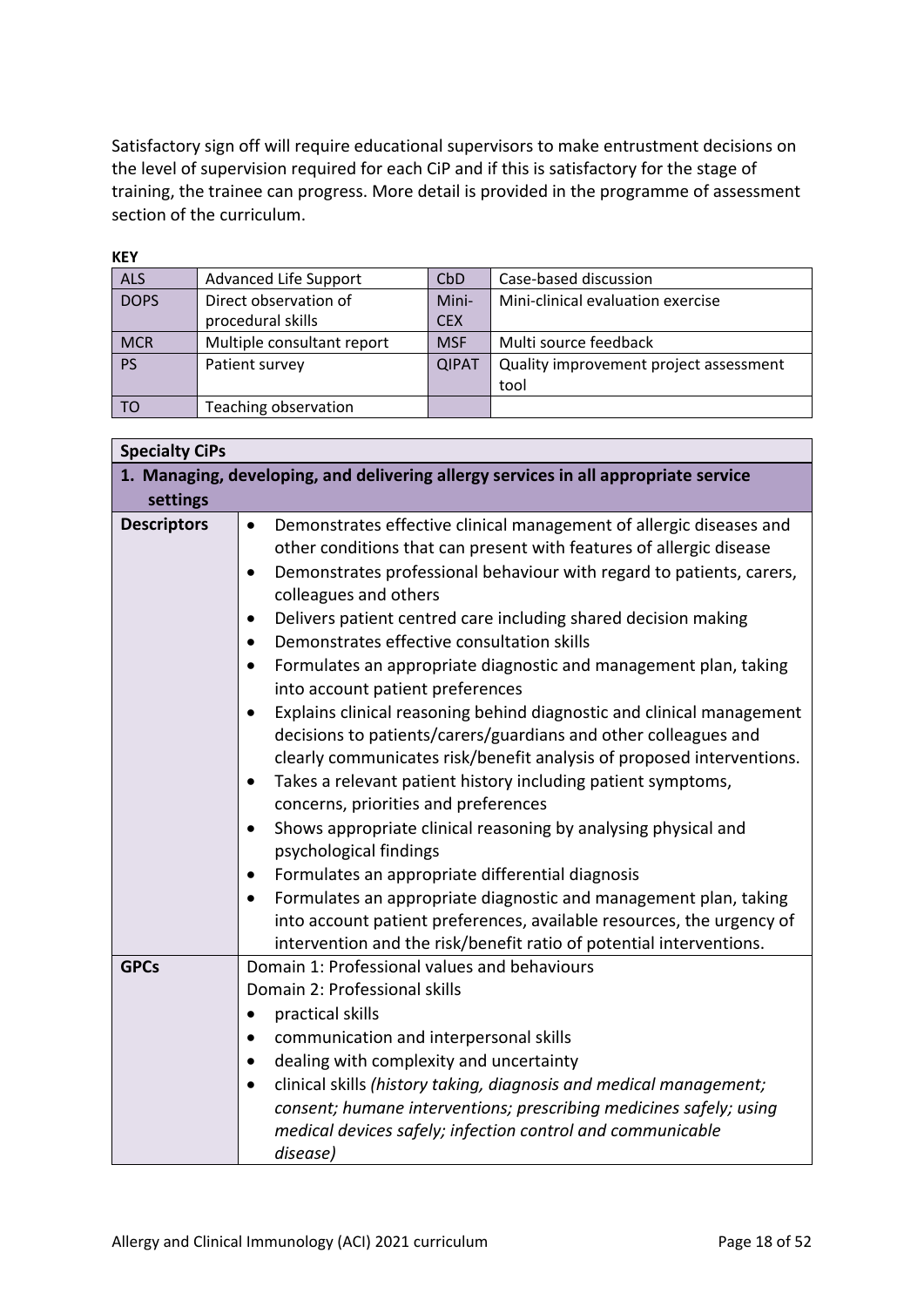Satisfactory sign off will require educational supervisors to make entrustment decisions on the level of supervision required for each CiP and if this is satisfactory for the stage of training, the trainee can progress. More detail is provided in the programme of assessment section of the curriculum.

| <b>KEY</b>  |                            |              |                                        |
|-------------|----------------------------|--------------|----------------------------------------|
| <b>ALS</b>  | Advanced Life Support      | CbD          | Case-based discussion                  |
| <b>DOPS</b> | Direct observation of      | Mini-        | Mini-clinical evaluation exercise      |
|             | procedural skills          | <b>CEX</b>   |                                        |
| <b>MCR</b>  | Multiple consultant report | <b>MSF</b>   | Multi source feedback                  |
| <b>PS</b>   | Patient survey             | <b>QIPAT</b> | Quality improvement project assessment |
|             |                            |              | tool                                   |
| TO          | Teaching observation       |              |                                        |

| <b>Specialty CiPs</b> |                                                                                                                                                                                                                                                                                                                                                                                                                                                                                                                                                                                                                                                                                                                                                                                                                                                                                                                                                                                                                                                                                                                                           |
|-----------------------|-------------------------------------------------------------------------------------------------------------------------------------------------------------------------------------------------------------------------------------------------------------------------------------------------------------------------------------------------------------------------------------------------------------------------------------------------------------------------------------------------------------------------------------------------------------------------------------------------------------------------------------------------------------------------------------------------------------------------------------------------------------------------------------------------------------------------------------------------------------------------------------------------------------------------------------------------------------------------------------------------------------------------------------------------------------------------------------------------------------------------------------------|
|                       | 1. Managing, developing, and delivering allergy services in all appropriate service                                                                                                                                                                                                                                                                                                                                                                                                                                                                                                                                                                                                                                                                                                                                                                                                                                                                                                                                                                                                                                                       |
| settings              |                                                                                                                                                                                                                                                                                                                                                                                                                                                                                                                                                                                                                                                                                                                                                                                                                                                                                                                                                                                                                                                                                                                                           |
| <b>Descriptors</b>    | Demonstrates effective clinical management of allergic diseases and<br>$\bullet$<br>other conditions that can present with features of allergic disease<br>Demonstrates professional behaviour with regard to patients, carers,<br>$\bullet$<br>colleagues and others<br>Delivers patient centred care including shared decision making<br>$\bullet$<br>Demonstrates effective consultation skills<br>$\bullet$<br>Formulates an appropriate diagnostic and management plan, taking<br>$\bullet$<br>into account patient preferences<br>Explains clinical reasoning behind diagnostic and clinical management<br>$\bullet$<br>decisions to patients/carers/guardians and other colleagues and<br>clearly communicates risk/benefit analysis of proposed interventions.<br>Takes a relevant patient history including patient symptoms,<br>$\bullet$<br>concerns, priorities and preferences<br>Shows appropriate clinical reasoning by analysing physical and<br>$\bullet$<br>psychological findings<br>Formulates an appropriate differential diagnosis<br>Formulates an appropriate diagnostic and management plan, taking<br>$\bullet$ |
|                       | into account patient preferences, available resources, the urgency of<br>intervention and the risk/benefit ratio of potential interventions.                                                                                                                                                                                                                                                                                                                                                                                                                                                                                                                                                                                                                                                                                                                                                                                                                                                                                                                                                                                              |
| <b>GPCs</b>           | Domain 1: Professional values and behaviours<br>Domain 2: Professional skills<br>practical skills<br>$\bullet$<br>communication and interpersonal skills<br>$\bullet$<br>dealing with complexity and uncertainty<br>$\bullet$                                                                                                                                                                                                                                                                                                                                                                                                                                                                                                                                                                                                                                                                                                                                                                                                                                                                                                             |
|                       | clinical skills (history taking, diagnosis and medical management;<br>$\bullet$<br>consent; humane interventions; prescribing medicines safely; using<br>medical devices safely; infection control and communicable<br>disease)                                                                                                                                                                                                                                                                                                                                                                                                                                                                                                                                                                                                                                                                                                                                                                                                                                                                                                           |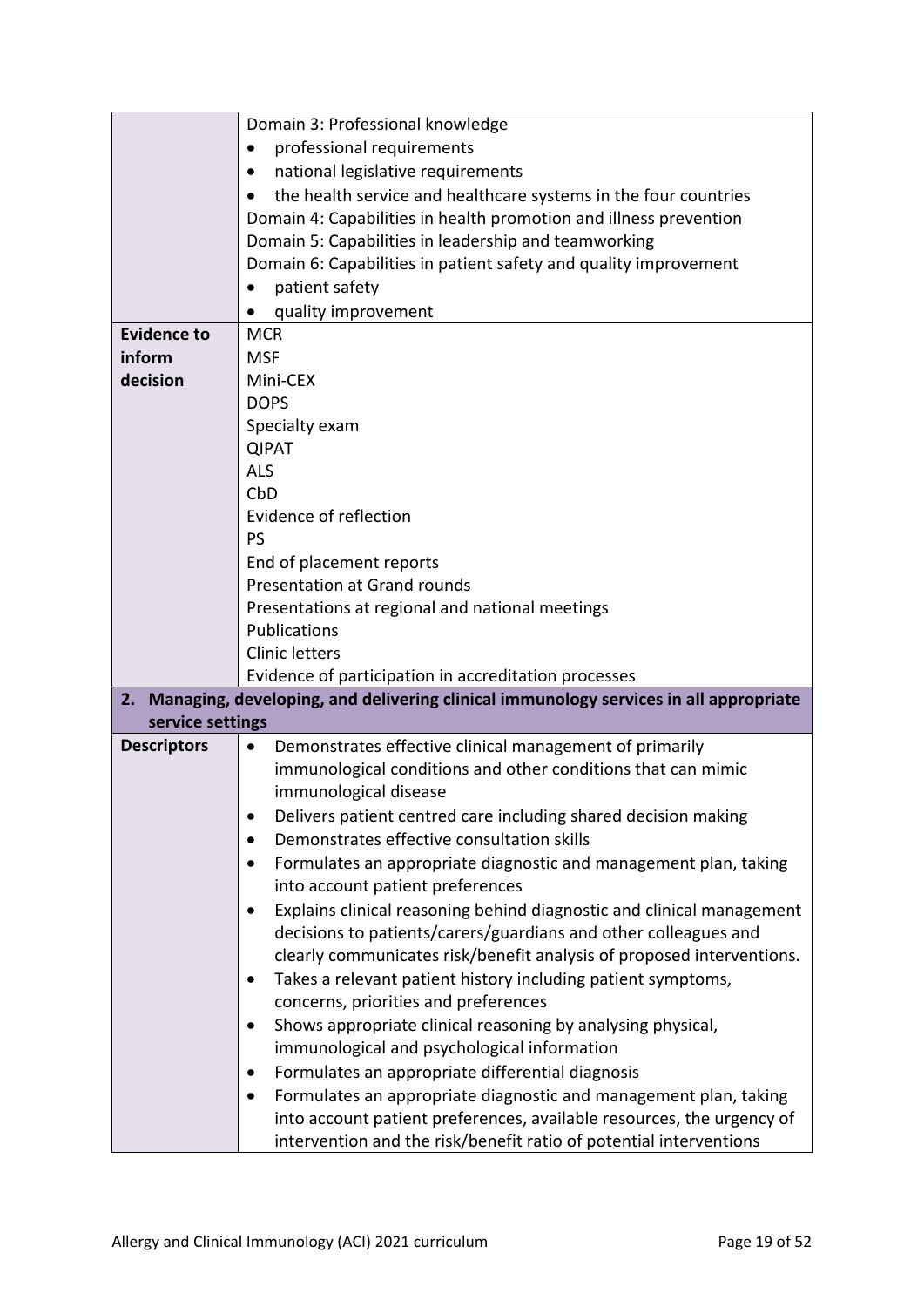|                    | Domain 3: Professional knowledge                                                     |  |
|--------------------|--------------------------------------------------------------------------------------|--|
|                    | professional requirements<br>$\bullet$                                               |  |
|                    | national legislative requirements<br>$\bullet$                                       |  |
|                    | the health service and healthcare systems in the four countries                      |  |
|                    | Domain 4: Capabilities in health promotion and illness prevention                    |  |
|                    | Domain 5: Capabilities in leadership and teamworking                                 |  |
|                    | Domain 6: Capabilities in patient safety and quality improvement                     |  |
|                    | patient safety                                                                       |  |
|                    | quality improvement                                                                  |  |
| <b>Evidence to</b> | <b>MCR</b>                                                                           |  |
| inform             | <b>MSF</b>                                                                           |  |
| decision           | Mini-CEX                                                                             |  |
|                    | <b>DOPS</b>                                                                          |  |
|                    | Specialty exam                                                                       |  |
|                    | <b>QIPAT</b>                                                                         |  |
|                    | <b>ALS</b>                                                                           |  |
|                    | CbD                                                                                  |  |
|                    | Evidence of reflection                                                               |  |
|                    | PS                                                                                   |  |
|                    | End of placement reports                                                             |  |
|                    | <b>Presentation at Grand rounds</b>                                                  |  |
|                    | Presentations at regional and national meetings                                      |  |
|                    | <b>Publications</b>                                                                  |  |
|                    | <b>Clinic letters</b>                                                                |  |
|                    | Evidence of participation in accreditation processes                                 |  |
| 2.                 | Managing, developing, and delivering clinical immunology services in all appropriate |  |
| service settings   |                                                                                      |  |
| <b>Descriptors</b> | Demonstrates effective clinical management of primarily<br>$\bullet$                 |  |
|                    | immunological conditions and other conditions that can mimic                         |  |
|                    | immunological disease                                                                |  |
|                    | Delivers patient centred care including shared decision making<br>$\bullet$          |  |
|                    | Demonstrates effective consultation skills                                           |  |
|                    | Formulates an appropriate diagnostic and management plan, taking                     |  |
|                    | into account patient preferences                                                     |  |
|                    | Explains clinical reasoning behind diagnostic and clinical management                |  |
|                    | decisions to patients/carers/guardians and other colleagues and                      |  |
|                    | clearly communicates risk/benefit analysis of proposed interventions.                |  |
|                    | Takes a relevant patient history including patient symptoms,                         |  |
|                    | concerns, priorities and preferences                                                 |  |
|                    | Shows appropriate clinical reasoning by analysing physical,                          |  |
|                    |                                                                                      |  |
|                    | immunological and psychological information                                          |  |
|                    | Formulates an appropriate differential diagnosis                                     |  |
|                    | Formulates an appropriate diagnostic and management plan, taking<br>٠                |  |
|                    | into account patient preferences, available resources, the urgency of                |  |
|                    | intervention and the risk/benefit ratio of potential interventions                   |  |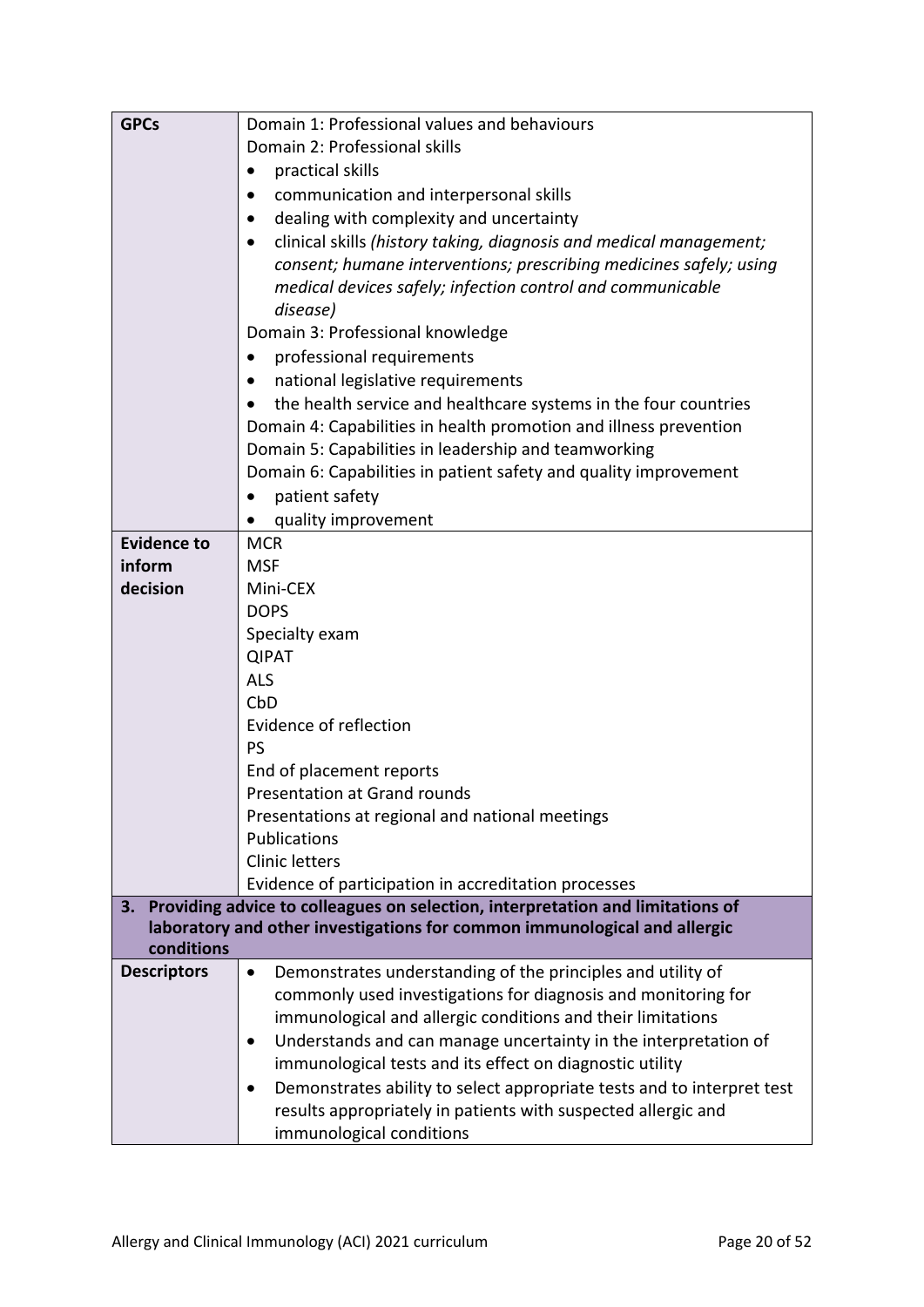| <b>GPCs</b>        | Domain 1: Professional values and behaviours                                    |  |  |  |
|--------------------|---------------------------------------------------------------------------------|--|--|--|
|                    | Domain 2: Professional skills                                                   |  |  |  |
|                    | practical skills<br>٠                                                           |  |  |  |
|                    | communication and interpersonal skills<br>٠                                     |  |  |  |
|                    | dealing with complexity and uncertainty                                         |  |  |  |
|                    | clinical skills (history taking, diagnosis and medical management;<br>$\bullet$ |  |  |  |
|                    | consent; humane interventions; prescribing medicines safely; using              |  |  |  |
|                    | medical devices safely; infection control and communicable                      |  |  |  |
|                    | disease)                                                                        |  |  |  |
|                    | Domain 3: Professional knowledge                                                |  |  |  |
|                    | professional requirements<br>$\bullet$                                          |  |  |  |
|                    | national legislative requirements                                               |  |  |  |
|                    | the health service and healthcare systems in the four countries                 |  |  |  |
|                    | Domain 4: Capabilities in health promotion and illness prevention               |  |  |  |
|                    | Domain 5: Capabilities in leadership and teamworking                            |  |  |  |
|                    | Domain 6: Capabilities in patient safety and quality improvement                |  |  |  |
|                    | patient safety                                                                  |  |  |  |
|                    | quality improvement                                                             |  |  |  |
| <b>Evidence to</b> | <b>MCR</b>                                                                      |  |  |  |
| inform             | <b>MSF</b>                                                                      |  |  |  |
| decision           | Mini-CEX                                                                        |  |  |  |
|                    | <b>DOPS</b>                                                                     |  |  |  |
|                    | Specialty exam                                                                  |  |  |  |
|                    | <b>QIPAT</b>                                                                    |  |  |  |
|                    | <b>ALS</b>                                                                      |  |  |  |
|                    | CbD                                                                             |  |  |  |
|                    | Evidence of reflection                                                          |  |  |  |
|                    | PS                                                                              |  |  |  |
|                    | End of placement reports                                                        |  |  |  |
|                    | <b>Presentation at Grand rounds</b>                                             |  |  |  |
|                    | Presentations at regional and national meetings                                 |  |  |  |
|                    | Publications<br><b>Clinic letters</b>                                           |  |  |  |
|                    | Evidence of participation in accreditation processes                            |  |  |  |
| 3.                 | Providing advice to colleagues on selection, interpretation and limitations of  |  |  |  |
|                    | laboratory and other investigations for common immunological and allergic       |  |  |  |
| conditions         |                                                                                 |  |  |  |
| <b>Descriptors</b> | Demonstrates understanding of the principles and utility of<br>$\bullet$        |  |  |  |
|                    | commonly used investigations for diagnosis and monitoring for                   |  |  |  |
|                    | immunological and allergic conditions and their limitations                     |  |  |  |
|                    | Understands and can manage uncertainty in the interpretation of                 |  |  |  |
|                    | immunological tests and its effect on diagnostic utility                        |  |  |  |
|                    | Demonstrates ability to select appropriate tests and to interpret test          |  |  |  |
|                    | results appropriately in patients with suspected allergic and                   |  |  |  |
|                    | immunological conditions                                                        |  |  |  |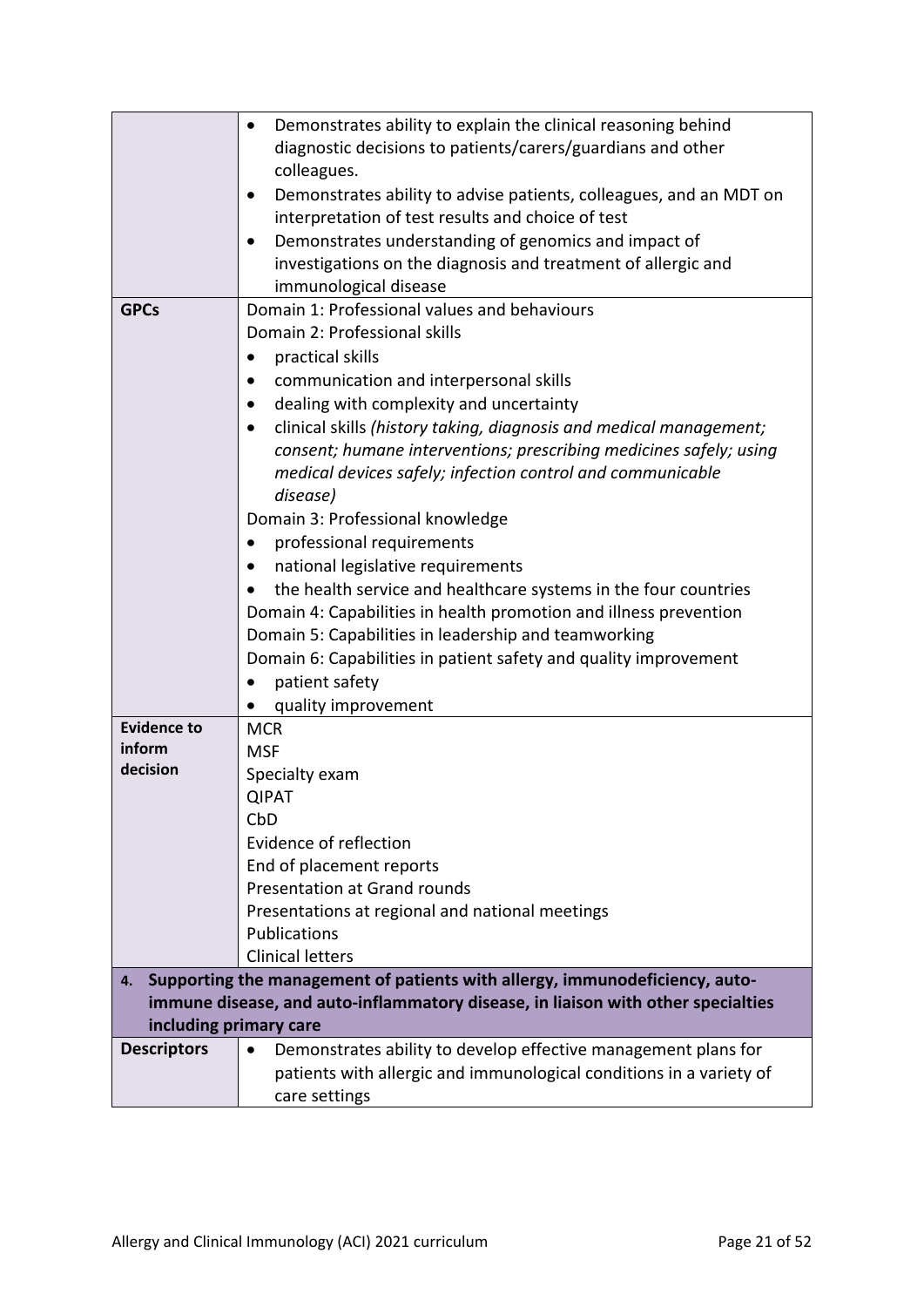|                                        | Demonstrates ability to explain the clinical reasoning behind<br>$\bullet$             |  |  |  |
|----------------------------------------|----------------------------------------------------------------------------------------|--|--|--|
|                                        | diagnostic decisions to patients/carers/guardians and other                            |  |  |  |
|                                        | colleagues.                                                                            |  |  |  |
|                                        | Demonstrates ability to advise patients, colleagues, and an MDT on                     |  |  |  |
|                                        | interpretation of test results and choice of test                                      |  |  |  |
|                                        | Demonstrates understanding of genomics and impact of                                   |  |  |  |
|                                        |                                                                                        |  |  |  |
|                                        | investigations on the diagnosis and treatment of allergic and<br>immunological disease |  |  |  |
|                                        | Domain 1: Professional values and behaviours                                           |  |  |  |
| <b>GPCs</b>                            | Domain 2: Professional skills                                                          |  |  |  |
|                                        |                                                                                        |  |  |  |
|                                        | practical skills<br>$\bullet$                                                          |  |  |  |
| communication and interpersonal skills |                                                                                        |  |  |  |
|                                        | dealing with complexity and uncertainty                                                |  |  |  |
|                                        | clinical skills (history taking, diagnosis and medical management;                     |  |  |  |
|                                        | consent; humane interventions; prescribing medicines safely; using                     |  |  |  |
|                                        | medical devices safely; infection control and communicable                             |  |  |  |
|                                        | disease)                                                                               |  |  |  |
|                                        | Domain 3: Professional knowledge                                                       |  |  |  |
|                                        | professional requirements<br>٠                                                         |  |  |  |
|                                        | national legislative requirements                                                      |  |  |  |
|                                        | the health service and healthcare systems in the four countries                        |  |  |  |
|                                        | Domain 4: Capabilities in health promotion and illness prevention                      |  |  |  |
|                                        | Domain 5: Capabilities in leadership and teamworking                                   |  |  |  |
|                                        | Domain 6: Capabilities in patient safety and quality improvement                       |  |  |  |
|                                        | patient safety                                                                         |  |  |  |
|                                        | quality improvement                                                                    |  |  |  |
| <b>Evidence to</b>                     | <b>MCR</b>                                                                             |  |  |  |
| inform                                 | <b>MSF</b>                                                                             |  |  |  |
| decision                               | Specialty exam                                                                         |  |  |  |
|                                        | <b>QIPAT</b>                                                                           |  |  |  |
|                                        | CbD                                                                                    |  |  |  |
|                                        | Evidence of reflection                                                                 |  |  |  |
|                                        | End of placement reports                                                               |  |  |  |
|                                        | <b>Presentation at Grand rounds</b>                                                    |  |  |  |
|                                        | Presentations at regional and national meetings                                        |  |  |  |
|                                        | Publications                                                                           |  |  |  |
|                                        | <b>Clinical letters</b>                                                                |  |  |  |
| 4.                                     | Supporting the management of patients with allergy, immunodeficiency, auto-            |  |  |  |
|                                        | immune disease, and auto-inflammatory disease, in liaison with other specialties       |  |  |  |
| including primary care                 |                                                                                        |  |  |  |
| <b>Descriptors</b>                     | Demonstrates ability to develop effective management plans for<br>$\bullet$            |  |  |  |
|                                        | patients with allergic and immunological conditions in a variety of                    |  |  |  |
|                                        | care settings                                                                          |  |  |  |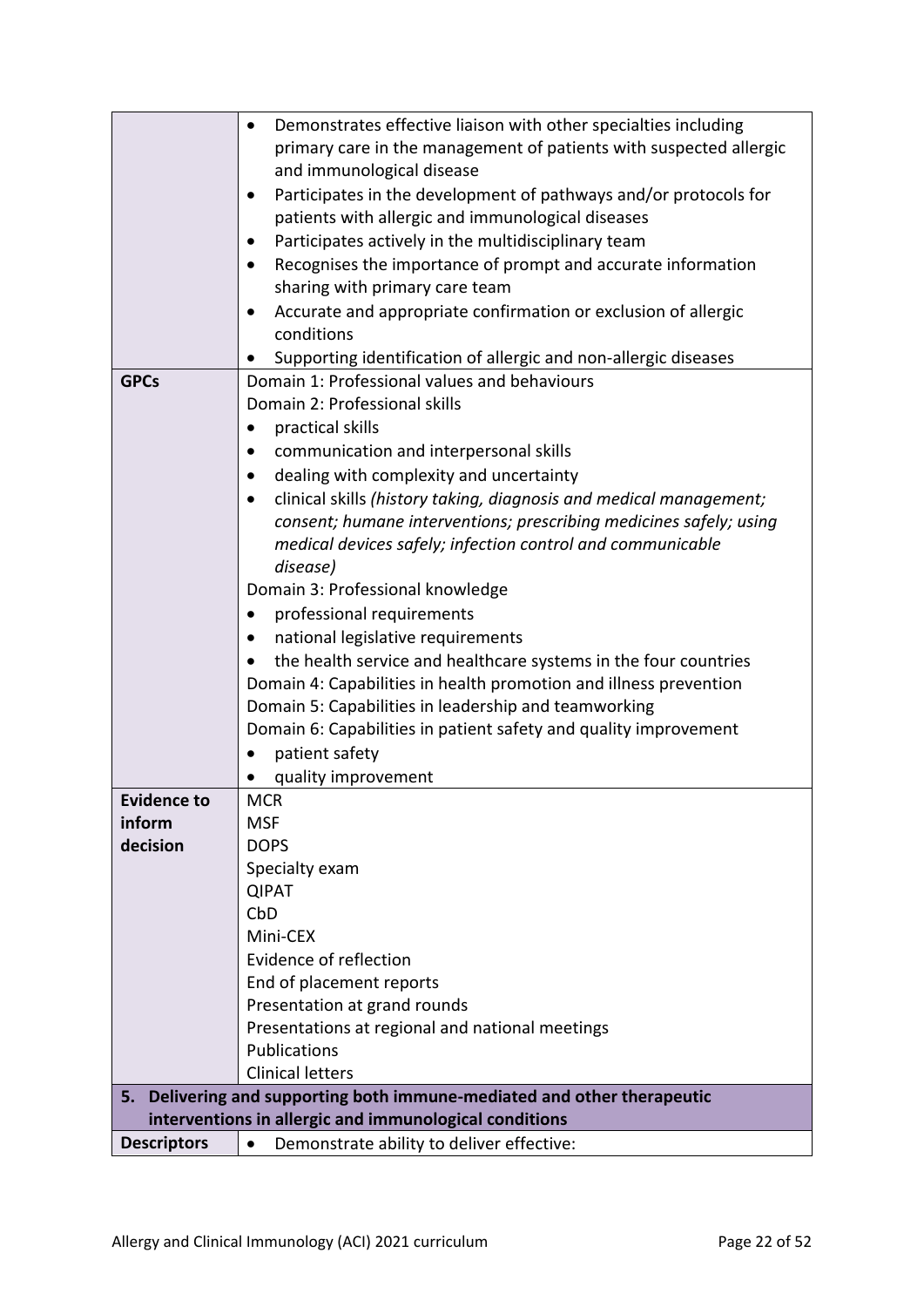|                    | Demonstrates effective liaison with other specialties including<br>٠      |
|--------------------|---------------------------------------------------------------------------|
|                    | primary care in the management of patients with suspected allergic        |
|                    | and immunological disease                                                 |
|                    | Participates in the development of pathways and/or protocols for          |
|                    | patients with allergic and immunological diseases                         |
|                    | Participates actively in the multidisciplinary team                       |
|                    | Recognises the importance of prompt and accurate information<br>$\bullet$ |
|                    | sharing with primary care team                                            |
|                    | Accurate and appropriate confirmation or exclusion of allergic<br>٠       |
|                    | conditions                                                                |
|                    | Supporting identification of allergic and non-allergic diseases           |
| <b>GPCs</b>        | Domain 1: Professional values and behaviours                              |
|                    | Domain 2: Professional skills                                             |
|                    | practical skills                                                          |
|                    | communication and interpersonal skills                                    |
|                    | dealing with complexity and uncertainty                                   |
|                    | clinical skills (history taking, diagnosis and medical management;        |
|                    | consent; humane interventions; prescribing medicines safely; using        |
|                    | medical devices safely; infection control and communicable                |
|                    | disease)                                                                  |
|                    | Domain 3: Professional knowledge                                          |
|                    | professional requirements<br>$\bullet$                                    |
|                    | national legislative requirements                                         |
|                    | the health service and healthcare systems in the four countries           |
|                    | Domain 4: Capabilities in health promotion and illness prevention         |
|                    | Domain 5: Capabilities in leadership and teamworking                      |
|                    | Domain 6: Capabilities in patient safety and quality improvement          |
|                    | patient safety                                                            |
|                    | quality improvement                                                       |
| <b>Evidence to</b> | <b>MCR</b>                                                                |
| inform             | <b>MSF</b>                                                                |
| decision           | <b>DOPS</b>                                                               |
|                    | Specialty exam                                                            |
|                    | <b>QIPAT</b>                                                              |
|                    | CbD                                                                       |
|                    | Mini-CEX                                                                  |
|                    | Evidence of reflection                                                    |
|                    | End of placement reports                                                  |
|                    | Presentation at grand rounds                                              |
|                    | Presentations at regional and national meetings                           |
|                    | Publications                                                              |
|                    | <b>Clinical letters</b>                                                   |
| 5.                 | Delivering and supporting both immune-mediated and other therapeutic      |
|                    | interventions in allergic and immunological conditions                    |
| <b>Descriptors</b> | Demonstrate ability to deliver effective:<br>$\bullet$                    |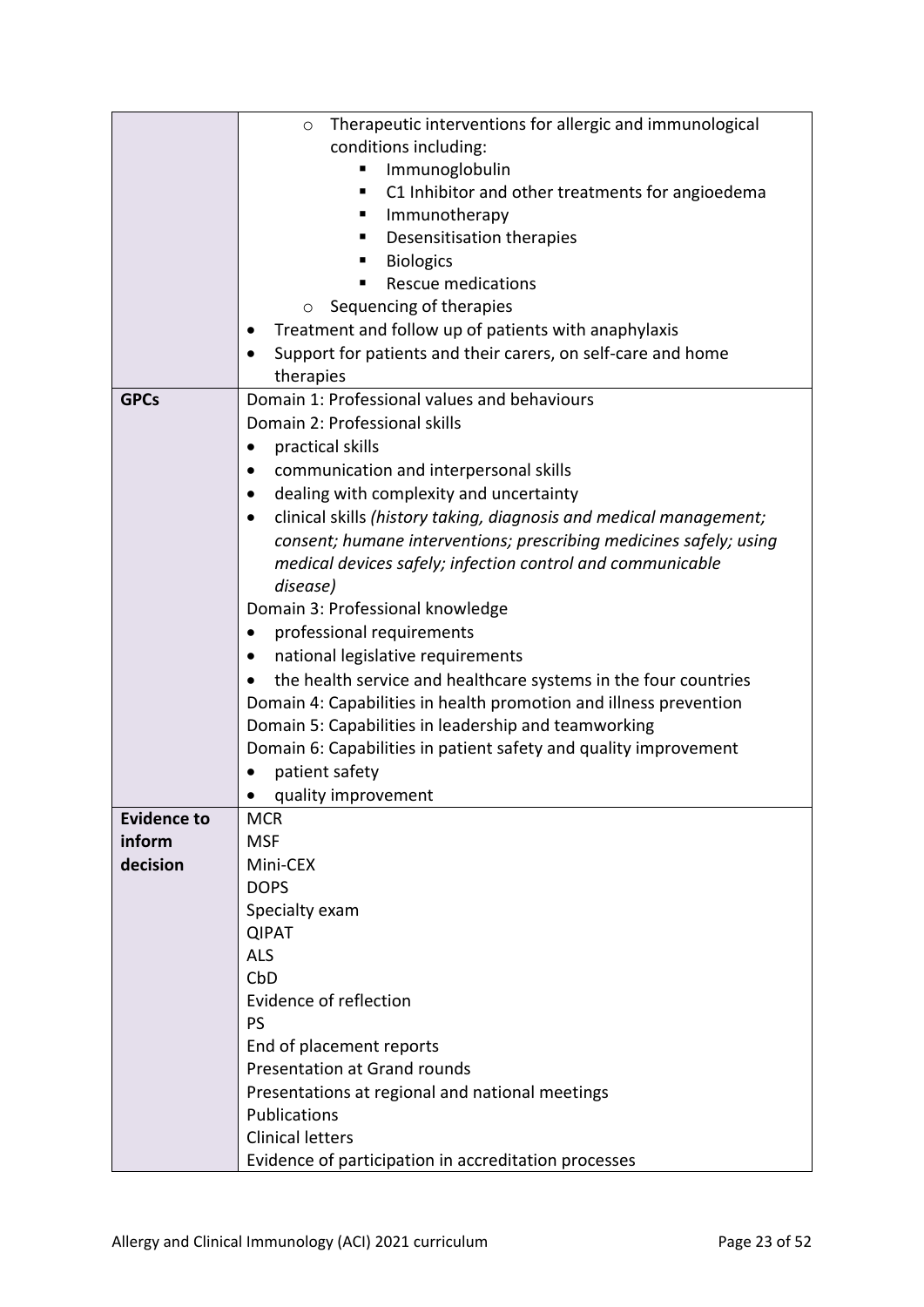|                    | Therapeutic interventions for allergic and immunological<br>$\circ$ |  |  |  |  |  |  |
|--------------------|---------------------------------------------------------------------|--|--|--|--|--|--|
|                    | conditions including:                                               |  |  |  |  |  |  |
|                    | Immunoglobulin                                                      |  |  |  |  |  |  |
|                    | C1 Inhibitor and other treatments for angioedema<br>п               |  |  |  |  |  |  |
|                    | Immunotherapy                                                       |  |  |  |  |  |  |
|                    | Desensitisation therapies                                           |  |  |  |  |  |  |
|                    | <b>Biologics</b>                                                    |  |  |  |  |  |  |
|                    | <b>Rescue medications</b>                                           |  |  |  |  |  |  |
|                    | Sequencing of therapies<br>O                                        |  |  |  |  |  |  |
|                    | Treatment and follow up of patients with anaphylaxis                |  |  |  |  |  |  |
|                    | Support for patients and their carers, on self-care and home        |  |  |  |  |  |  |
|                    | therapies                                                           |  |  |  |  |  |  |
| <b>GPCs</b>        | Domain 1: Professional values and behaviours                        |  |  |  |  |  |  |
|                    | Domain 2: Professional skills                                       |  |  |  |  |  |  |
|                    | practical skills<br>٠                                               |  |  |  |  |  |  |
|                    | communication and interpersonal skills                              |  |  |  |  |  |  |
|                    | dealing with complexity and uncertainty                             |  |  |  |  |  |  |
|                    | clinical skills (history taking, diagnosis and medical management;  |  |  |  |  |  |  |
|                    | consent; humane interventions; prescribing medicines safely; using  |  |  |  |  |  |  |
|                    | medical devices safely; infection control and communicable          |  |  |  |  |  |  |
|                    | disease)                                                            |  |  |  |  |  |  |
|                    |                                                                     |  |  |  |  |  |  |
|                    | Domain 3: Professional knowledge                                    |  |  |  |  |  |  |
|                    | professional requirements<br>٠                                      |  |  |  |  |  |  |
|                    | national legislative requirements<br>$\bullet$                      |  |  |  |  |  |  |
|                    | the health service and healthcare systems in the four countries     |  |  |  |  |  |  |
|                    | Domain 4: Capabilities in health promotion and illness prevention   |  |  |  |  |  |  |
|                    | Domain 5: Capabilities in leadership and teamworking                |  |  |  |  |  |  |
|                    | Domain 6: Capabilities in patient safety and quality improvement    |  |  |  |  |  |  |
|                    | patient safety                                                      |  |  |  |  |  |  |
|                    | quality improvement                                                 |  |  |  |  |  |  |
| <b>Evidence to</b> | <b>MCR</b>                                                          |  |  |  |  |  |  |
| inform             | <b>MSF</b>                                                          |  |  |  |  |  |  |
| decision           | Mini-CEX                                                            |  |  |  |  |  |  |
|                    | <b>DOPS</b>                                                         |  |  |  |  |  |  |
|                    | Specialty exam                                                      |  |  |  |  |  |  |
|                    | <b>QIPAT</b>                                                        |  |  |  |  |  |  |
|                    | <b>ALS</b>                                                          |  |  |  |  |  |  |
|                    | CbD                                                                 |  |  |  |  |  |  |
|                    | Evidence of reflection                                              |  |  |  |  |  |  |
|                    | <b>PS</b>                                                           |  |  |  |  |  |  |
|                    | End of placement reports                                            |  |  |  |  |  |  |
|                    | <b>Presentation at Grand rounds</b>                                 |  |  |  |  |  |  |
|                    | Presentations at regional and national meetings                     |  |  |  |  |  |  |
|                    | Publications                                                        |  |  |  |  |  |  |
|                    | <b>Clinical letters</b>                                             |  |  |  |  |  |  |
|                    |                                                                     |  |  |  |  |  |  |
|                    | Evidence of participation in accreditation processes                |  |  |  |  |  |  |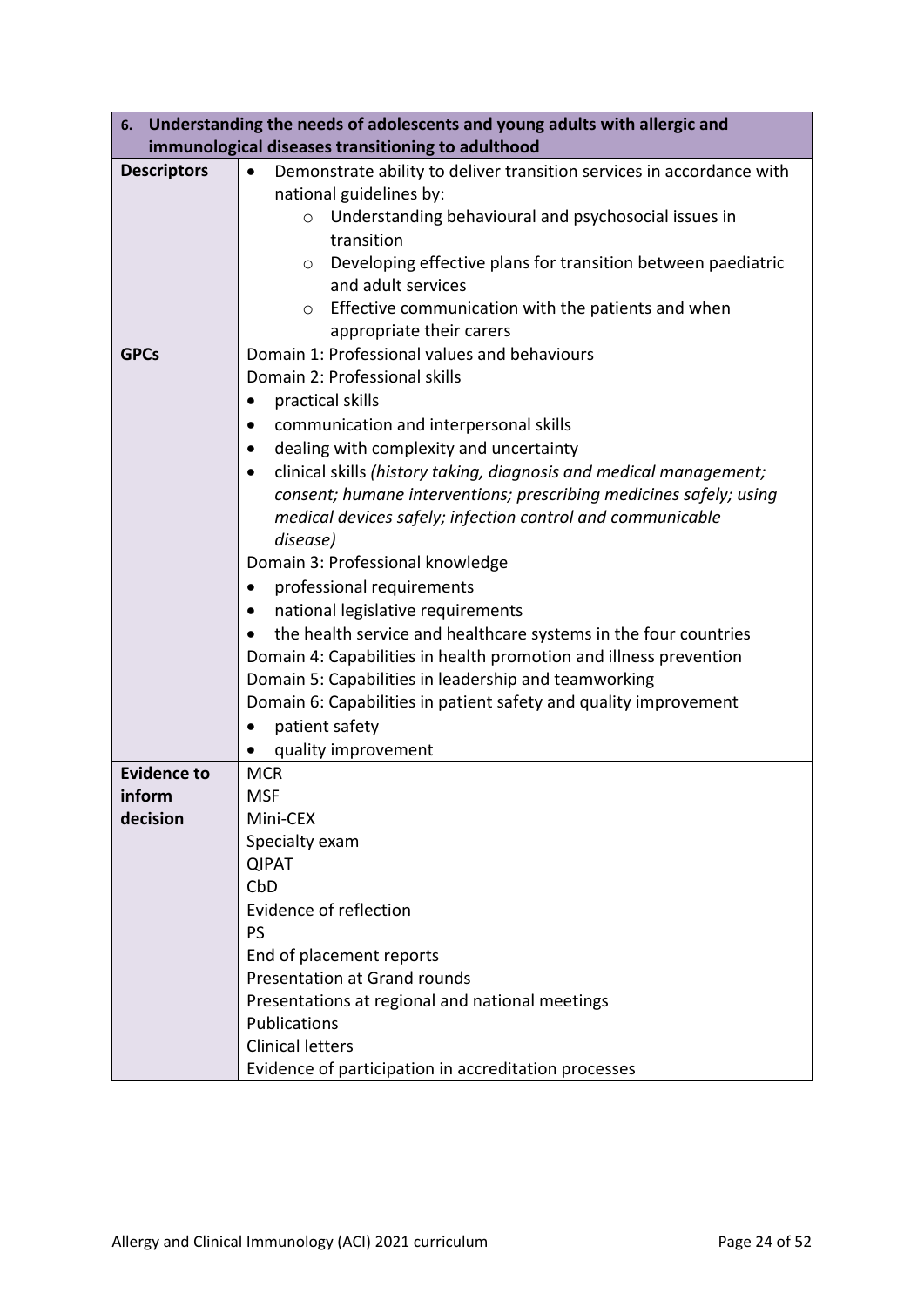|                                   | 6. Understanding the needs of adolescents and young adults with allergic and                                                                                                                                                                                                                                                                                                                                                                                                                                                                                                                                                                                                                                                                                                                       |
|-----------------------------------|----------------------------------------------------------------------------------------------------------------------------------------------------------------------------------------------------------------------------------------------------------------------------------------------------------------------------------------------------------------------------------------------------------------------------------------------------------------------------------------------------------------------------------------------------------------------------------------------------------------------------------------------------------------------------------------------------------------------------------------------------------------------------------------------------|
|                                   | immunological diseases transitioning to adulthood                                                                                                                                                                                                                                                                                                                                                                                                                                                                                                                                                                                                                                                                                                                                                  |
| <b>Descriptors</b><br><b>GPCs</b> | Demonstrate ability to deliver transition services in accordance with<br>$\bullet$<br>national guidelines by:<br>Understanding behavioural and psychosocial issues in<br>$\circ$<br>transition<br>Developing effective plans for transition between paediatric<br>$\circ$<br>and adult services<br>Effective communication with the patients and when<br>$\circ$<br>appropriate their carers<br>Domain 1: Professional values and behaviours<br>Domain 2: Professional skills                                                                                                                                                                                                                                                                                                                      |
|                                   | practical skills<br>communication and interpersonal skills<br>$\bullet$<br>dealing with complexity and uncertainty<br>clinical skills (history taking, diagnosis and medical management;<br>$\bullet$<br>consent; humane interventions; prescribing medicines safely; using<br>medical devices safely; infection control and communicable<br>disease)<br>Domain 3: Professional knowledge<br>professional requirements<br>national legislative requirements<br>$\bullet$<br>the health service and healthcare systems in the four countries<br>Domain 4: Capabilities in health promotion and illness prevention<br>Domain 5: Capabilities in leadership and teamworking<br>Domain 6: Capabilities in patient safety and quality improvement<br>patient safety<br>$\bullet$<br>quality improvement |
| <b>Evidence to</b>                | <b>MCR</b>                                                                                                                                                                                                                                                                                                                                                                                                                                                                                                                                                                                                                                                                                                                                                                                         |
| inform                            | <b>MSF</b>                                                                                                                                                                                                                                                                                                                                                                                                                                                                                                                                                                                                                                                                                                                                                                                         |
| decision                          | Mini-CEX<br>Specialty exam<br><b>QIPAT</b><br>CbD<br>Evidence of reflection<br><b>PS</b><br>End of placement reports<br><b>Presentation at Grand rounds</b><br>Presentations at regional and national meetings<br>Publications<br><b>Clinical letters</b><br>Evidence of participation in accreditation processes                                                                                                                                                                                                                                                                                                                                                                                                                                                                                  |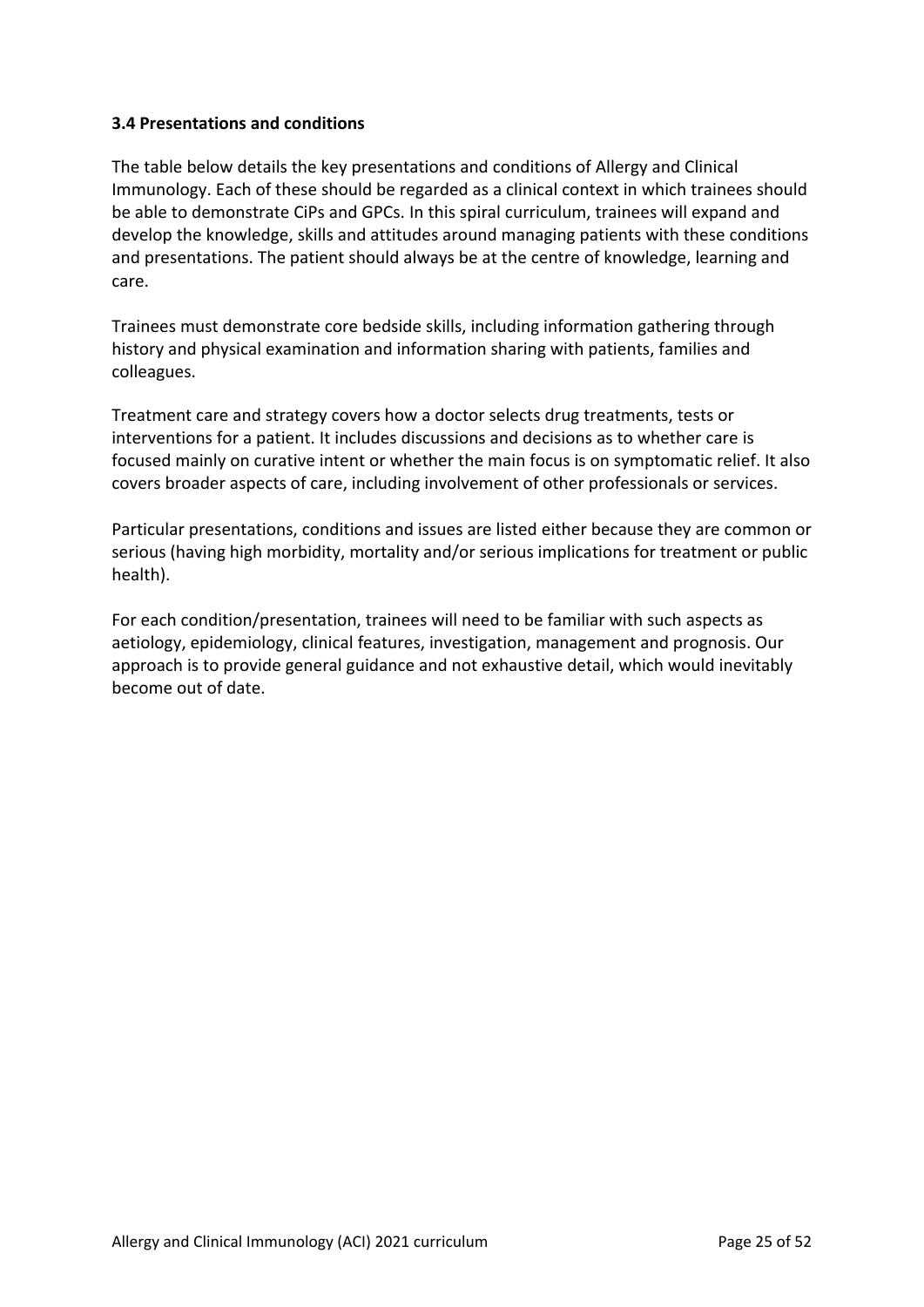### <span id="page-24-0"></span>**3.4 Presentations and conditions**

The table below details the key presentations and conditions of Allergy and Clinical Immunology. Each of these should be regarded as a clinical context in which trainees should be able to demonstrate CiPs and GPCs. In this spiral curriculum, trainees will expand and develop the knowledge, skills and attitudes around managing patients with these conditions and presentations. The patient should always be at the centre of knowledge, learning and care.

Trainees must demonstrate core bedside skills, including information gathering through history and physical examination and information sharing with patients, families and colleagues.

Treatment care and strategy covers how a doctor selects drug treatments, tests or interventions for a patient. It includes discussions and decisions as to whether care is focused mainly on curative intent or whether the main focus is on symptomatic relief. It also covers broader aspects of care, including involvement of other professionals or services.

Particular presentations, conditions and issues are listed either because they are common or serious (having high morbidity, mortality and/or serious implications for treatment or public health).

For each condition/presentation, trainees will need to be familiar with such aspects as aetiology, epidemiology, clinical features, investigation, management and prognosis. Our approach is to provide general guidance and not exhaustive detail, which would inevitably become out of date.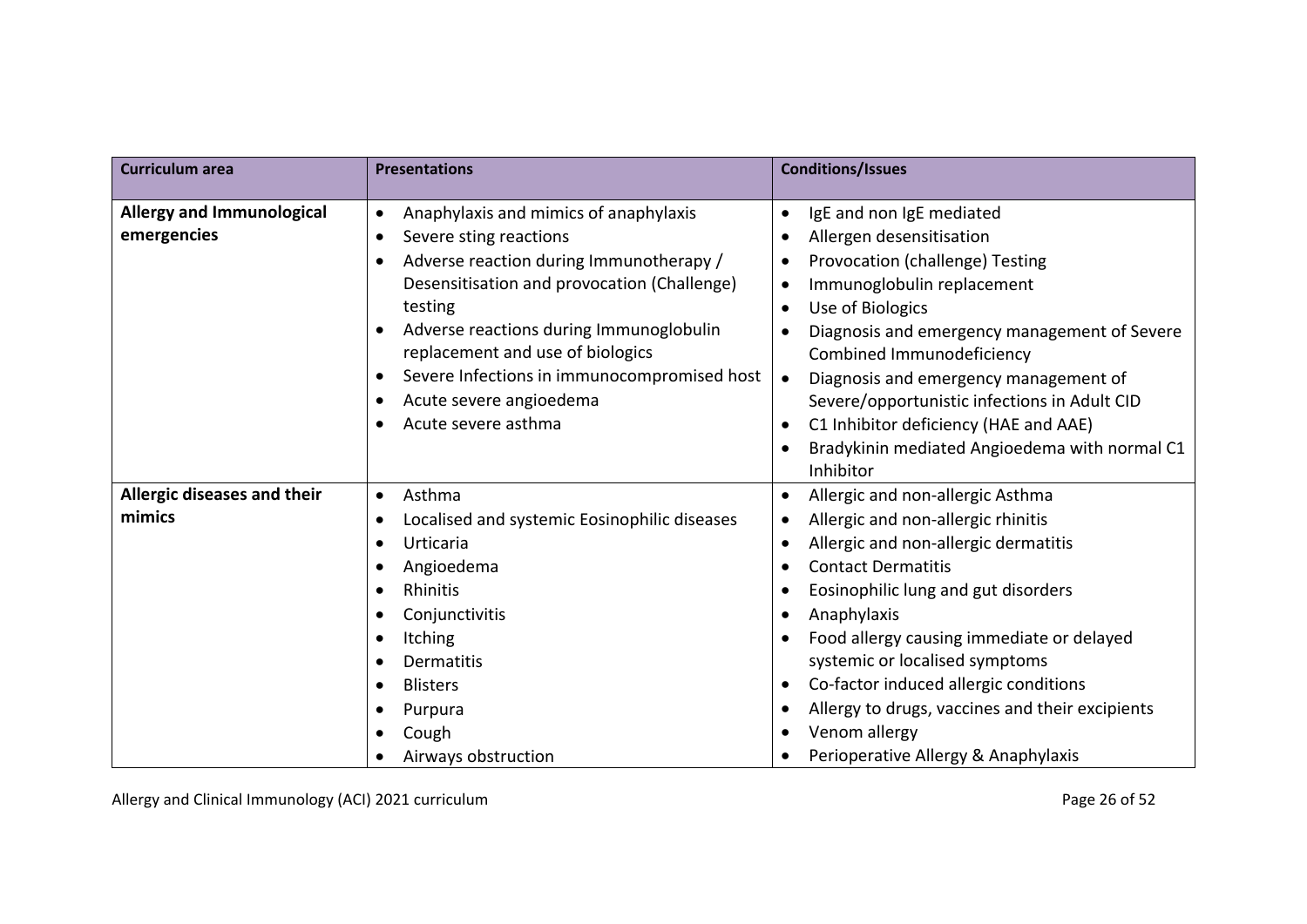| <b>Curriculum area</b>                          | <b>Presentations</b>                                                                                                                                                                                                                                                                                                                                                                                                                            | <b>Conditions/Issues</b>                                                                                                                                                                                                                                                                                                                                                                                                                                                                                                                                                            |
|-------------------------------------------------|-------------------------------------------------------------------------------------------------------------------------------------------------------------------------------------------------------------------------------------------------------------------------------------------------------------------------------------------------------------------------------------------------------------------------------------------------|-------------------------------------------------------------------------------------------------------------------------------------------------------------------------------------------------------------------------------------------------------------------------------------------------------------------------------------------------------------------------------------------------------------------------------------------------------------------------------------------------------------------------------------------------------------------------------------|
| <b>Allergy and Immunological</b><br>emergencies | Anaphylaxis and mimics of anaphylaxis<br>$\bullet$<br>Severe sting reactions<br>$\bullet$<br>Adverse reaction during Immunotherapy /<br>$\bullet$<br>Desensitisation and provocation (Challenge)<br>testing<br>Adverse reactions during Immunoglobulin<br>$\bullet$<br>replacement and use of biologics<br>Severe Infections in immunocompromised host<br>$\bullet$<br>Acute severe angioedema<br>$\bullet$<br>Acute severe asthma<br>$\bullet$ | IgE and non IgE mediated<br>$\bullet$<br>Allergen desensitisation<br>$\bullet$<br>Provocation (challenge) Testing<br>$\bullet$<br>Immunoglobulin replacement<br>$\bullet$<br>Use of Biologics<br>$\bullet$<br>Diagnosis and emergency management of Severe<br>$\bullet$<br>Combined Immunodeficiency<br>Diagnosis and emergency management of<br>$\bullet$<br>Severe/opportunistic infections in Adult CID<br>C1 Inhibitor deficiency (HAE and AAE)<br>$\bullet$<br>Bradykinin mediated Angioedema with normal C1<br>$\bullet$<br>Inhibitor                                         |
| Allergic diseases and their<br>mimics           | Asthma<br>$\bullet$<br>Localised and systemic Eosinophilic diseases<br>$\bullet$<br>Urticaria<br>$\bullet$<br>Angioedema<br>$\bullet$<br>Rhinitis<br>$\bullet$<br>Conjunctivitis<br>$\bullet$<br><b>Itching</b><br>$\bullet$<br>Dermatitis<br>$\bullet$<br><b>Blisters</b><br>$\bullet$<br>Purpura<br>$\bullet$<br>Cough<br>٠<br>Airways obstruction<br>$\bullet$                                                                               | Allergic and non-allergic Asthma<br>$\bullet$<br>Allergic and non-allergic rhinitis<br>$\bullet$<br>Allergic and non-allergic dermatitis<br>$\bullet$<br><b>Contact Dermatitis</b><br>$\bullet$<br>Eosinophilic lung and gut disorders<br>$\bullet$<br>Anaphylaxis<br>$\bullet$<br>Food allergy causing immediate or delayed<br>$\bullet$<br>systemic or localised symptoms<br>Co-factor induced allergic conditions<br>$\bullet$<br>Allergy to drugs, vaccines and their excipients<br>$\bullet$<br>Venom allergy<br>$\bullet$<br>Perioperative Allergy & Anaphylaxis<br>$\bullet$ |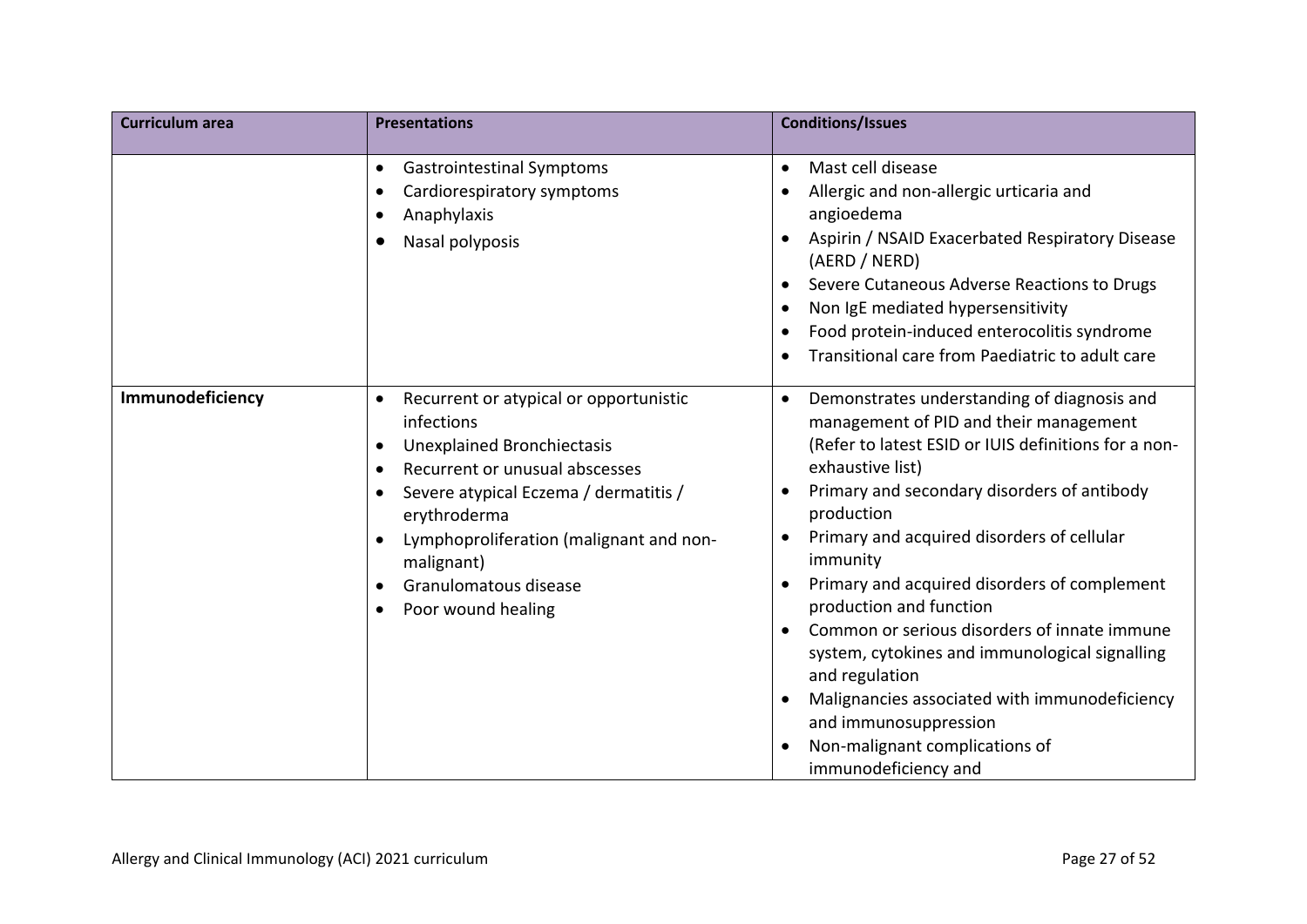| <b>Curriculum area</b> | <b>Presentations</b>                                                                                                                                                                                                                                                                                                                                                            | <b>Conditions/Issues</b>                                                                                                                                                                                                                                                                                                                                                                                                                                                                                                                                                                                                                                                                                  |
|------------------------|---------------------------------------------------------------------------------------------------------------------------------------------------------------------------------------------------------------------------------------------------------------------------------------------------------------------------------------------------------------------------------|-----------------------------------------------------------------------------------------------------------------------------------------------------------------------------------------------------------------------------------------------------------------------------------------------------------------------------------------------------------------------------------------------------------------------------------------------------------------------------------------------------------------------------------------------------------------------------------------------------------------------------------------------------------------------------------------------------------|
|                        | <b>Gastrointestinal Symptoms</b><br>$\bullet$<br>Cardiorespiratory symptoms<br>$\bullet$<br>Anaphylaxis<br>٠<br>Nasal polyposis<br>$\bullet$                                                                                                                                                                                                                                    | Mast cell disease<br>$\bullet$<br>Allergic and non-allergic urticaria and<br>$\bullet$<br>angioedema<br>Aspirin / NSAID Exacerbated Respiratory Disease<br>$\bullet$<br>(AERD / NERD)<br>Severe Cutaneous Adverse Reactions to Drugs<br>$\bullet$<br>Non IgE mediated hypersensitivity<br>$\bullet$<br>Food protein-induced enterocolitis syndrome<br>$\bullet$<br>Transitional care from Paediatric to adult care<br>$\bullet$                                                                                                                                                                                                                                                                           |
| Immunodeficiency       | Recurrent or atypical or opportunistic<br>$\bullet$<br>infections<br><b>Unexplained Bronchiectasis</b><br>$\bullet$<br>Recurrent or unusual abscesses<br>$\bullet$<br>Severe atypical Eczema / dermatitis /<br>$\bullet$<br>erythroderma<br>Lymphoproliferation (malignant and non-<br>$\bullet$<br>malignant)<br>Granulomatous disease<br>$\bullet$<br>Poor wound healing<br>٠ | Demonstrates understanding of diagnosis and<br>$\bullet$<br>management of PID and their management<br>(Refer to latest ESID or IUIS definitions for a non-<br>exhaustive list)<br>Primary and secondary disorders of antibody<br>$\bullet$<br>production<br>Primary and acquired disorders of cellular<br>$\bullet$<br>immunity<br>Primary and acquired disorders of complement<br>$\bullet$<br>production and function<br>Common or serious disorders of innate immune<br>$\bullet$<br>system, cytokines and immunological signalling<br>and regulation<br>Malignancies associated with immunodeficiency<br>and immunosuppression<br>Non-malignant complications of<br>$\bullet$<br>immunodeficiency and |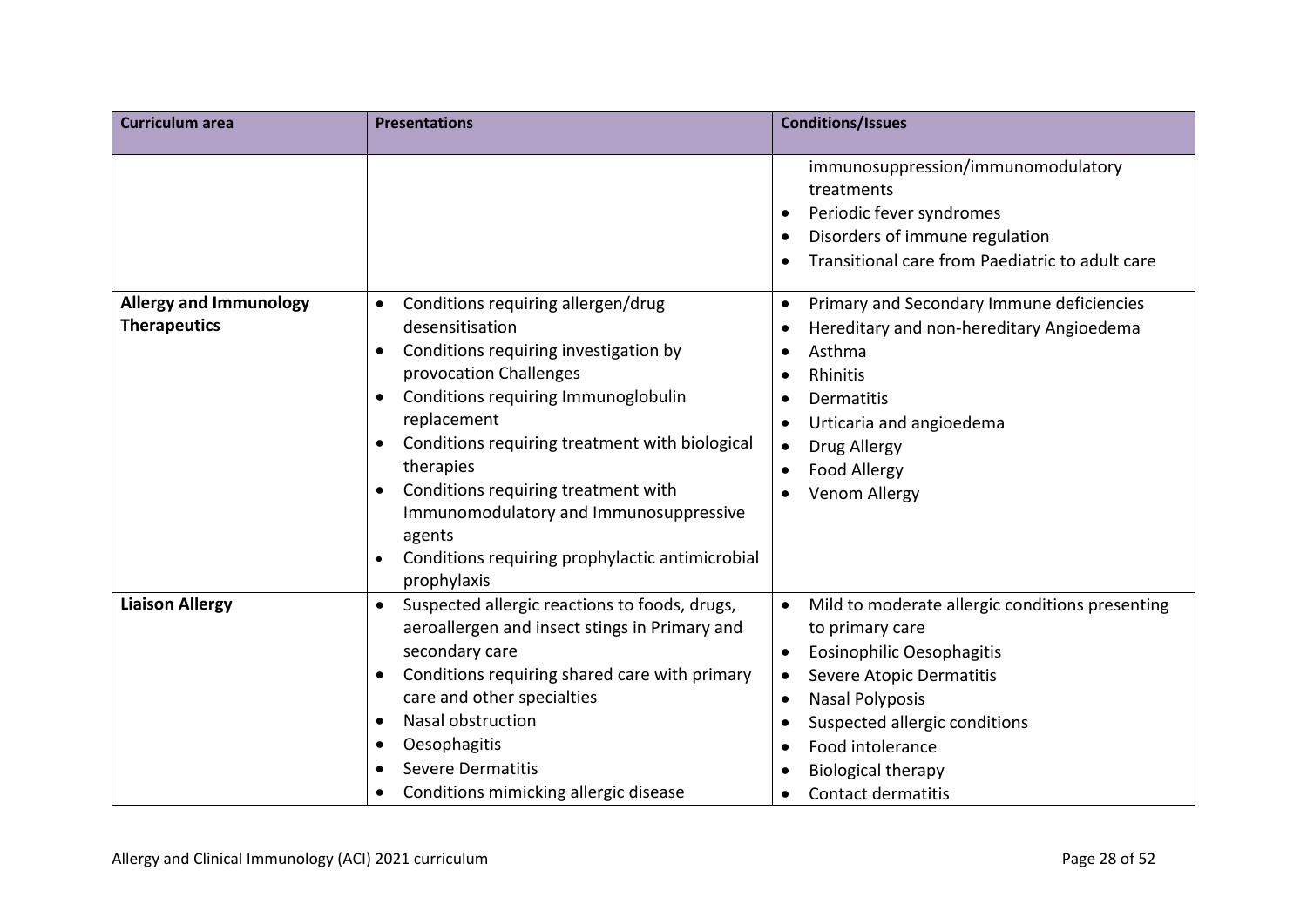| <b>Curriculum area</b>                               | <b>Presentations</b>                                                                                                                                                                                                                                                                                                                                                                                                                      | <b>Conditions/Issues</b>                                                                                                                                                                                                                                                                                                                                                     |
|------------------------------------------------------|-------------------------------------------------------------------------------------------------------------------------------------------------------------------------------------------------------------------------------------------------------------------------------------------------------------------------------------------------------------------------------------------------------------------------------------------|------------------------------------------------------------------------------------------------------------------------------------------------------------------------------------------------------------------------------------------------------------------------------------------------------------------------------------------------------------------------------|
|                                                      |                                                                                                                                                                                                                                                                                                                                                                                                                                           | immunosuppression/immunomodulatory<br>treatments<br>Periodic fever syndromes<br>$\bullet$<br>Disorders of immune regulation<br>Transitional care from Paediatric to adult care<br>$\bullet$                                                                                                                                                                                  |
| <b>Allergy and Immunology</b><br><b>Therapeutics</b> | Conditions requiring allergen/drug<br>$\bullet$<br>desensitisation<br>Conditions requiring investigation by<br>٠<br>provocation Challenges<br>Conditions requiring Immunoglobulin<br>replacement<br>Conditions requiring treatment with biological<br>therapies<br>Conditions requiring treatment with<br>Immunomodulatory and Immunosuppressive<br>agents<br>Conditions requiring prophylactic antimicrobial<br>$\bullet$<br>prophylaxis | Primary and Secondary Immune deficiencies<br>$\bullet$<br>Hereditary and non-hereditary Angioedema<br>$\bullet$<br>Asthma<br>$\bullet$<br>Rhinitis<br>$\bullet$<br>Dermatitis<br>$\bullet$<br>Urticaria and angioedema<br>$\bullet$<br>Drug Allergy<br>$\bullet$<br>Food Allergy<br>$\bullet$<br>Venom Allergy<br>$\bullet$                                                  |
| <b>Liaison Allergy</b>                               | Suspected allergic reactions to foods, drugs,<br>$\bullet$<br>aeroallergen and insect stings in Primary and<br>secondary care<br>Conditions requiring shared care with primary<br>care and other specialties<br>Nasal obstruction<br>Oesophagitis<br>٠<br><b>Severe Dermatitis</b><br>Conditions mimicking allergic disease                                                                                                               | Mild to moderate allergic conditions presenting<br>$\bullet$<br>to primary care<br>Eosinophilic Oesophagitis<br>$\bullet$<br>Severe Atopic Dermatitis<br>$\bullet$<br><b>Nasal Polyposis</b><br>$\bullet$<br>Suspected allergic conditions<br>$\bullet$<br>Food intolerance<br>$\bullet$<br><b>Biological therapy</b><br>$\bullet$<br><b>Contact dermatitis</b><br>$\bullet$ |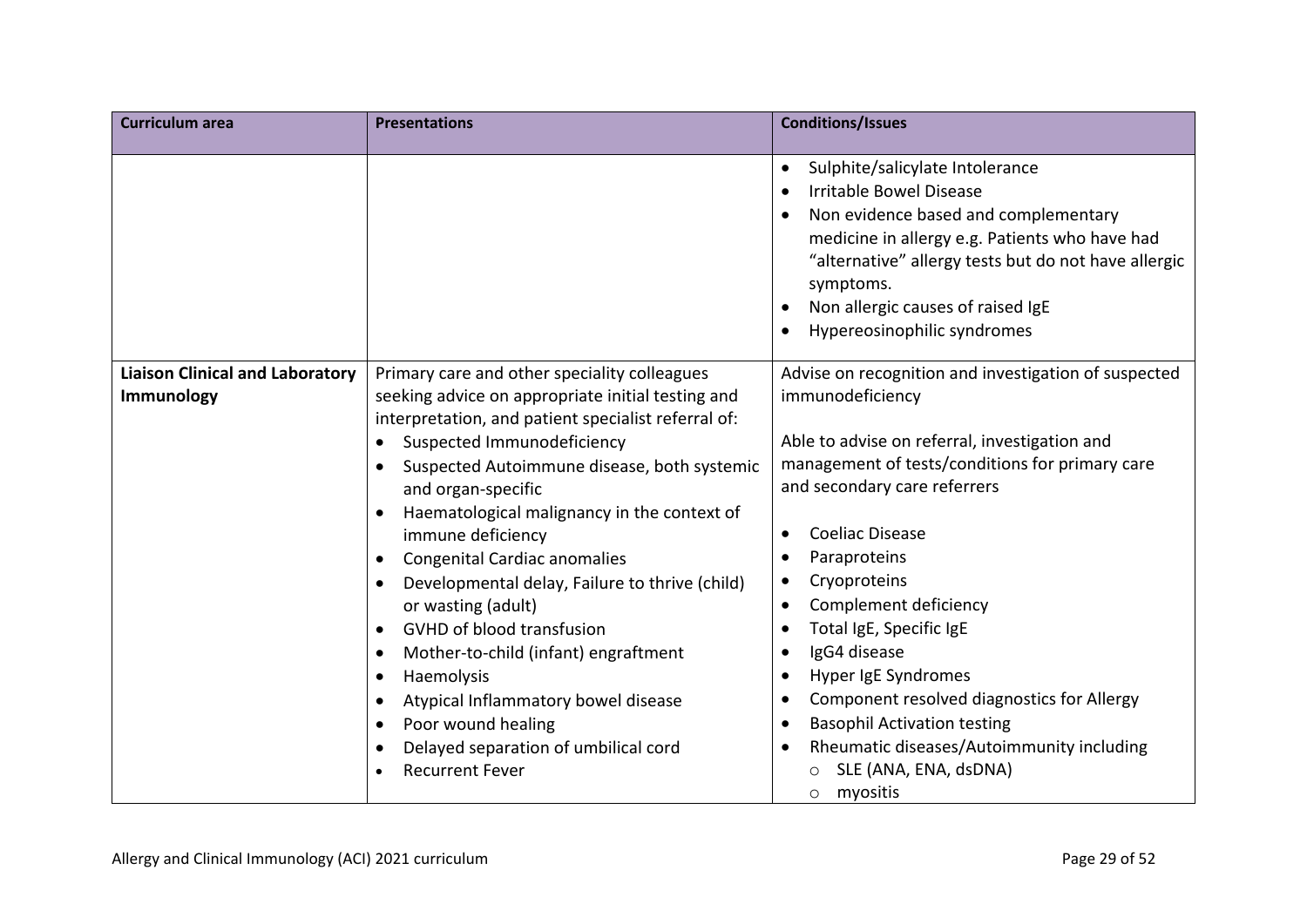| <b>Curriculum area</b>                               | <b>Presentations</b>                                                                                                                                                                                                                                                                                                                                                                                                                                                                                                                                                                                                                                                                                                                                                                         | <b>Conditions/Issues</b>                                                                                                                                                                                                                                                                                                                                                                                                                                                                                                                                                                                                                                                             |
|------------------------------------------------------|----------------------------------------------------------------------------------------------------------------------------------------------------------------------------------------------------------------------------------------------------------------------------------------------------------------------------------------------------------------------------------------------------------------------------------------------------------------------------------------------------------------------------------------------------------------------------------------------------------------------------------------------------------------------------------------------------------------------------------------------------------------------------------------------|--------------------------------------------------------------------------------------------------------------------------------------------------------------------------------------------------------------------------------------------------------------------------------------------------------------------------------------------------------------------------------------------------------------------------------------------------------------------------------------------------------------------------------------------------------------------------------------------------------------------------------------------------------------------------------------|
|                                                      |                                                                                                                                                                                                                                                                                                                                                                                                                                                                                                                                                                                                                                                                                                                                                                                              | Sulphite/salicylate Intolerance<br>$\bullet$<br>Irritable Bowel Disease<br>$\bullet$<br>Non evidence based and complementary<br>$\bullet$<br>medicine in allergy e.g. Patients who have had<br>"alternative" allergy tests but do not have allergic<br>symptoms.<br>Non allergic causes of raised IgE<br>$\bullet$<br>Hypereosinophilic syndromes                                                                                                                                                                                                                                                                                                                                    |
| <b>Liaison Clinical and Laboratory</b><br>Immunology | Primary care and other speciality colleagues<br>seeking advice on appropriate initial testing and<br>interpretation, and patient specialist referral of:<br>Suspected Immunodeficiency<br>Suspected Autoimmune disease, both systemic<br>and organ-specific<br>Haematological malignancy in the context of<br>immune deficiency<br><b>Congenital Cardiac anomalies</b><br>$\bullet$<br>Developmental delay, Failure to thrive (child)<br>$\bullet$<br>or wasting (adult)<br><b>GVHD of blood transfusion</b><br>$\bullet$<br>Mother-to-child (infant) engraftment<br>$\bullet$<br>Haemolysis<br>$\bullet$<br>Atypical Inflammatory bowel disease<br>$\bullet$<br>Poor wound healing<br>$\bullet$<br>Delayed separation of umbilical cord<br>$\bullet$<br><b>Recurrent Fever</b><br>$\bullet$ | Advise on recognition and investigation of suspected<br>immunodeficiency<br>Able to advise on referral, investigation and<br>management of tests/conditions for primary care<br>and secondary care referrers<br><b>Coeliac Disease</b><br>$\bullet$<br>Paraproteins<br>$\bullet$<br>Cryoproteins<br>$\bullet$<br>Complement deficiency<br>$\bullet$<br>Total IgE, Specific IgE<br>$\bullet$<br>IgG4 disease<br>$\bullet$<br>Hyper IgE Syndromes<br>$\bullet$<br>Component resolved diagnostics for Allergy<br>$\bullet$<br><b>Basophil Activation testing</b><br>$\bullet$<br>Rheumatic diseases/Autoimmunity including<br>$\bullet$<br>SLE (ANA, ENA, dsDNA)<br>myositis<br>$\circ$ |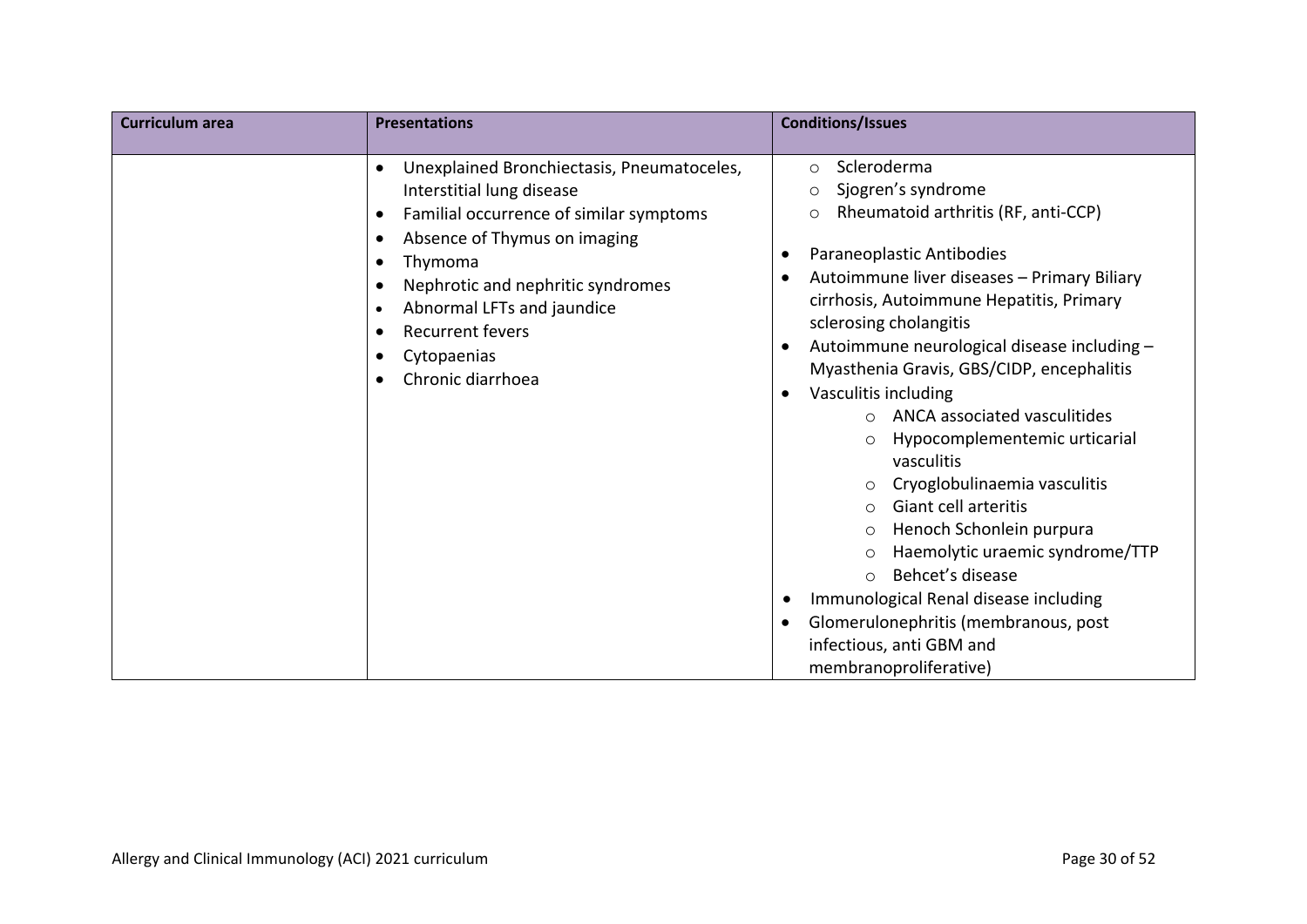| <b>Curriculum</b> area | <b>Presentations</b>                                                                                                                                                                                                                                                                                                                                                                                    | <b>Conditions/Issues</b>                                                                                                                                                                                                                                                                                                                                                                                                                                                                                                                                                                                                                                                                                                                                                                                                                                                   |
|------------------------|---------------------------------------------------------------------------------------------------------------------------------------------------------------------------------------------------------------------------------------------------------------------------------------------------------------------------------------------------------------------------------------------------------|----------------------------------------------------------------------------------------------------------------------------------------------------------------------------------------------------------------------------------------------------------------------------------------------------------------------------------------------------------------------------------------------------------------------------------------------------------------------------------------------------------------------------------------------------------------------------------------------------------------------------------------------------------------------------------------------------------------------------------------------------------------------------------------------------------------------------------------------------------------------------|
|                        | Unexplained Bronchiectasis, Pneumatoceles,<br>$\bullet$<br>Interstitial lung disease<br>Familial occurrence of similar symptoms<br>$\bullet$<br>Absence of Thymus on imaging<br>$\bullet$<br>Thymoma<br>$\bullet$<br>Nephrotic and nephritic syndromes<br>$\bullet$<br>Abnormal LFTs and jaundice<br>$\bullet$<br><b>Recurrent fevers</b><br>$\bullet$<br>Cytopaenias<br>Chronic diarrhoea<br>$\bullet$ | Scleroderma<br>$\circ$<br>Sjogren's syndrome<br>$\circ$<br>Rheumatoid arthritis (RF, anti-CCP)<br>$\circ$<br>Paraneoplastic Antibodies<br>٠<br>Autoimmune liver diseases - Primary Biliary<br>cirrhosis, Autoimmune Hepatitis, Primary<br>sclerosing cholangitis<br>Autoimmune neurological disease including -<br>$\bullet$<br>Myasthenia Gravis, GBS/CIDP, encephalitis<br>Vasculitis including<br>$\bullet$<br>ANCA associated vasculitides<br>$\circ$<br>Hypocomplementemic urticarial<br>$\circ$<br>vasculitis<br>Cryoglobulinaemia vasculitis<br><b>Giant cell arteritis</b><br>$\circ$<br>Henoch Schonlein purpura<br>$\circ$<br>Haemolytic uraemic syndrome/TTP<br>Behcet's disease<br>$\bigcirc$<br>Immunological Renal disease including<br>$\bullet$<br>Glomerulonephritis (membranous, post<br>$\bullet$<br>infectious, anti GBM and<br>membranoproliferative) |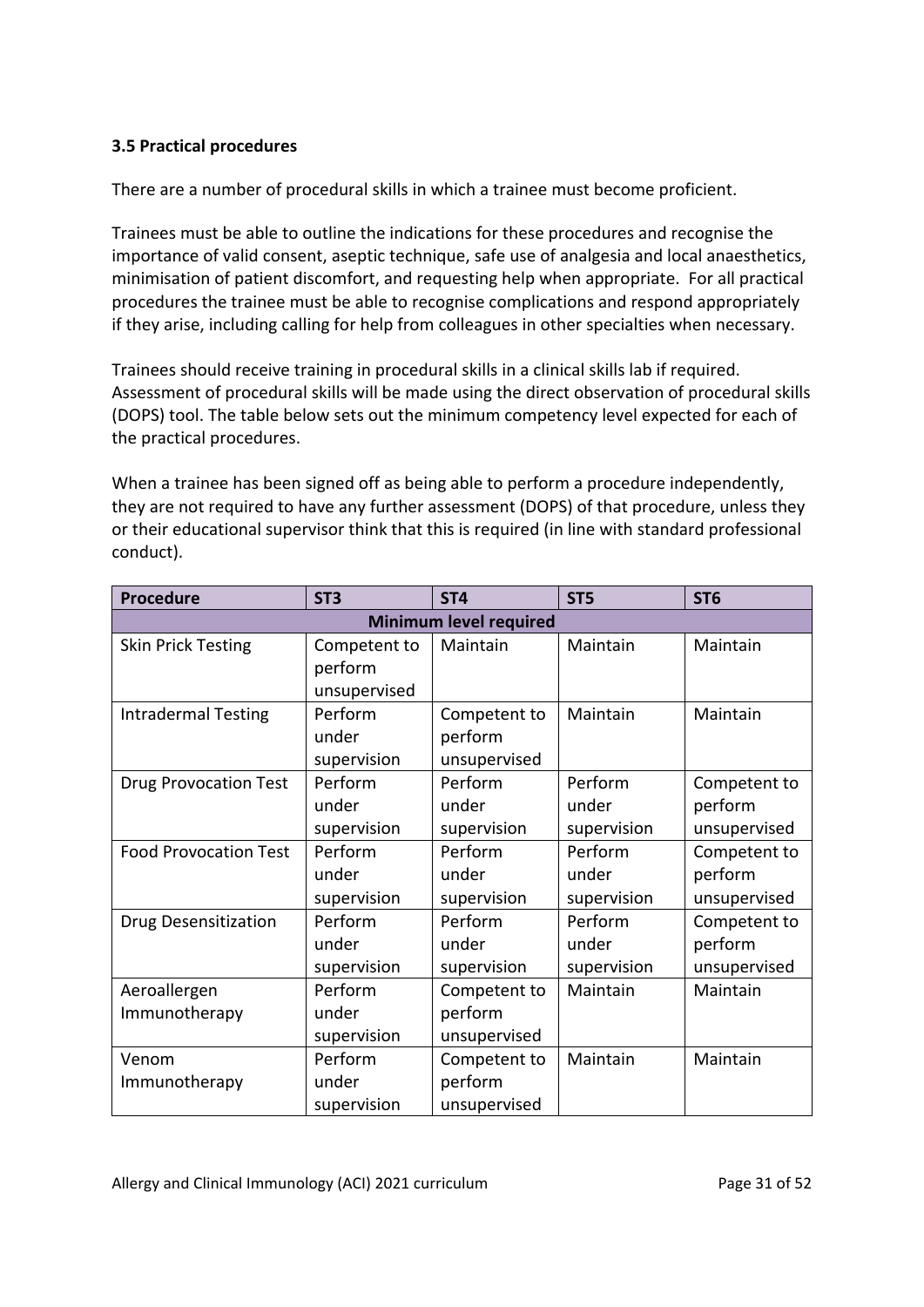## <span id="page-30-0"></span>**3.5 Practical procedures**

There are a number of procedural skills in which a trainee must become proficient.

Trainees must be able to outline the indications for these procedures and recognise the importance of valid consent, aseptic technique, safe use of analgesia and local anaesthetics, minimisation of patient discomfort, and requesting help when appropriate. For all practical procedures the trainee must be able to recognise complications and respond appropriately if they arise, including calling for help from colleagues in other specialties when necessary.

Trainees should receive training in procedural skills in a clinical skills lab if required. Assessment of procedural skills will be made using the direct observation of procedural skills (DOPS) tool. The table below sets out the minimum competency level expected for each of the practical procedures.

When a trainee has been signed off as being able to perform a procedure independently, they are not required to have any further assessment (DOPS) of that procedure, unless they or their educational supervisor think that this is required (in line with standard professional conduct).

| <b>Procedure</b>              | ST <sub>3</sub> | ST <sub>4</sub> | ST <sub>5</sub> | ST <sub>6</sub> |  |  |
|-------------------------------|-----------------|-----------------|-----------------|-----------------|--|--|
| <b>Minimum level required</b> |                 |                 |                 |                 |  |  |
| <b>Skin Prick Testing</b>     | Competent to    | Maintain        | Maintain        | Maintain        |  |  |
|                               | perform         |                 |                 |                 |  |  |
|                               | unsupervised    |                 |                 |                 |  |  |
| <b>Intradermal Testing</b>    | Perform         | Competent to    | Maintain        | Maintain        |  |  |
|                               | under           | perform         |                 |                 |  |  |
|                               | supervision     | unsupervised    |                 |                 |  |  |
| <b>Drug Provocation Test</b>  | Perform         | Perform         | Perform         | Competent to    |  |  |
|                               | under           | under           | under           | perform         |  |  |
|                               | supervision     | supervision     | supervision     | unsupervised    |  |  |
| <b>Food Provocation Test</b>  | Perform         | Perform         | Perform         | Competent to    |  |  |
|                               | under           | under           | under           | perform         |  |  |
|                               | supervision     | supervision     | supervision     | unsupervised    |  |  |
| Drug Desensitization          | Perform         | Perform         | Perform         | Competent to    |  |  |
|                               | under           | under           | under           | perform         |  |  |
|                               | supervision     | supervision     | supervision     | unsupervised    |  |  |
| Aeroallergen                  | Perform         | Competent to    | Maintain        | Maintain        |  |  |
| Immunotherapy                 | under           | perform         |                 |                 |  |  |
|                               | supervision     | unsupervised    |                 |                 |  |  |
| Venom                         | Perform         | Competent to    | Maintain        | Maintain        |  |  |
| Immunotherapy                 | under           | perform         |                 |                 |  |  |
|                               | supervision     | unsupervised    |                 |                 |  |  |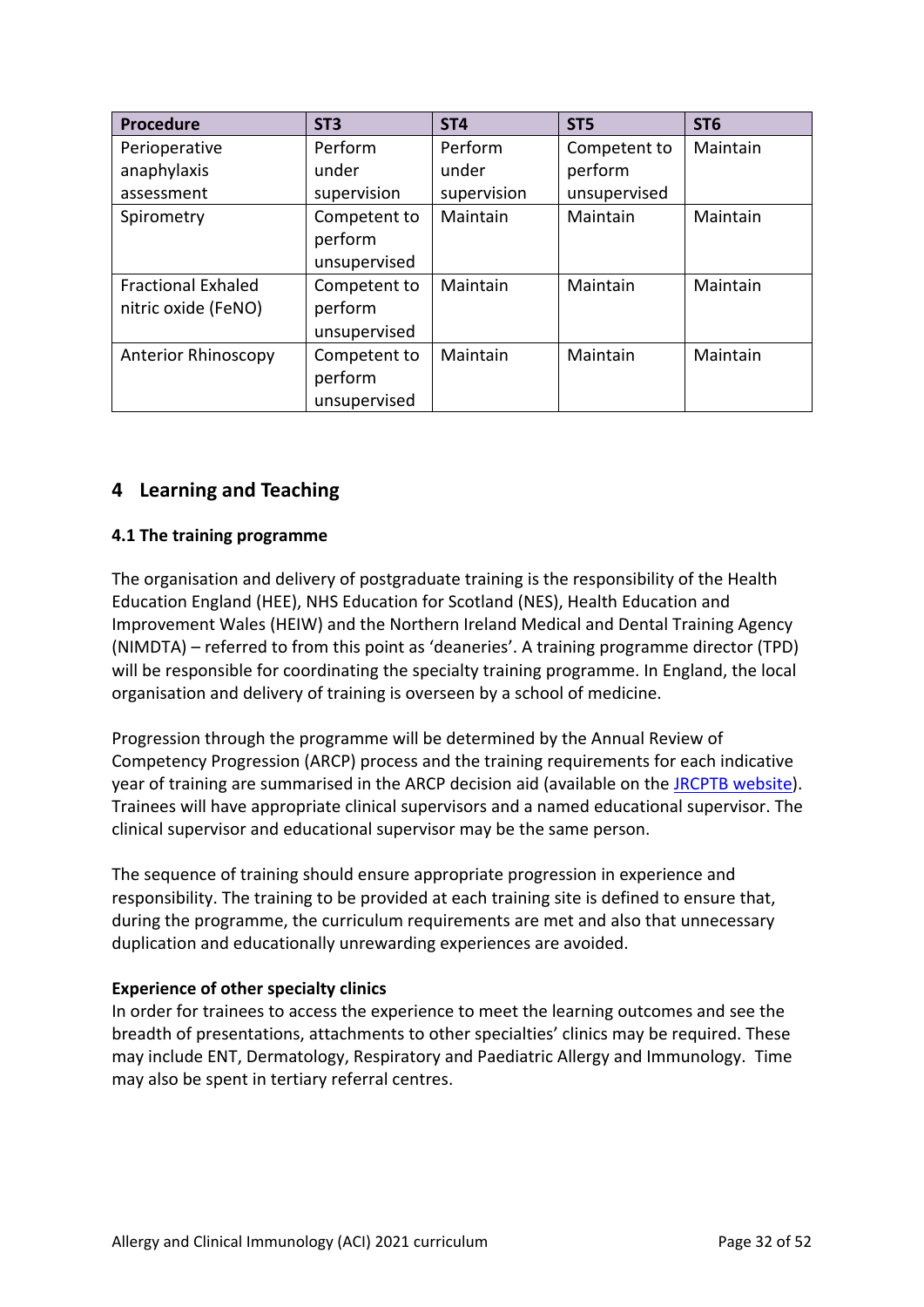| <b>Procedure</b>                                 | ST <sub>3</sub>                         | ST <sub>4</sub> | ST <sub>5</sub> | ST <sub>6</sub> |
|--------------------------------------------------|-----------------------------------------|-----------------|-----------------|-----------------|
| Perioperative                                    | Perform                                 | Perform         | Competent to    | Maintain        |
| anaphylaxis                                      | under                                   | under           |                 |                 |
| assessment                                       | supervision                             | supervision     | unsupervised    |                 |
| Spirometry                                       | Competent to<br>perform<br>unsupervised | Maintain        | Maintain        | Maintain        |
| <b>Fractional Exhaled</b><br>nitric oxide (FeNO) | Competent to<br>perform<br>unsupervised | Maintain        | Maintain        | Maintain        |
| <b>Anterior Rhinoscopy</b>                       | Competent to<br>perform<br>unsupervised | Maintain        | Maintain        | Maintain        |

## <span id="page-31-0"></span>**4 Learning and Teaching**

## <span id="page-31-1"></span>**4.1 The training programme**

The organisation and delivery of postgraduate training is the responsibility of the Health Education England (HEE), NHS Education for Scotland (NES), Health Education and Improvement Wales (HEIW) and the Northern Ireland Medical and Dental Training Agency (NIMDTA) – referred to from this point as 'deaneries'. A training programme director (TPD) will be responsible for coordinating the specialty training programme. In England, the local organisation and delivery of training is overseen by a school of medicine.

Progression through the programme will be determined by the Annual Review of Competency Progression (ARCP) process and the training requirements for each indicative year of training are summarised in the ARCP decision aid (available on the [JRCPTB website\)](http://www.jrcptb.org.uk/). Trainees will have appropriate clinical supervisors and a named educational supervisor. The clinical supervisor and educational supervisor may be the same person.

The sequence of training should ensure appropriate progression in experience and responsibility. The training to be provided at each training site is defined to ensure that, during the programme, the curriculum requirements are met and also that unnecessary duplication and educationally unrewarding experiences are avoided.

### **Experience of other specialty clinics**

In order for trainees to access the experience to meet the learning outcomes and see the breadth of presentations, attachments to other specialties' clinics may be required. These may include ENT, Dermatology, Respiratory and Paediatric Allergy and Immunology. Time may also be spent in tertiary referral centres.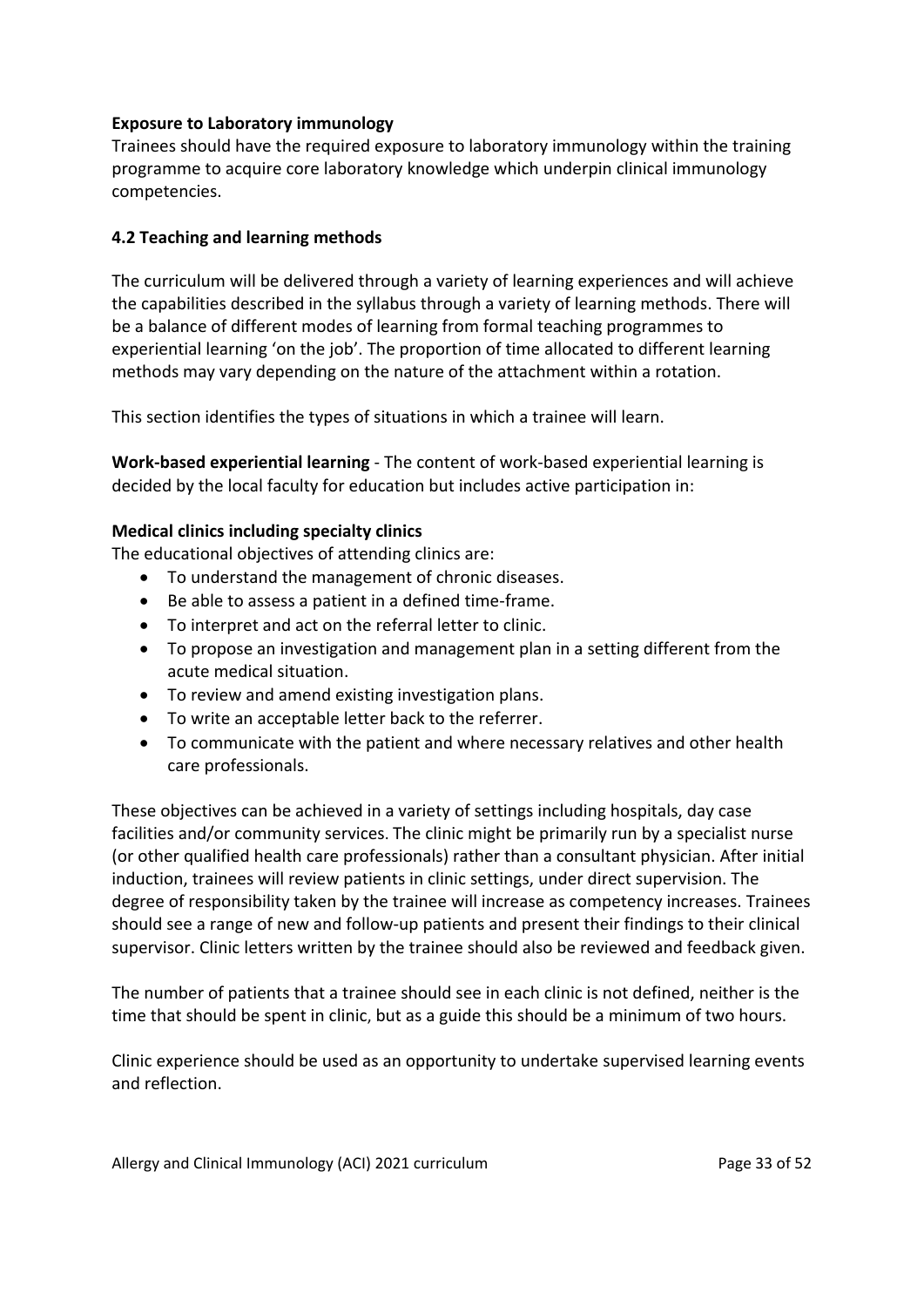## **Exposure to Laboratory immunology**

Trainees should have the required exposure to laboratory immunology within the training programme to acquire core laboratory knowledge which underpin clinical immunology competencies.

## <span id="page-32-0"></span>**4.2 Teaching and learning methods**

The curriculum will be delivered through a variety of learning experiences and will achieve the capabilities described in the syllabus through a variety of learning methods. There will be a balance of different modes of learning from formal teaching programmes to experiential learning 'on the job'. The proportion of time allocated to different learning methods may vary depending on the nature of the attachment within a rotation.

This section identifies the types of situations in which a trainee will learn.

**Work-based experiential learning** - The content of work-based experiential learning is decided by the local faculty for education but includes active participation in:

### **Medical clinics including specialty clinics**

The educational objectives of attending clinics are:

- To understand the management of chronic diseases.
- Be able to assess a patient in a defined time-frame.
- To interpret and act on the referral letter to clinic.
- To propose an investigation and management plan in a setting different from the acute medical situation.
- To review and amend existing investigation plans.
- To write an acceptable letter back to the referrer.
- To communicate with the patient and where necessary relatives and other health care professionals.

These objectives can be achieved in a variety of settings including hospitals, day case facilities and/or community services. The clinic might be primarily run by a specialist nurse (or other qualified health care professionals) rather than a consultant physician. After initial induction, trainees will review patients in clinic settings, under direct supervision. The degree of responsibility taken by the trainee will increase as competency increases. Trainees should see a range of new and follow-up patients and present their findings to their clinical supervisor. Clinic letters written by the trainee should also be reviewed and feedback given.

The number of patients that a trainee should see in each clinic is not defined, neither is the time that should be spent in clinic, but as a guide this should be a minimum of two hours.

Clinic experience should be used as an opportunity to undertake supervised learning events and reflection.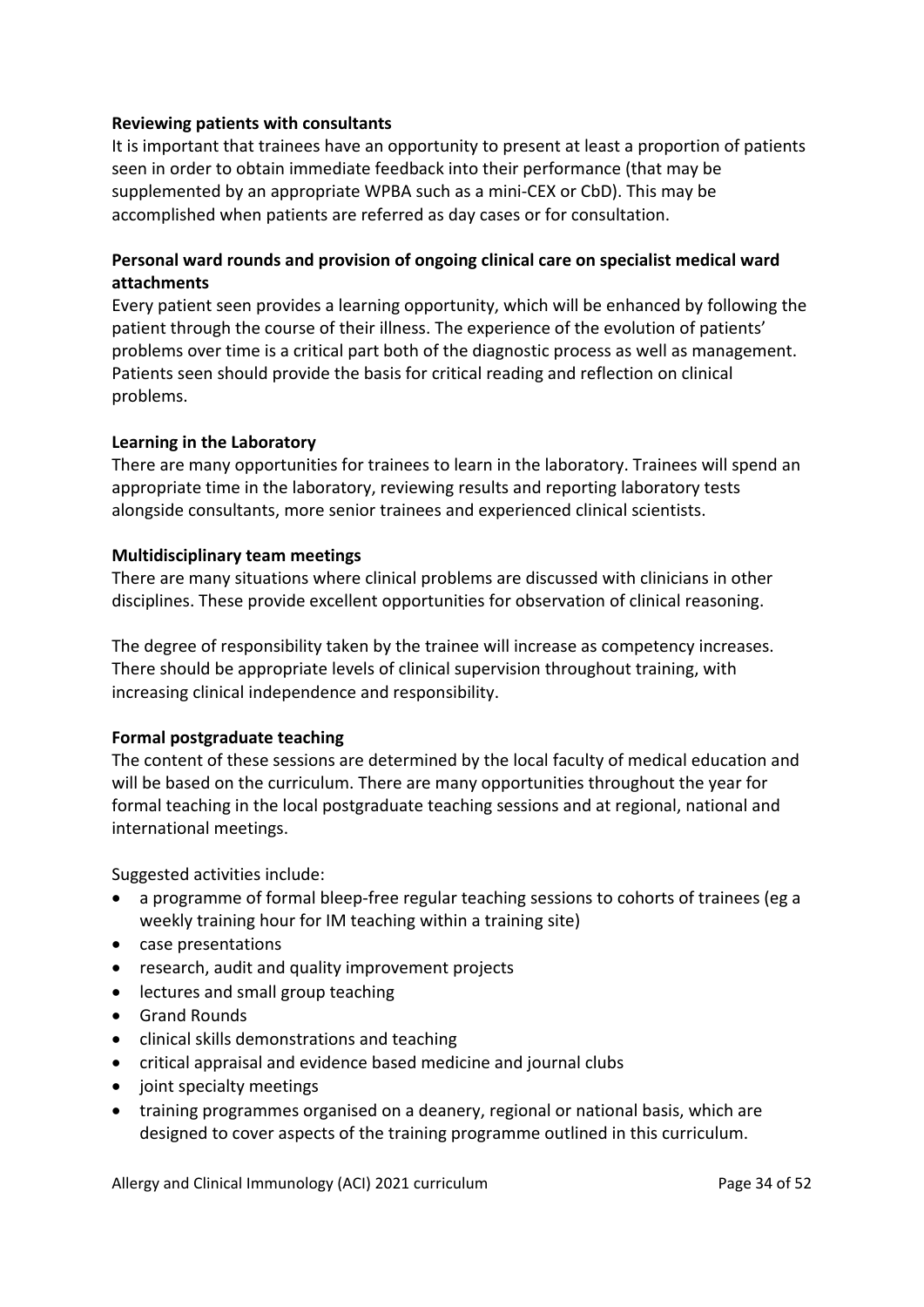### **Reviewing patients with consultants**

It is important that trainees have an opportunity to present at least a proportion of patients seen in order to obtain immediate feedback into their performance (that may be supplemented by an appropriate WPBA such as a mini-CEX or CbD). This may be accomplished when patients are referred as day cases or for consultation.

## **Personal ward rounds and provision of ongoing clinical care on specialist medical ward attachments**

Every patient seen provides a learning opportunity, which will be enhanced by following the patient through the course of their illness. The experience of the evolution of patients' problems over time is a critical part both of the diagnostic process as well as management. Patients seen should provide the basis for critical reading and reflection on clinical problems.

## **Learning in the Laboratory**

There are many opportunities for trainees to learn in the laboratory. Trainees will spend an appropriate time in the laboratory, reviewing results and reporting laboratory tests alongside consultants, more senior trainees and experienced clinical scientists.

## **Multidisciplinary team meetings**

There are many situations where clinical problems are discussed with clinicians in other disciplines. These provide excellent opportunities for observation of clinical reasoning.

The degree of responsibility taken by the trainee will increase as competency increases. There should be appropriate levels of clinical supervision throughout training, with increasing clinical independence and responsibility.

## **Formal postgraduate teaching**

The content of these sessions are determined by the local faculty of medical education and will be based on the curriculum. There are many opportunities throughout the year for formal teaching in the local postgraduate teaching sessions and at regional, national and international meetings.

Suggested activities include:

- a programme of formal bleep-free regular teaching sessions to cohorts of trainees (eg a weekly training hour for IM teaching within a training site)
- case presentations
- research, audit and quality improvement projects
- lectures and small group teaching
- Grand Rounds
- clinical skills demonstrations and teaching
- critical appraisal and evidence based medicine and journal clubs
- joint specialty meetings
- training programmes organised on a deanery, regional or national basis, which are designed to cover aspects of the training programme outlined in this curriculum.

Allergy and Clinical Immunology (ACI) 2021 curriculum **Page 34 of 52** Page 34 of 52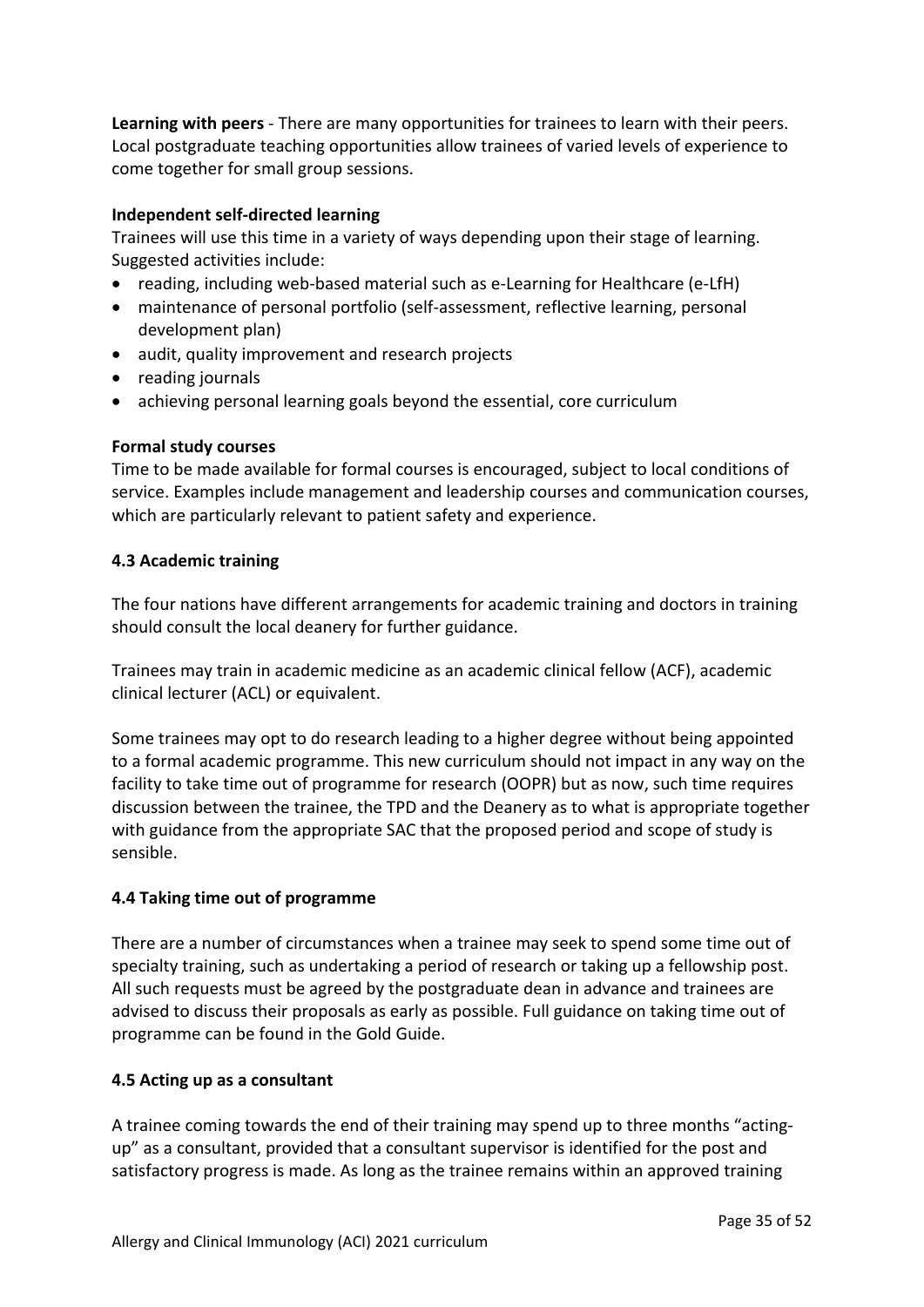**Learning with peers** - There are many opportunities for trainees to learn with their peers. Local postgraduate teaching opportunities allow trainees of varied levels of experience to come together for small group sessions.

### **Independent self-directed learning**

Trainees will use this time in a variety of ways depending upon their stage of learning. Suggested activities include:

- reading, including web-based material such as e-Learning for Healthcare (e-LfH)
- maintenance of personal portfolio (self-assessment, reflective learning, personal development plan)
- audit, quality improvement and research projects
- reading journals
- achieving personal learning goals beyond the essential, core curriculum

### **Formal study courses**

Time to be made available for formal courses is encouraged, subject to local conditions of service. Examples include management and leadership courses and communication courses, which are particularly relevant to patient safety and experience.

#### <span id="page-34-0"></span>**4.3 Academic training**

The four nations have different arrangements for academic training and doctors in training should consult the local deanery for further guidance.

Trainees may train in academic medicine as an academic clinical fellow (ACF), academic clinical lecturer (ACL) or equivalent.

Some trainees may opt to do research leading to a higher degree without being appointed to a formal academic programme. This new curriculum should not impact in any way on the facility to take time out of programme for research (OOPR) but as now, such time requires discussion between the trainee, the TPD and the Deanery as to what is appropriate together with guidance from the appropriate SAC that the proposed period and scope of study is sensible.

### <span id="page-34-1"></span>**4.4 Taking time out of programme**

There are a number of circumstances when a trainee may seek to spend some time out of specialty training, such as undertaking a period of research or taking up a fellowship post. All such requests must be agreed by the postgraduate dean in advance and trainees are advised to discuss their proposals as early as possible. Full guidance on taking time out of programme can be found in the Gold Guide.

### <span id="page-34-2"></span>**4.5 Acting up as a consultant**

A trainee coming towards the end of their training may spend up to three months "actingup" as a consultant, provided that a consultant supervisor is identified for the post and satisfactory progress is made. As long as the trainee remains within an approved training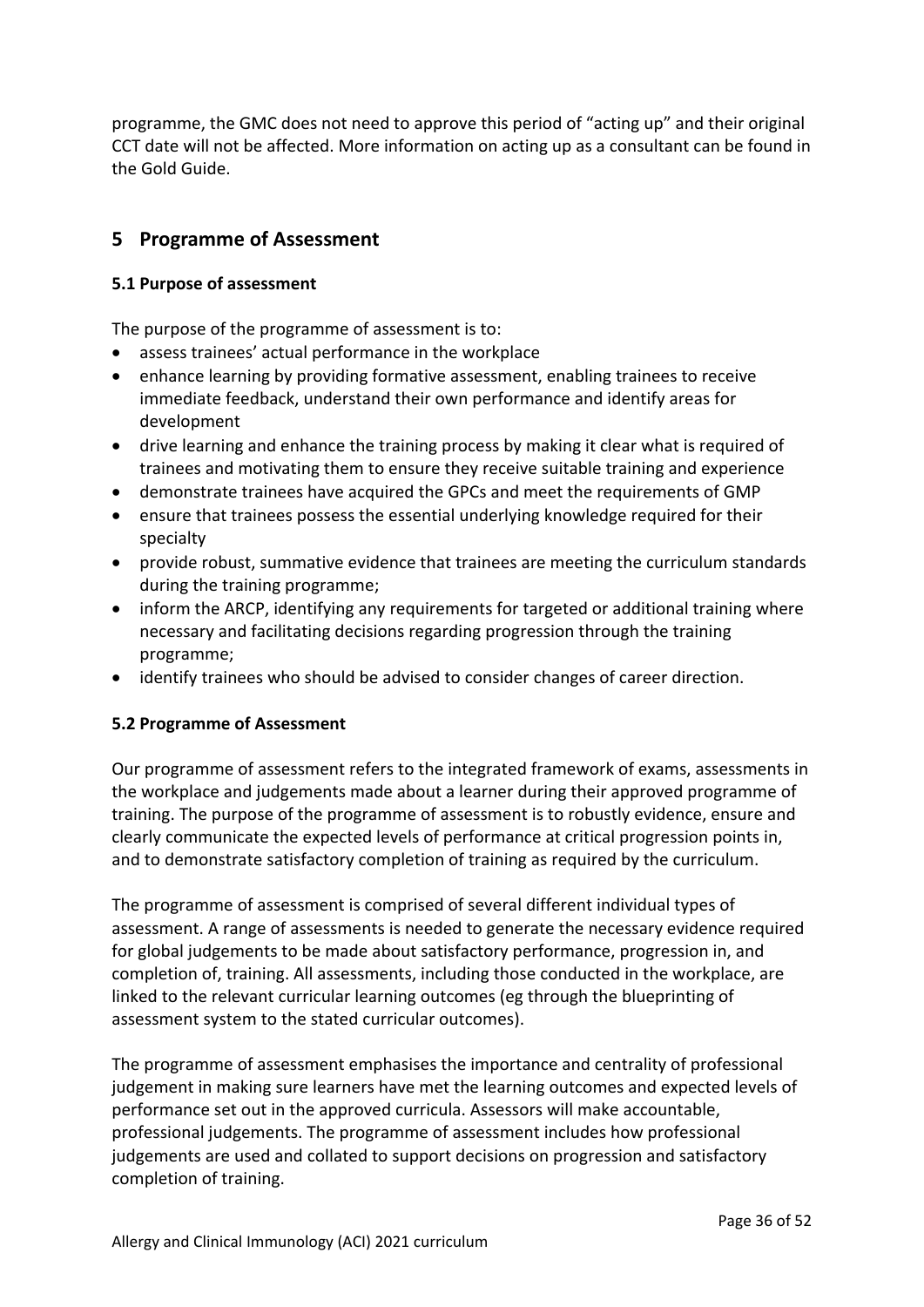programme, the GMC does not need to approve this period of "acting up" and their original CCT date will not be affected. More information on acting up as a consultant can be found in the Gold Guide.

## <span id="page-35-0"></span>**5 Programme of Assessment**

### <span id="page-35-1"></span>**5.1 Purpose of assessment**

The purpose of the programme of assessment is to:

- assess trainees' actual performance in the workplace
- enhance learning by providing formative assessment, enabling trainees to receive immediate feedback, understand their own performance and identify areas for development
- drive learning and enhance the training process by making it clear what is required of trainees and motivating them to ensure they receive suitable training and experience
- demonstrate trainees have acquired the GPCs and meet the requirements of GMP
- ensure that trainees possess the essential underlying knowledge required for their specialty
- provide robust, summative evidence that trainees are meeting the curriculum standards during the training programme;
- inform the ARCP, identifying any requirements for targeted or additional training where necessary and facilitating decisions regarding progression through the training programme;
- identify trainees who should be advised to consider changes of career direction.

### <span id="page-35-2"></span>**5.2 Programme of Assessment**

Our programme of assessment refers to the integrated framework of exams, assessments in the workplace and judgements made about a learner during their approved programme of training. The purpose of the programme of assessment is to robustly evidence, ensure and clearly communicate the expected levels of performance at critical progression points in, and to demonstrate satisfactory completion of training as required by the curriculum.

The programme of assessment is comprised of several different individual types of assessment. A range of assessments is needed to generate the necessary evidence required for global judgements to be made about satisfactory performance, progression in, and completion of, training. All assessments, including those conducted in the workplace, are linked to the relevant curricular learning outcomes (eg through the blueprinting of assessment system to the stated curricular outcomes).

The programme of assessment emphasises the importance and centrality of professional judgement in making sure learners have met the learning outcomes and expected levels of performance set out in the approved curricula. Assessors will make accountable, professional judgements. The programme of assessment includes how professional judgements are used and collated to support decisions on progression and satisfactory completion of training.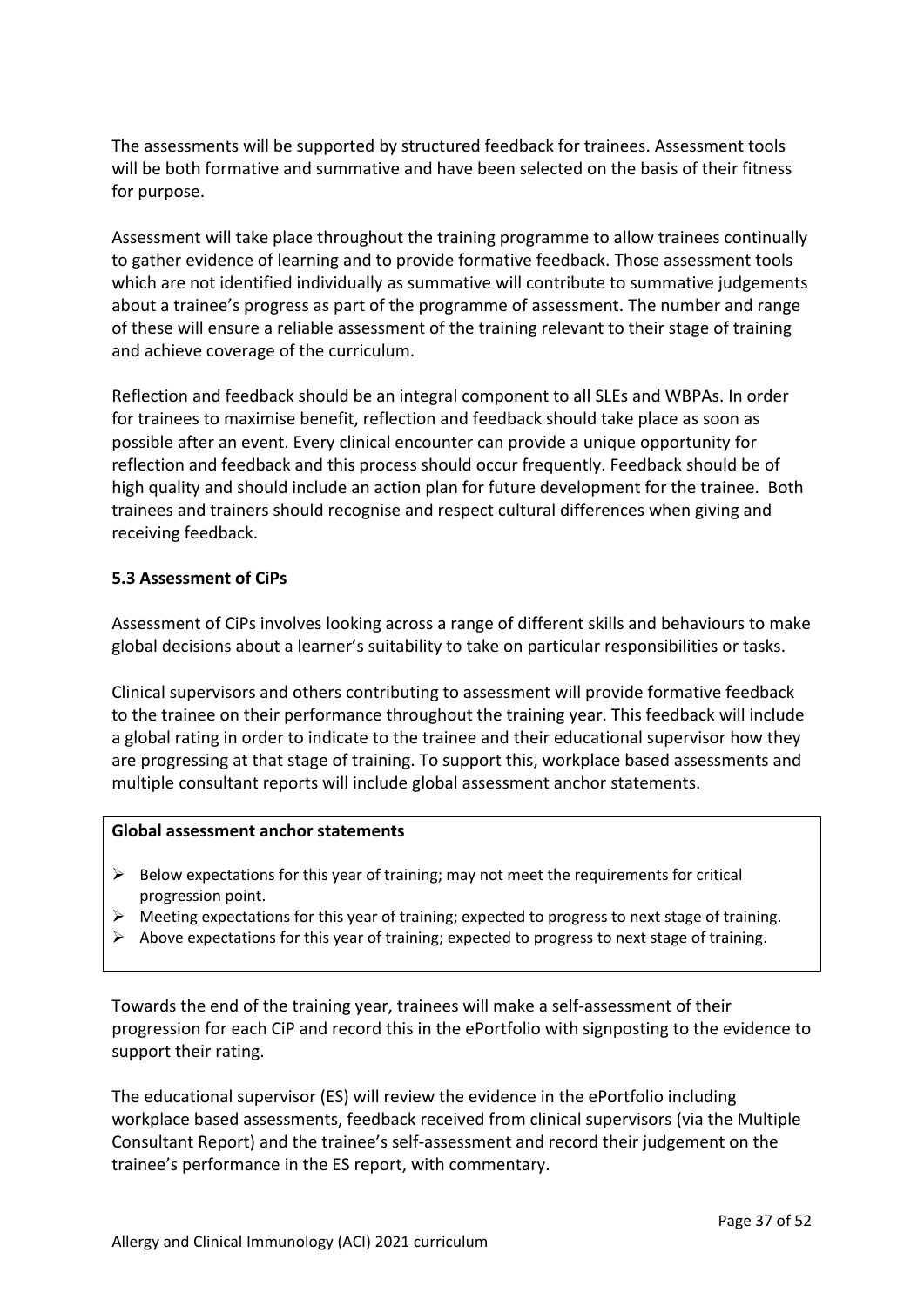The assessments will be supported by structured feedback for trainees. Assessment tools will be both formative and summative and have been selected on the basis of their fitness for purpose.

Assessment will take place throughout the training programme to allow trainees continually to gather evidence of learning and to provide formative feedback. Those assessment tools which are not identified individually as summative will contribute to summative judgements about a trainee's progress as part of the programme of assessment. The number and range of these will ensure a reliable assessment of the training relevant to their stage of training and achieve coverage of the curriculum.

Reflection and feedback should be an integral component to all SLEs and WBPAs. In order for trainees to maximise benefit, reflection and feedback should take place as soon as possible after an event. Every clinical encounter can provide a unique opportunity for reflection and feedback and this process should occur frequently. Feedback should be of high quality and should include an action plan for future development for the trainee. Both trainees and trainers should recognise and respect cultural differences when giving and receiving feedback.

### <span id="page-36-0"></span>**5.3 Assessment of CiPs**

Assessment of CiPs involves looking across a range of different skills and behaviours to make global decisions about a learner's suitability to take on particular responsibilities or tasks.

Clinical supervisors and others contributing to assessment will provide formative feedback to the trainee on their performance throughout the training year. This feedback will include a global rating in order to indicate to the trainee and their educational supervisor how they are progressing at that stage of training. To support this, workplace based assessments and multiple consultant reports will include global assessment anchor statements.

#### **Global assessment anchor statements**

- $\triangleright$  Below expectations for this year of training; may not meet the requirements for critical progression point.
- ➢ Meeting expectations for this year of training; expected to progress to next stage of training.
- $\triangleright$  Above expectations for this year of training; expected to progress to next stage of training.

Towards the end of the training year, trainees will make a self-assessment of their progression for each CiP and record this in the ePortfolio with signposting to the evidence to support their rating.

The educational supervisor (ES) will review the evidence in the ePortfolio including workplace based assessments, feedback received from clinical supervisors (via the Multiple Consultant Report) and the trainee's self-assessment and record their judgement on the trainee's performance in the ES report, with commentary.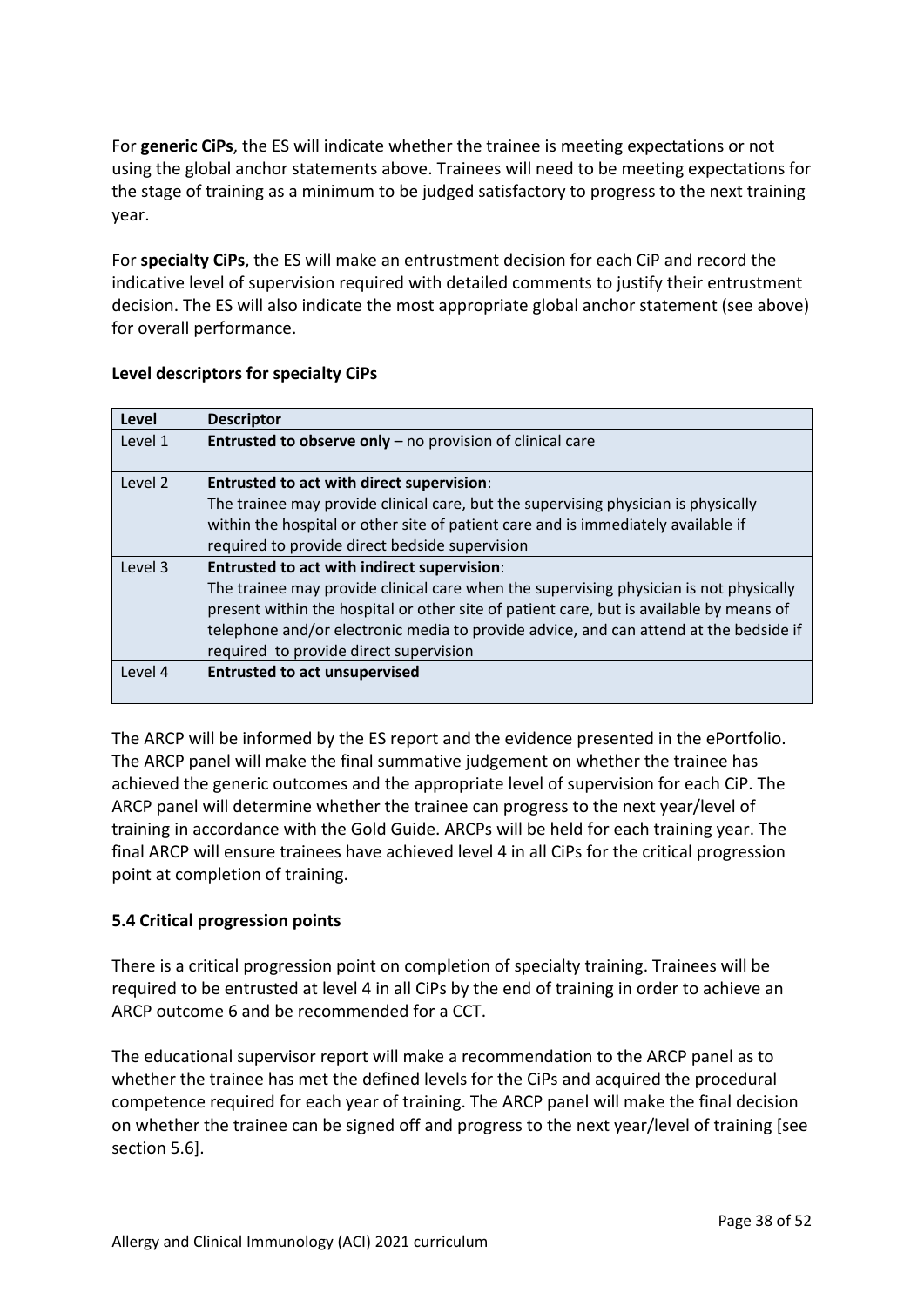For **generic CiPs**, the ES will indicate whether the trainee is meeting expectations or not using the global anchor statements above. Trainees will need to be meeting expectations for the stage of training as a minimum to be judged satisfactory to progress to the next training year.

For **specialty CiPs**, the ES will make an entrustment decision for each CiP and record the indicative level of supervision required with detailed comments to justify their entrustment decision. The ES will also indicate the most appropriate global anchor statement (see above) for overall performance.

| Level   | <b>Descriptor</b>                                                                       |
|---------|-----------------------------------------------------------------------------------------|
| Level 1 | Entrusted to observe only - no provision of clinical care                               |
| Level 2 | <b>Entrusted to act with direct supervision:</b>                                        |
|         | The trainee may provide clinical care, but the supervising physician is physically      |
|         | within the hospital or other site of patient care and is immediately available if       |
|         | required to provide direct bedside supervision                                          |
| Level 3 | <b>Entrusted to act with indirect supervision:</b>                                      |
|         | The trainee may provide clinical care when the supervising physician is not physically  |
|         | present within the hospital or other site of patient care, but is available by means of |
|         | telephone and/or electronic media to provide advice, and can attend at the bedside if   |
|         | required to provide direct supervision                                                  |
| Level 4 | <b>Entrusted to act unsupervised</b>                                                    |
|         |                                                                                         |

## **Level descriptors for specialty CiPs**

The ARCP will be informed by the ES report and the evidence presented in the ePortfolio. The ARCP panel will make the final summative judgement on whether the trainee has achieved the generic outcomes and the appropriate level of supervision for each CiP. The ARCP panel will determine whether the trainee can progress to the next year/level of training in accordance with the Gold Guide. ARCPs will be held for each training year. The final ARCP will ensure trainees have achieved level 4 in all CiPs for the critical progression point at completion of training.

## <span id="page-37-0"></span>**5.4 Critical progression points**

There is a critical progression point on completion of specialty training. Trainees will be required to be entrusted at level 4 in all CiPs by the end of training in order to achieve an ARCP outcome 6 and be recommended for a CCT.

The educational supervisor report will make a recommendation to the ARCP panel as to whether the trainee has met the defined levels for the CiPs and acquired the procedural competence required for each year of training. The ARCP panel will make the final decision on whether the trainee can be signed off and progress to the next year/level of training [see section 5.6].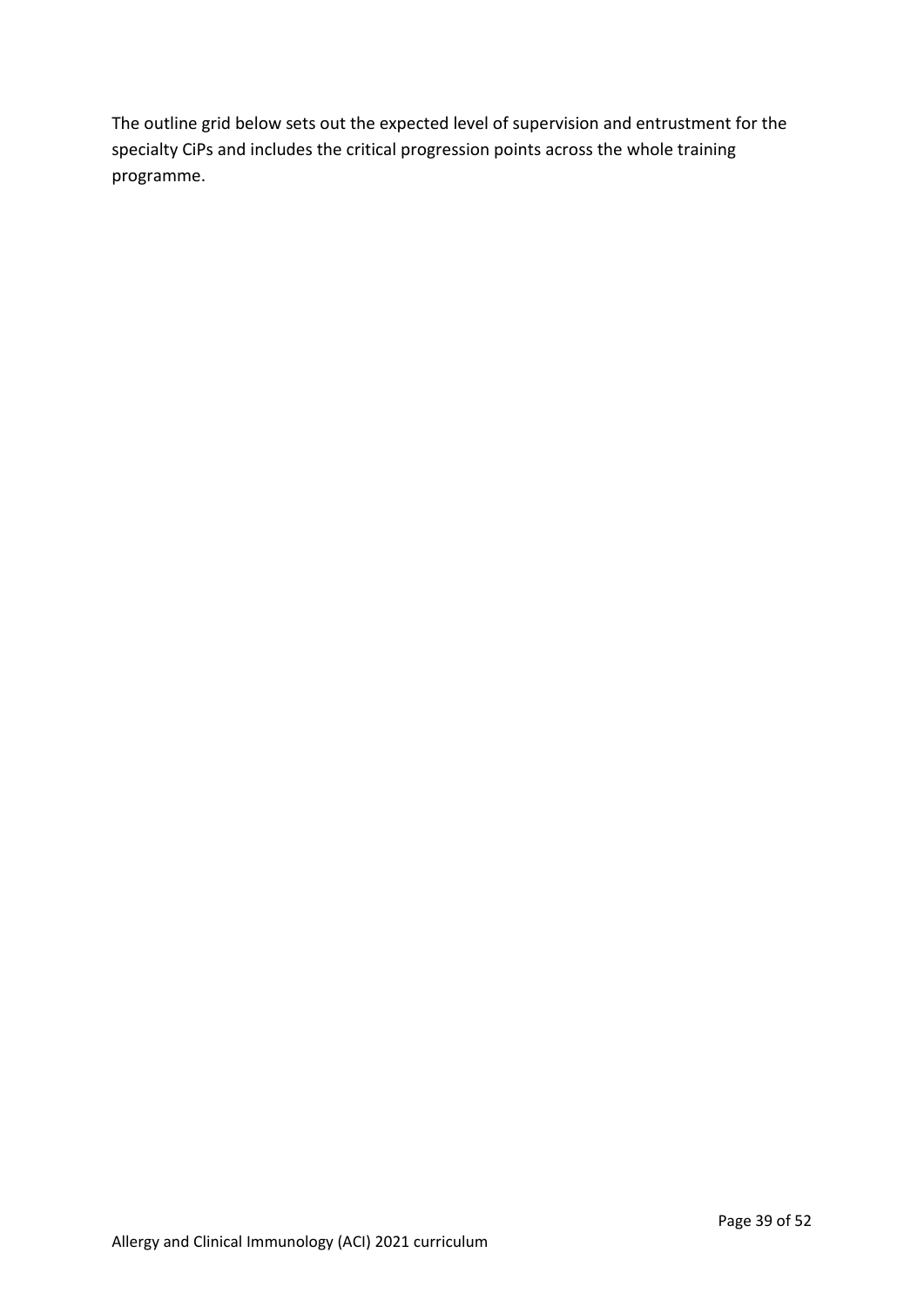The outline grid below sets out the expected level of supervision and entrustment for the specialty CiPs and includes the critical progression points across the whole training programme.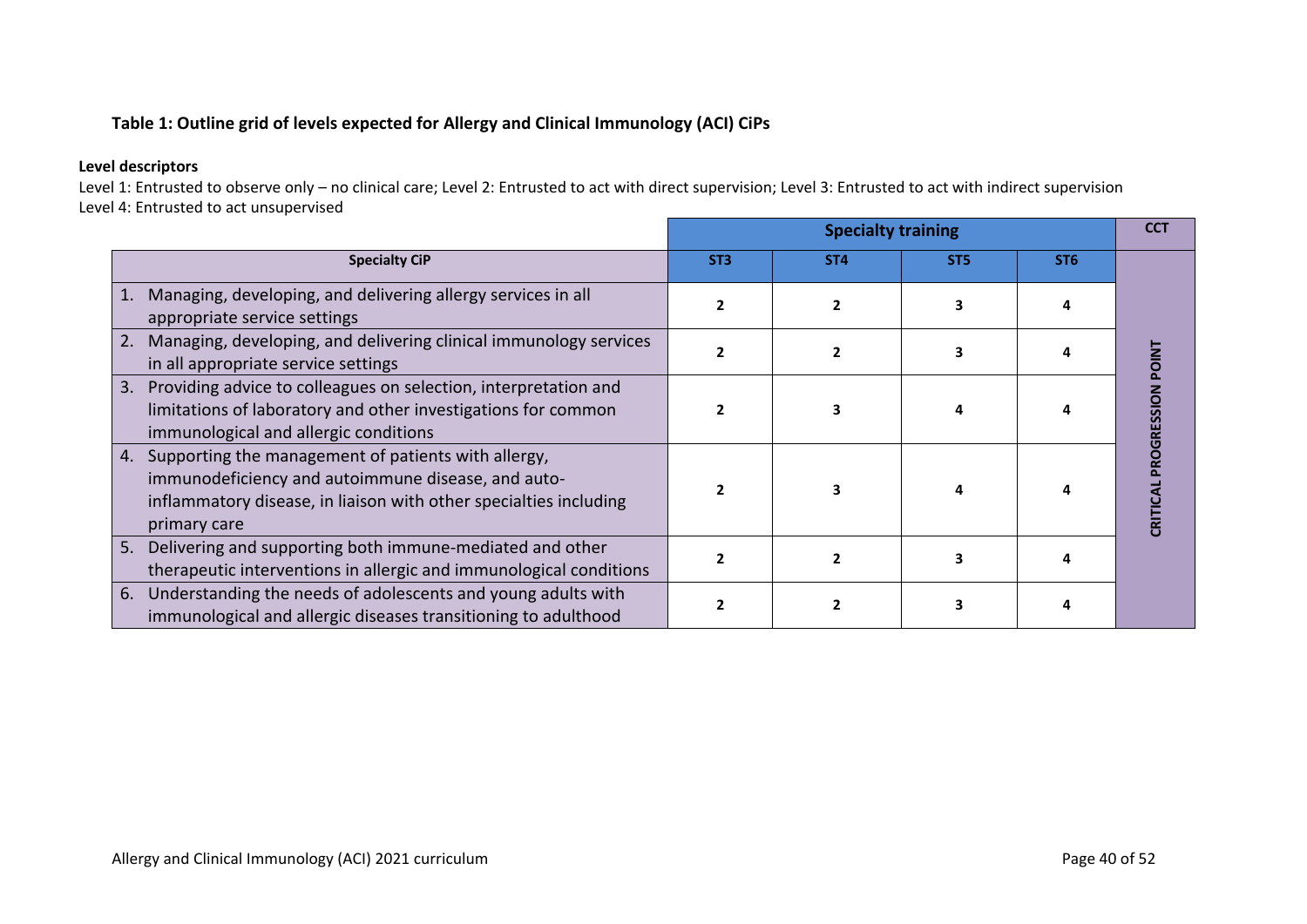## **Table 1: Outline grid of levels expected for Allergy and Clinical Immunology (ACI) CiPs**

#### **Level descriptors**

Level 1: Entrusted to observe only – no clinical care; Level 2: Entrusted to act with direct supervision; Level 3: Entrusted to act with indirect supervision Level 4: Entrusted to act unsupervised

|                                                                                                                                                                                                      |                 | <b>Specialty training</b> |                 |                 | CCT        |
|------------------------------------------------------------------------------------------------------------------------------------------------------------------------------------------------------|-----------------|---------------------------|-----------------|-----------------|------------|
| <b>Specialty CiP</b>                                                                                                                                                                                 | ST <sub>3</sub> | ST <sub>4</sub>           | ST <sub>5</sub> | ST <sub>6</sub> |            |
| Managing, developing, and delivering allergy services in all<br>appropriate service settings                                                                                                         |                 |                           | 3               |                 |            |
| Managing, developing, and delivering clinical immunology services<br>2.<br>in all appropriate service settings                                                                                       |                 |                           | 3               |                 |            |
| Providing advice to colleagues on selection, interpretation and<br>3.<br>limitations of laboratory and other investigations for common<br>immunological and allergic conditions                      |                 |                           |                 |                 | ROGRESSION |
| Supporting the management of patients with allergy,<br>4.<br>immunodeficiency and autoimmune disease, and auto-<br>inflammatory disease, in liaison with other specialties including<br>primary care |                 |                           | 4               |                 |            |
| Delivering and supporting both immune-mediated and other<br>5.<br>therapeutic interventions in allergic and immunological conditions                                                                 |                 |                           | 3               |                 |            |
| 6. Understanding the needs of adolescents and young adults with<br>immunological and allergic diseases transitioning to adulthood                                                                    |                 |                           |                 |                 |            |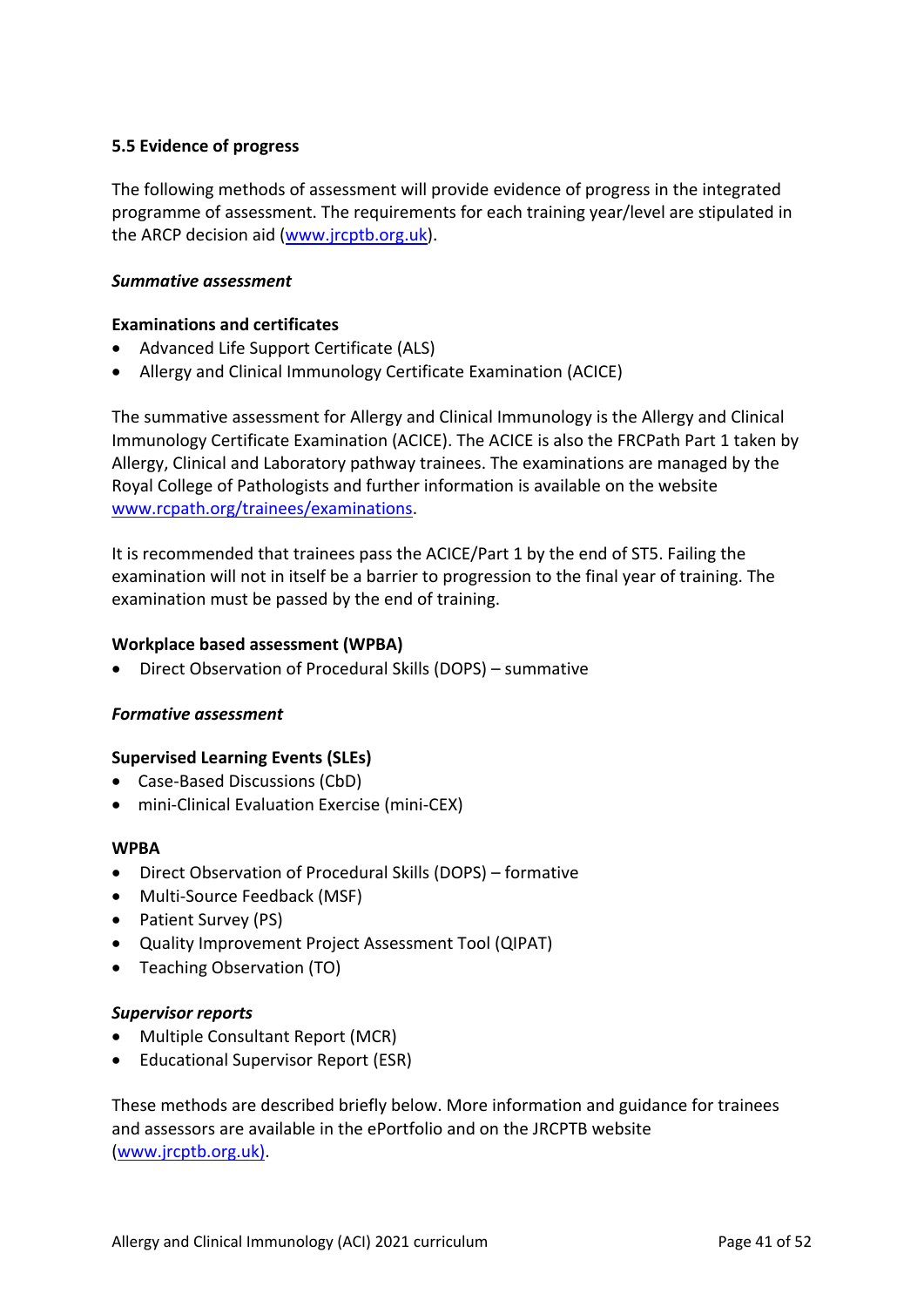## <span id="page-40-0"></span>**5.5 Evidence of progress**

The following methods of assessment will provide evidence of progress in the integrated programme of assessment. The requirements for each training year/level are stipulated in the ARCP decision aid [\(www.jrcptb.org.uk\)](http://www.jrcptb.org.uk/).

#### *Summative assessment*

### **Examinations and certificates**

- Advanced Life Support Certificate (ALS)
- Allergy and Clinical Immunology Certificate Examination (ACICE)

The summative assessment for Allergy and Clinical Immunology is the Allergy and Clinical Immunology Certificate Examination (ACICE). The ACICE is also the FRCPath Part 1 taken by Allergy, Clinical and Laboratory pathway trainees. The examinations are managed by the Royal College of Pathologists and further information is available on the website [www.rcpath.org/trainees/examinations.](https://www.rcpath.org/trainees/examinations.html)

It is recommended that trainees pass the ACICE/Part 1 by the end of ST5. Failing the examination will not in itself be a barrier to progression to the final year of training. The examination must be passed by the end of training.

#### **Workplace based assessment (WPBA)**

• Direct Observation of Procedural Skills (DOPS) – summative

#### *Formative assessment*

### **Supervised Learning Events (SLEs)**

- Case-Based Discussions (CbD)
- mini-Clinical Evaluation Exercise (mini-CEX)

#### **WPBA**

- Direct Observation of Procedural Skills (DOPS) formative
- Multi-Source Feedback (MSF)
- Patient Survey (PS)
- Quality Improvement Project Assessment Tool (QIPAT)
- Teaching Observation (TO)

### *Supervisor reports*

- Multiple Consultant Report (MCR)
- Educational Supervisor Report (ESR)

These methods are described briefly below. More information and guidance for trainees and assessors are available in the ePortfolio and on the JRCPTB website [\(www.jrcptb.org.uk\)](http://www.jrcptb.org.uk/).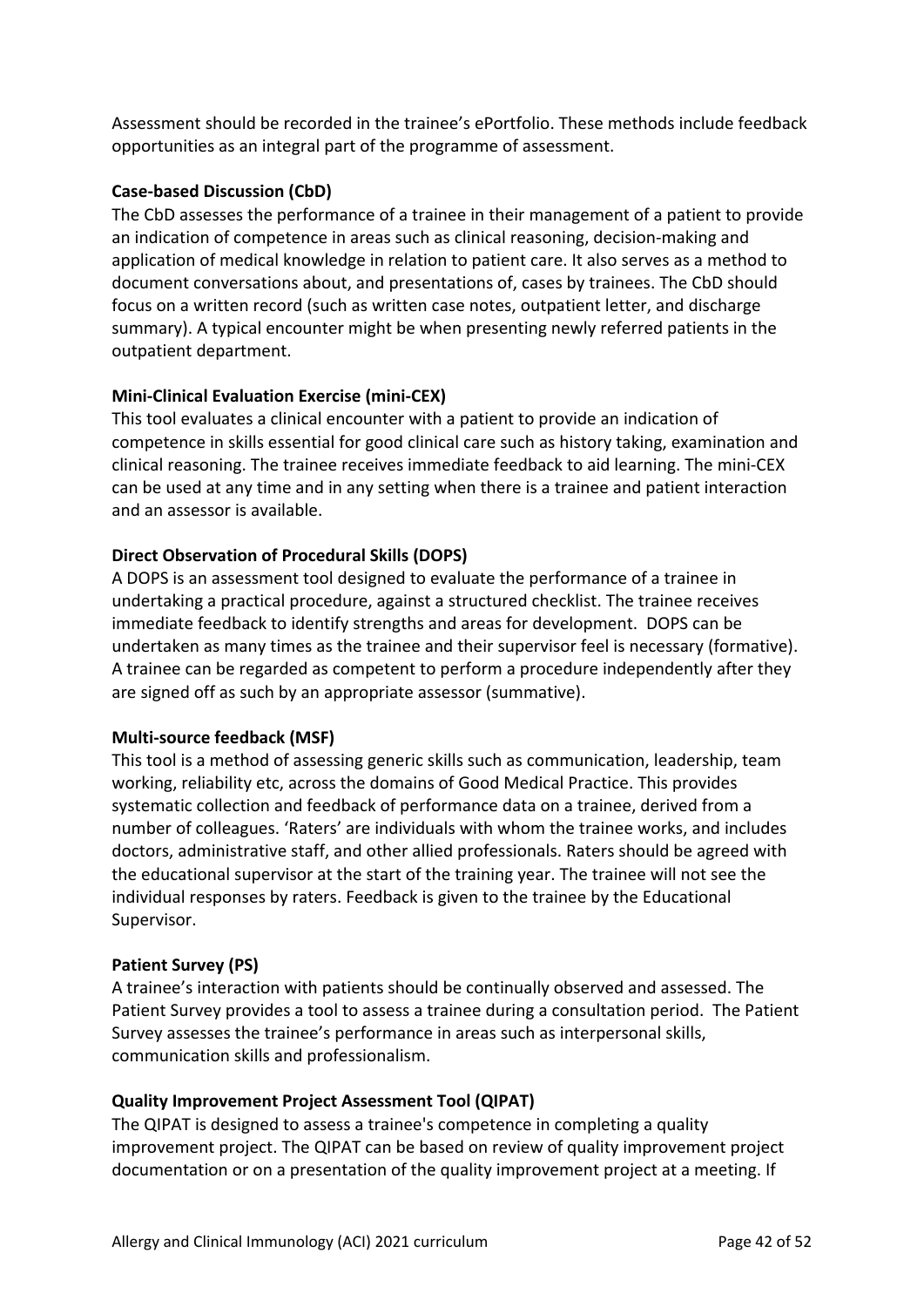Assessment should be recorded in the trainee's ePortfolio. These methods include feedback opportunities as an integral part of the programme of assessment.

### **Case-based Discussion (CbD)**

The CbD assesses the performance of a trainee in their management of a patient to provide an indication of competence in areas such as clinical reasoning, decision-making and application of medical knowledge in relation to patient care. It also serves as a method to document conversations about, and presentations of, cases by trainees. The CbD should focus on a written record (such as written case notes, outpatient letter, and discharge summary). A typical encounter might be when presenting newly referred patients in the outpatient department.

## **Mini-Clinical Evaluation Exercise (mini-CEX)**

This tool evaluates a clinical encounter with a patient to provide an indication of competence in skills essential for good clinical care such as history taking, examination and clinical reasoning. The trainee receives immediate feedback to aid learning. The mini-CEX can be used at any time and in any setting when there is a trainee and patient interaction and an assessor is available.

## **Direct Observation of Procedural Skills (DOPS)**

A DOPS is an assessment tool designed to evaluate the performance of a trainee in undertaking a practical procedure, against a structured checklist. The trainee receives immediate feedback to identify strengths and areas for development. DOPS can be undertaken as many times as the trainee and their supervisor feel is necessary (formative). A trainee can be regarded as competent to perform a procedure independently after they are signed off as such by an appropriate assessor (summative).

### **Multi-source feedback (MSF)**

This tool is a method of assessing generic skills such as communication, leadership, team working, reliability etc, across the domains of Good Medical Practice. This provides systematic collection and feedback of performance data on a trainee, derived from a number of colleagues. 'Raters' are individuals with whom the trainee works, and includes doctors, administrative staff, and other allied professionals. Raters should be agreed with the educational supervisor at the start of the training year. The trainee will not see the individual responses by raters. Feedback is given to the trainee by the Educational Supervisor.

### **Patient Survey (PS)**

A trainee's interaction with patients should be continually observed and assessed. The Patient Survey provides a tool to assess a trainee during a consultation period. The Patient Survey assesses the trainee's performance in areas such as interpersonal skills, communication skills and professionalism.

### **Quality Improvement Project Assessment Tool (QIPAT)**

The QIPAT is designed to assess a trainee's competence in completing a quality improvement project. The QIPAT can be based on review of quality improvement project documentation or on a presentation of the quality improvement project at a meeting. If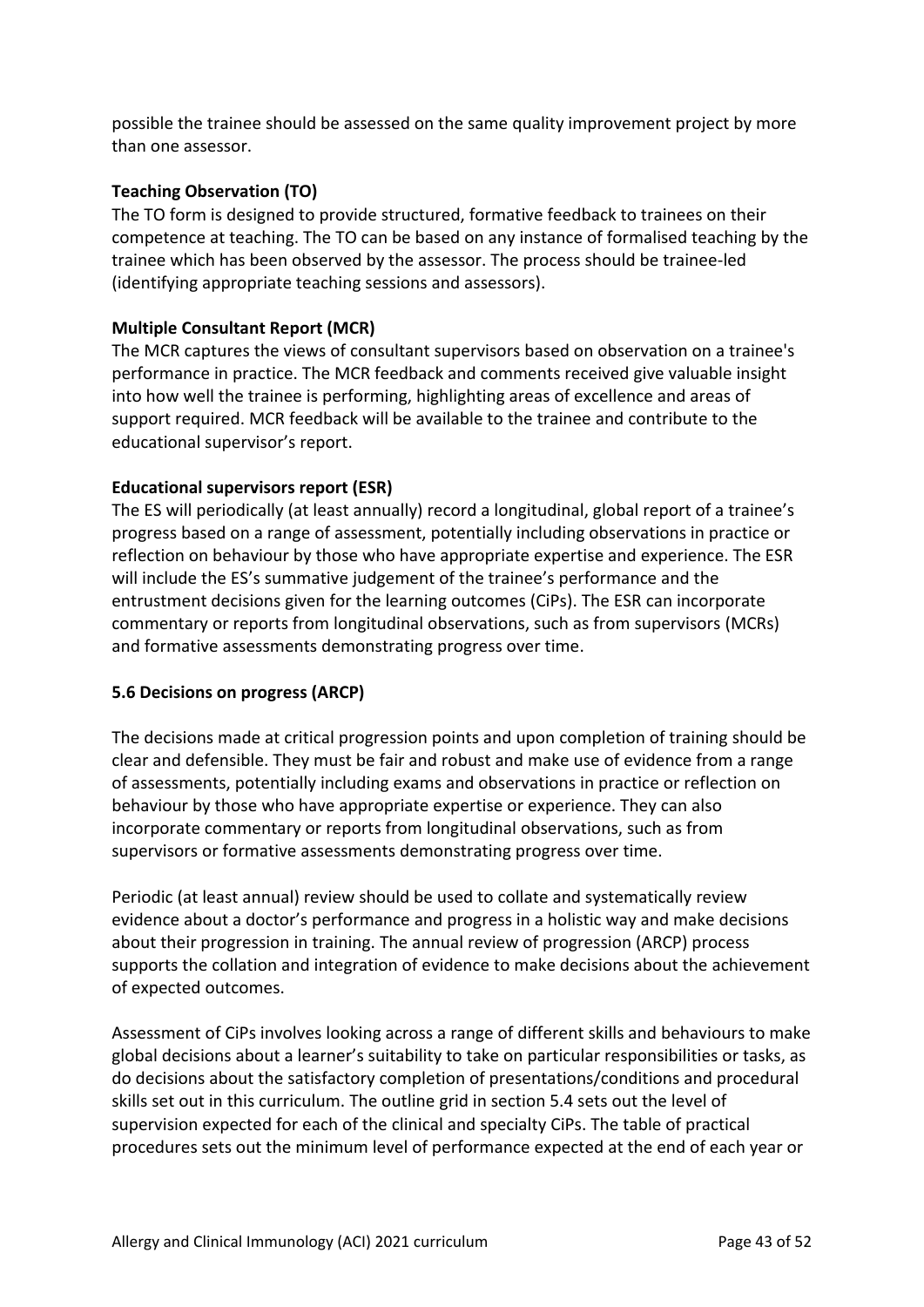possible the trainee should be assessed on the same quality improvement project by more than one assessor.

## **Teaching Observation (TO)**

The TO form is designed to provide structured, formative feedback to trainees on their competence at teaching. The TO can be based on any instance of formalised teaching by the trainee which has been observed by the assessor. The process should be trainee-led (identifying appropriate teaching sessions and assessors).

### **Multiple Consultant Report (MCR)**

The MCR captures the views of consultant supervisors based on observation on a trainee's performance in practice. The MCR feedback and comments received give valuable insight into how well the trainee is performing, highlighting areas of excellence and areas of support required. MCR feedback will be available to the trainee and contribute to the educational supervisor's report.

## **Educational supervisors report (ESR)**

The ES will periodically (at least annually) record a longitudinal, global report of a trainee's progress based on a range of assessment, potentially including observations in practice or reflection on behaviour by those who have appropriate expertise and experience. The ESR will include the ES's summative judgement of the trainee's performance and the entrustment decisions given for the learning outcomes (CiPs). The ESR can incorporate commentary or reports from longitudinal observations, such as from supervisors (MCRs) and formative assessments demonstrating progress over time.

### <span id="page-42-0"></span>**5.6 Decisions on progress (ARCP)**

The decisions made at critical progression points and upon completion of training should be clear and defensible. They must be fair and robust and make use of evidence from a range of assessments, potentially including exams and observations in practice or reflection on behaviour by those who have appropriate expertise or experience. They can also incorporate commentary or reports from longitudinal observations, such as from supervisors or formative assessments demonstrating progress over time.

Periodic (at least annual) review should be used to collate and systematically review evidence about a doctor's performance and progress in a holistic way and make decisions about their progression in training. The annual review of progression (ARCP) process supports the collation and integration of evidence to make decisions about the achievement of expected outcomes.

Assessment of CiPs involves looking across a range of different skills and behaviours to make global decisions about a learner's suitability to take on particular responsibilities or tasks, as do decisions about the satisfactory completion of presentations/conditions and procedural skills set out in this curriculum. The outline grid in section 5.4 sets out the level of supervision expected for each of the clinical and specialty CiPs. The table of practical procedures sets out the minimum level of performance expected at the end of each year or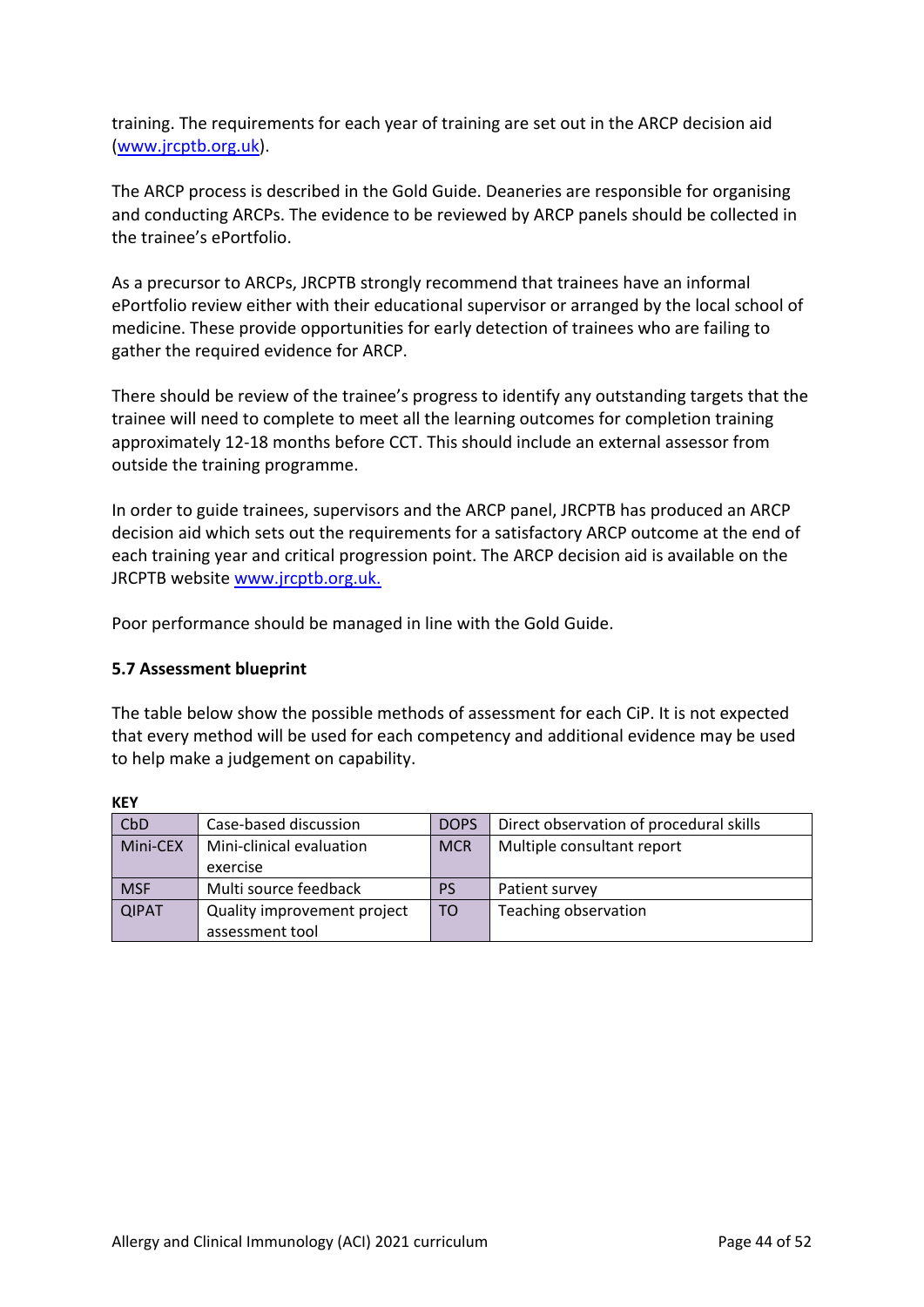training. The requirements for each year of training are set out in the ARCP decision aid [\(www.jrcptb.org.uk\)](http://www.jrcptb.org.uk/).

The ARCP process is described in the Gold Guide. Deaneries are responsible for organising and conducting ARCPs. The evidence to be reviewed by ARCP panels should be collected in the trainee's ePortfolio.

As a precursor to ARCPs, JRCPTB strongly recommend that trainees have an informal ePortfolio review either with their educational supervisor or arranged by the local school of medicine. These provide opportunities for early detection of trainees who are failing to gather the required evidence for ARCP.

There should be review of the trainee's progress to identify any outstanding targets that the trainee will need to complete to meet all the learning outcomes for completion training approximately 12-18 months before CCT. This should include an external assessor from outside the training programme.

In order to guide trainees, supervisors and the ARCP panel, JRCPTB has produced an ARCP decision aid which sets out the requirements for a satisfactory ARCP outcome at the end of each training year and critical progression point. The ARCP decision aid is available on the JRCPTB website [www.jrcptb.org.uk.](http://www.jrcptb.org.uk/)

Poor performance should be managed in line with the Gold Guide.

### <span id="page-43-0"></span>**5.7 Assessment blueprint**

The table below show the possible methods of assessment for each CiP. It is not expected that every method will be used for each competency and additional evidence may be used to help make a judgement on capability.

| CbD          | Case-based discussion       | <b>DOPS</b> | Direct observation of procedural skills |
|--------------|-----------------------------|-------------|-----------------------------------------|
| Mini-CEX     | Mini-clinical evaluation    | <b>MCR</b>  | Multiple consultant report              |
|              | exercise                    |             |                                         |
| <b>MSF</b>   | Multi source feedback       | <b>PS</b>   | Patient survey                          |
| <b>QIPAT</b> | Quality improvement project | TO          | Teaching observation                    |
|              | assessment tool             |             |                                         |

**KEY**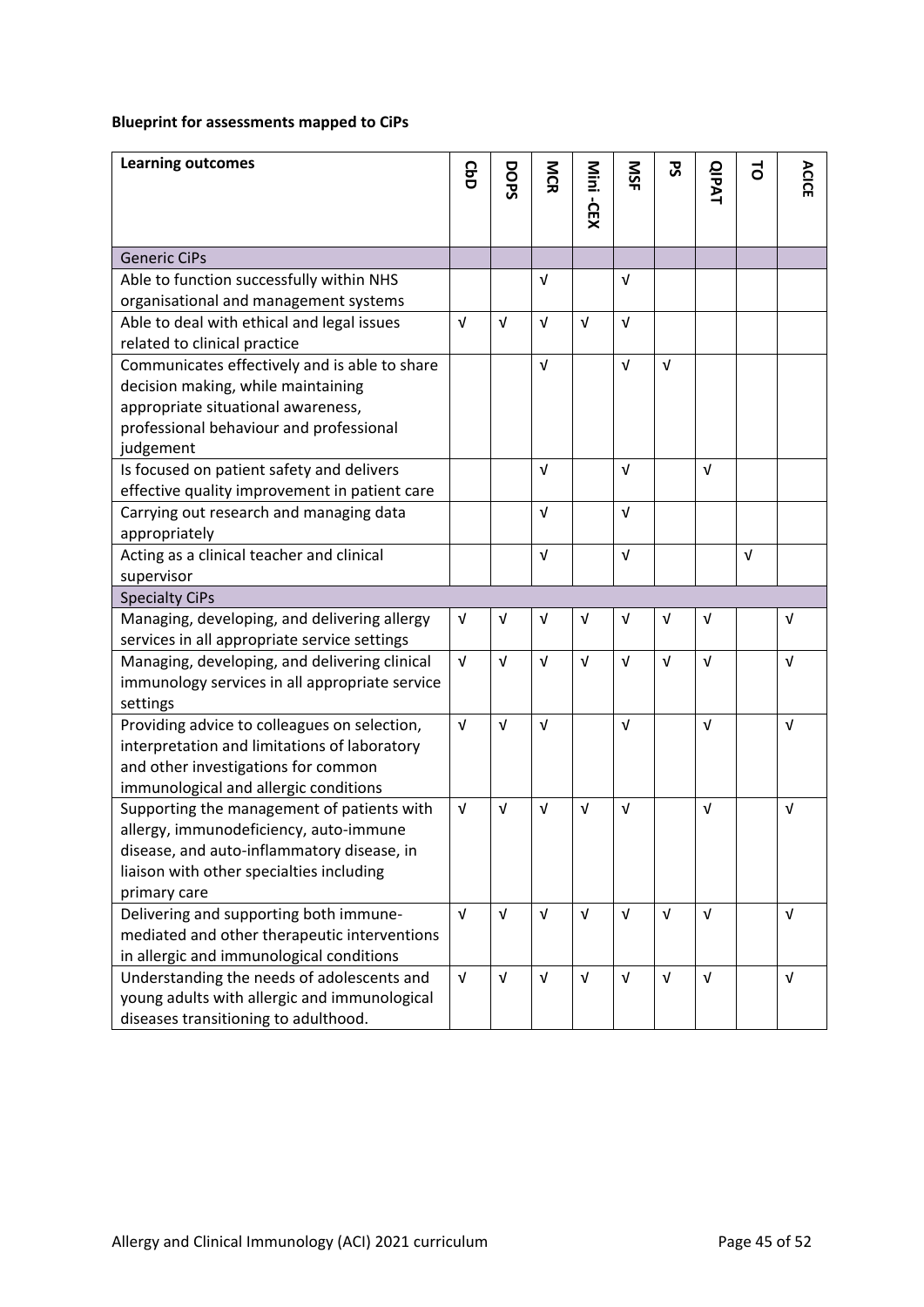## **Blueprint for assessments mapped to CiPs**

| <b>Learning outcomes</b>                                                     | <b>GbD</b> | DOPS       | MCR        | Mini-CEX   | SN         | ჯ          | <b>QIPAT</b> | 5          | ACICE      |
|------------------------------------------------------------------------------|------------|------------|------------|------------|------------|------------|--------------|------------|------------|
|                                                                              |            |            |            |            |            |            |              |            |            |
| <b>Generic CiPs</b>                                                          |            |            |            |            |            |            |              |            |            |
| Able to function successfully within NHS                                     |            |            | $\sqrt{ }$ |            | $\sqrt{ }$ |            |              |            |            |
| organisational and management systems                                        |            |            |            |            |            |            |              |            |            |
| Able to deal with ethical and legal issues                                   | $\sqrt{ }$ | $\sqrt{ }$ | $\sqrt{ }$ | $\sqrt{ }$ | $\sqrt{ }$ |            |              |            |            |
| related to clinical practice                                                 |            |            |            |            |            |            |              |            |            |
| Communicates effectively and is able to share                                |            |            | $\sqrt{ }$ |            | $\sqrt{ }$ | $\sqrt{ }$ |              |            |            |
| decision making, while maintaining                                           |            |            |            |            |            |            |              |            |            |
| appropriate situational awareness,                                           |            |            |            |            |            |            |              |            |            |
| professional behaviour and professional                                      |            |            |            |            |            |            |              |            |            |
| judgement                                                                    |            |            |            |            |            |            |              |            |            |
| Is focused on patient safety and delivers                                    |            |            | $\sqrt{ }$ |            | $\sqrt{ }$ |            | $\sqrt{ }$   |            |            |
| effective quality improvement in patient care                                |            |            |            |            |            |            |              |            |            |
| Carrying out research and managing data                                      |            |            | $\sqrt{ }$ |            | $\sqrt{ }$ |            |              |            |            |
| appropriately                                                                |            |            |            |            |            |            |              |            |            |
| Acting as a clinical teacher and clinical                                    |            |            | $\sqrt{ }$ |            | $\sqrt{ }$ |            |              | $\sqrt{ }$ |            |
| supervisor                                                                   |            |            |            |            |            |            |              |            |            |
| <b>Specialty CiPs</b>                                                        |            |            |            |            |            |            |              |            |            |
| Managing, developing, and delivering allergy                                 | $\sqrt{ }$ | v          | $\sqrt{ }$ | V          | $\sqrt{ }$ | V          | $\sqrt{ }$   |            | $\sqrt{ }$ |
| services in all appropriate service settings                                 |            |            |            |            |            |            |              |            |            |
| Managing, developing, and delivering clinical                                | $\sqrt{ }$ | $\sqrt{ }$ | $\sqrt{ }$ | $\sqrt{ }$ | $\sqrt{ }$ | V          | V            |            | $\sqrt{ }$ |
| immunology services in all appropriate service                               |            |            |            |            |            |            |              |            |            |
| settings                                                                     |            |            |            |            |            |            |              |            |            |
| Providing advice to colleagues on selection,                                 | $\sqrt{ }$ | $\sqrt{ }$ | $\sqrt{ }$ |            | $\sqrt{ }$ |            | V            |            | $\sqrt{ }$ |
| interpretation and limitations of laboratory                                 |            |            |            |            |            |            |              |            |            |
| and other investigations for common<br>immunological and allergic conditions |            |            |            |            |            |            |              |            |            |
| Supporting the management of patients with                                   | V          | $\sqrt{ }$ | $\sqrt{ }$ | v          | $\sqrt{ }$ |            | V            |            | V          |
| allergy, immunodeficiency, auto-immune                                       |            |            |            |            |            |            |              |            |            |
| disease, and auto-inflammatory disease, in                                   |            |            |            |            |            |            |              |            |            |
| liaison with other specialties including                                     |            |            |            |            |            |            |              |            |            |
| primary care                                                                 |            |            |            |            |            |            |              |            |            |
| Delivering and supporting both immune-                                       | $\sqrt{ }$ | $\sqrt{ }$ | $\sqrt{ }$ | $\sqrt{ }$ | $\sqrt{ }$ | $\sqrt{ }$ | V            |            | $\sqrt{ }$ |
| mediated and other therapeutic interventions                                 |            |            |            |            |            |            |              |            |            |
| in allergic and immunological conditions                                     |            |            |            |            |            |            |              |            |            |
| Understanding the needs of adolescents and                                   | $\sqrt{ }$ | $\sqrt{ }$ | $\sqrt{ }$ | $\sqrt{ }$ | $\sqrt{ }$ | $\sqrt{ }$ | V            |            | V          |
| young adults with allergic and immunological                                 |            |            |            |            |            |            |              |            |            |
| diseases transitioning to adulthood.                                         |            |            |            |            |            |            |              |            |            |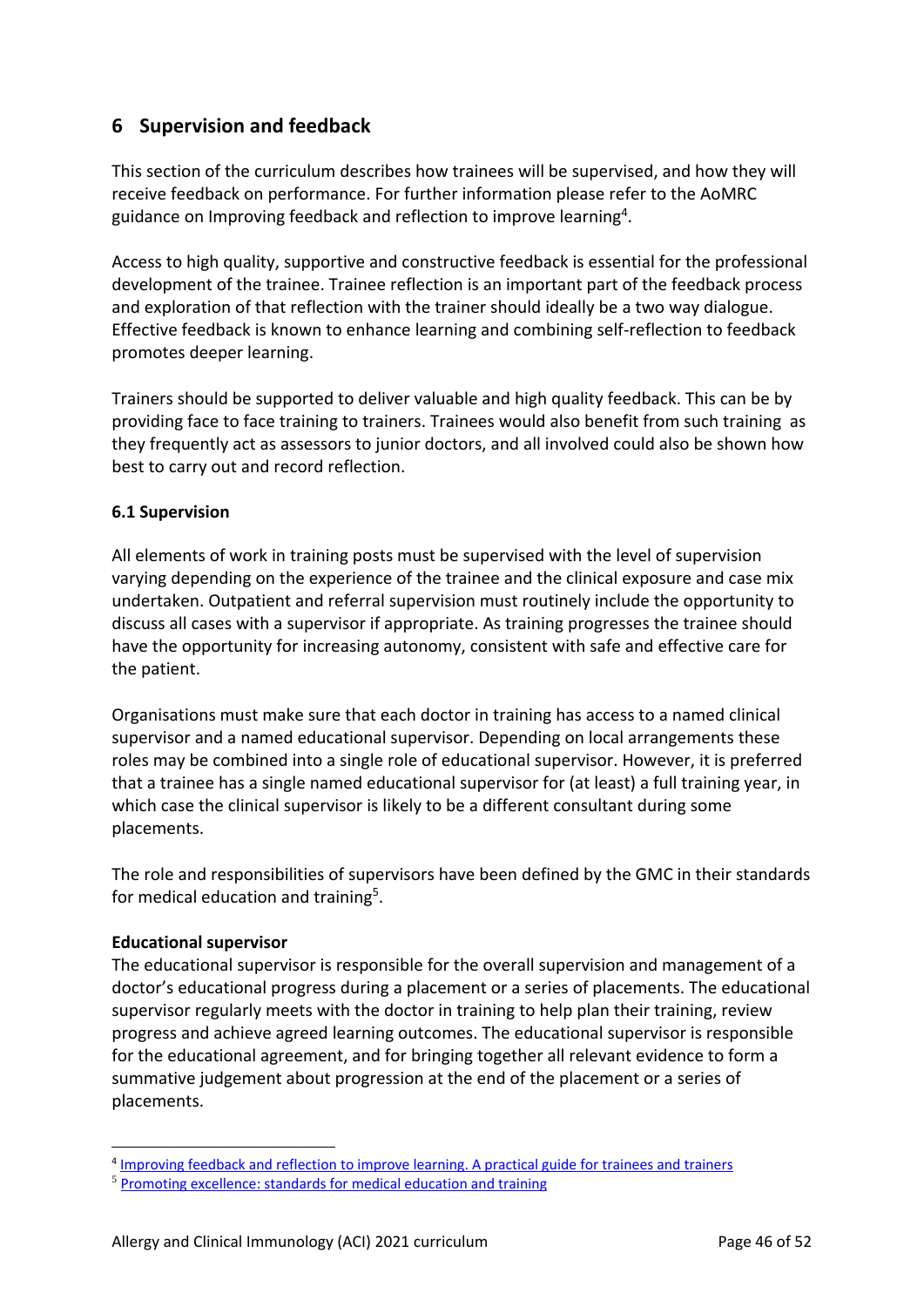# <span id="page-45-0"></span>**6 Supervision and feedback**

This section of the curriculum describes how trainees will be supervised, and how they will receive feedback on performance. For further information please refer to the AoMRC guidance on Improving feedback and reflection to improve learning<sup>4</sup>.

Access to high quality, supportive and constructive feedback is essential for the professional development of the trainee. Trainee reflection is an important part of the feedback process and exploration of that reflection with the trainer should ideally be a two way dialogue. Effective feedback is known to enhance learning and combining self-reflection to feedback promotes deeper learning.

Trainers should be supported to deliver valuable and high quality feedback. This can be by providing face to face training to trainers. Trainees would also benefit from such training as they frequently act as assessors to junior doctors, and all involved could also be shown how best to carry out and record reflection.

### <span id="page-45-1"></span>**6.1 Supervision**

All elements of work in training posts must be supervised with the level of supervision varying depending on the experience of the trainee and the clinical exposure and case mix undertaken. Outpatient and referral supervision must routinely include the opportunity to discuss all cases with a supervisor if appropriate. As training progresses the trainee should have the opportunity for increasing autonomy, consistent with safe and effective care for the patient.

Organisations must make sure that each doctor in training has access to a named clinical supervisor and a named educational supervisor. Depending on local arrangements these roles may be combined into a single role of educational supervisor. However, it is preferred that a trainee has a single named educational supervisor for (at least) a full training year, in which case the clinical supervisor is likely to be a different consultant during some placements.

The role and responsibilities of supervisors have been defined by the GMC in their standards for medical education and training<sup>5</sup>.

### **Educational supervisor**

The educational supervisor is responsible for the overall supervision and management of a doctor's educational progress during a placement or a series of placements. The educational supervisor regularly meets with the doctor in training to help plan their training, review progress and achieve agreed learning outcomes. The educational supervisor is responsible for the educational agreement, and for bringing together all relevant evidence to form a summative judgement about progression at the end of the placement or a series of placements.

<sup>&</sup>lt;sup>4</sup> [Improving feedback and reflection to improve learning. A practical guide for trainees and trainers](http://www.aomrc.org.uk/publications/reports-guidance/improving-feedback-reflection-improve-learning-practical-guide-trainees-trainers/)

<sup>5</sup> [Promoting excellence: standards for medical education and training](http://www.gmc-uk.org/education/standards.asp)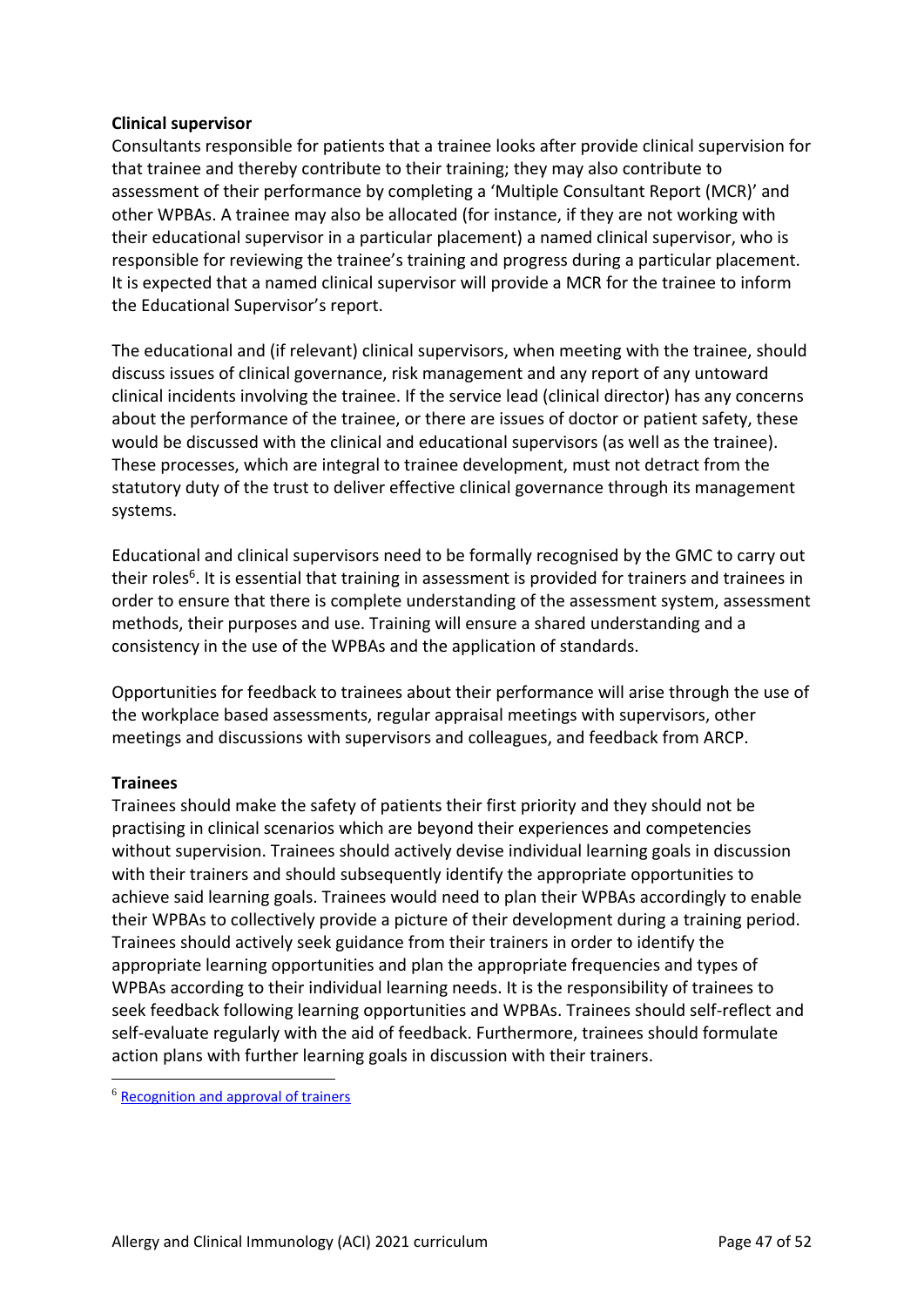### **Clinical supervisor**

Consultants responsible for patients that a trainee looks after provide clinical supervision for that trainee and thereby contribute to their training; they may also contribute to assessment of their performance by completing a 'Multiple Consultant Report (MCR)' and other WPBAs. A trainee may also be allocated (for instance, if they are not working with their educational supervisor in a particular placement) a named clinical supervisor, who is responsible for reviewing the trainee's training and progress during a particular placement. It is expected that a named clinical supervisor will provide a MCR for the trainee to inform the Educational Supervisor's report.

The educational and (if relevant) clinical supervisors, when meeting with the trainee, should discuss issues of clinical governance, risk management and any report of any untoward clinical incidents involving the trainee. If the service lead (clinical director) has any concerns about the performance of the trainee, or there are issues of doctor or patient safety, these would be discussed with the clinical and educational supervisors (as well as the trainee). These processes, which are integral to trainee development, must not detract from the statutory duty of the trust to deliver effective clinical governance through its management systems.

Educational and clinical supervisors need to be formally recognised by the GMC to carry out their roles<sup>6</sup>. It is essential that training in assessment is provided for trainers and trainees in order to ensure that there is complete understanding of the assessment system, assessment methods, their purposes and use. Training will ensure a shared understanding and a consistency in the use of the WPBAs and the application of standards.

Opportunities for feedback to trainees about their performance will arise through the use of the workplace based assessments, regular appraisal meetings with supervisors, other meetings and discussions with supervisors and colleagues, and feedback from ARCP.

### **Trainees**

Trainees should make the safety of patients their first priority and they should not be practising in clinical scenarios which are beyond their experiences and competencies without supervision. Trainees should actively devise individual learning goals in discussion with their trainers and should subsequently identify the appropriate opportunities to achieve said learning goals. Trainees would need to plan their WPBAs accordingly to enable their WPBAs to collectively provide a picture of their development during a training period. Trainees should actively seek guidance from their trainers in order to identify the appropriate learning opportunities and plan the appropriate frequencies and types of WPBAs according to their individual learning needs. It is the responsibility of trainees to seek feedback following learning opportunities and WPBAs. Trainees should self-reflect and self-evaluate regularly with the aid of feedback. Furthermore, trainees should formulate action plans with further learning goals in discussion with their trainers.

<sup>6</sup> [Recognition and approval of trainers](http://www.gmc-uk.org/education/10264.asp)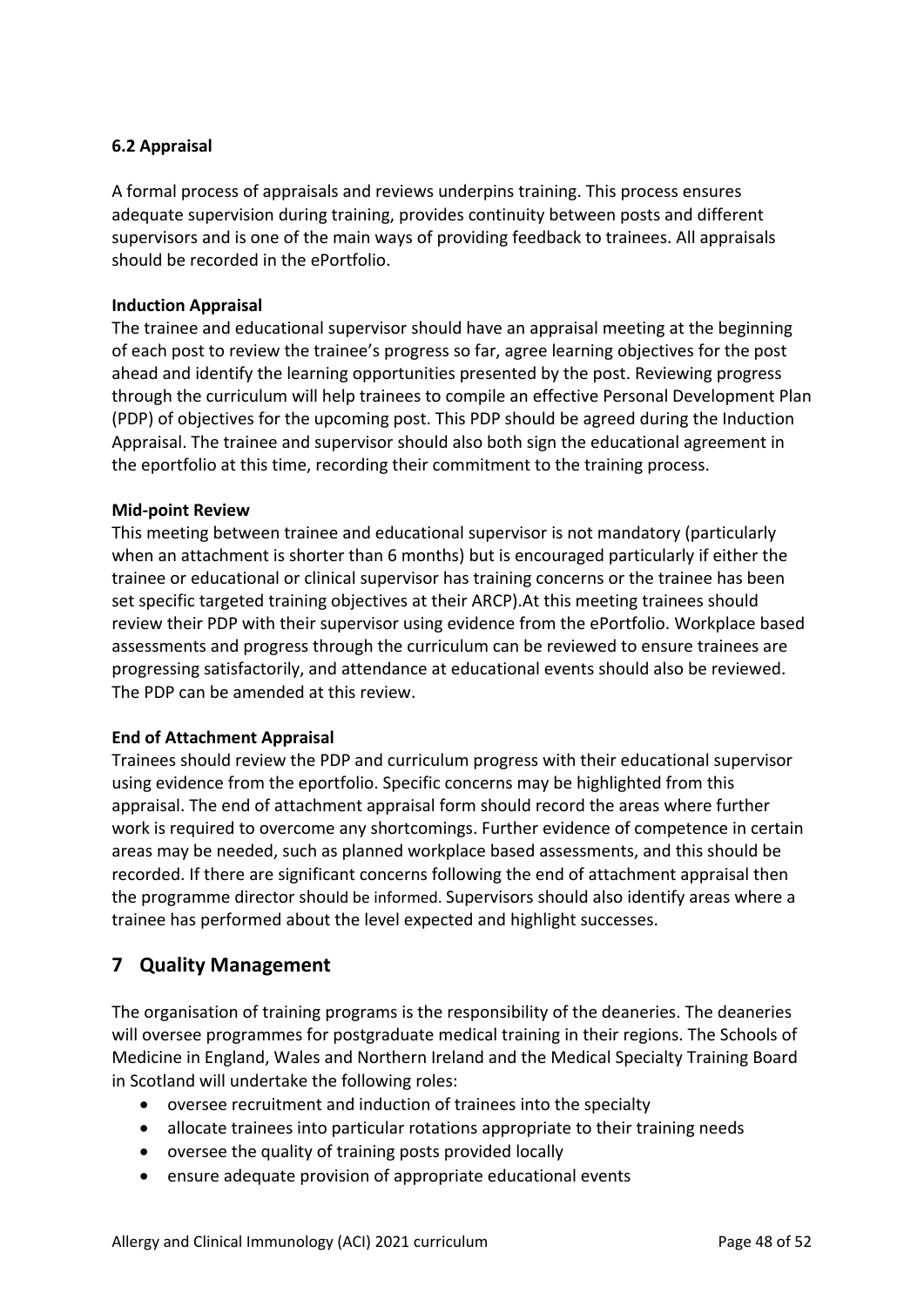## <span id="page-47-0"></span>**6.2 Appraisal**

A formal process of appraisals and reviews underpins training. This process ensures adequate supervision during training, provides continuity between posts and different supervisors and is one of the main ways of providing feedback to trainees. All appraisals should be recorded in the ePortfolio.

#### **Induction Appraisal**

The trainee and educational supervisor should have an appraisal meeting at the beginning of each post to review the trainee's progress so far, agree learning objectives for the post ahead and identify the learning opportunities presented by the post. Reviewing progress through the curriculum will help trainees to compile an effective Personal Development Plan (PDP) of objectives for the upcoming post. This PDP should be agreed during the Induction Appraisal. The trainee and supervisor should also both sign the educational agreement in the eportfolio at this time, recording their commitment to the training process.

#### **Mid-point Review**

This meeting between trainee and educational supervisor is not mandatory (particularly when an attachment is shorter than 6 months) but is encouraged particularly if either the trainee or educational or clinical supervisor has training concerns or the trainee has been set specific targeted training objectives at their ARCP).At this meeting trainees should review their PDP with their supervisor using evidence from the ePortfolio. Workplace based assessments and progress through the curriculum can be reviewed to ensure trainees are progressing satisfactorily, and attendance at educational events should also be reviewed. The PDP can be amended at this review.

### **End of Attachment Appraisal**

Trainees should review the PDP and curriculum progress with their educational supervisor using evidence from the eportfolio. Specific concerns may be highlighted from this appraisal. The end of attachment appraisal form should record the areas where further work is required to overcome any shortcomings. Further evidence of competence in certain areas may be needed, such as planned workplace based assessments, and this should be recorded. If there are significant concerns following the end of attachment appraisal then the programme director should be informed. Supervisors should also identify areas where a trainee has performed about the level expected and highlight successes.

## <span id="page-47-1"></span>**7 Quality Management**

The organisation of training programs is the responsibility of the deaneries. The deaneries will oversee programmes for postgraduate medical training in their regions. The Schools of Medicine in England, Wales and Northern Ireland and the Medical Specialty Training Board in Scotland will undertake the following roles:

- oversee recruitment and induction of trainees into the specialty
- allocate trainees into particular rotations appropriate to their training needs
- oversee the quality of training posts provided locally
- ensure adequate provision of appropriate educational events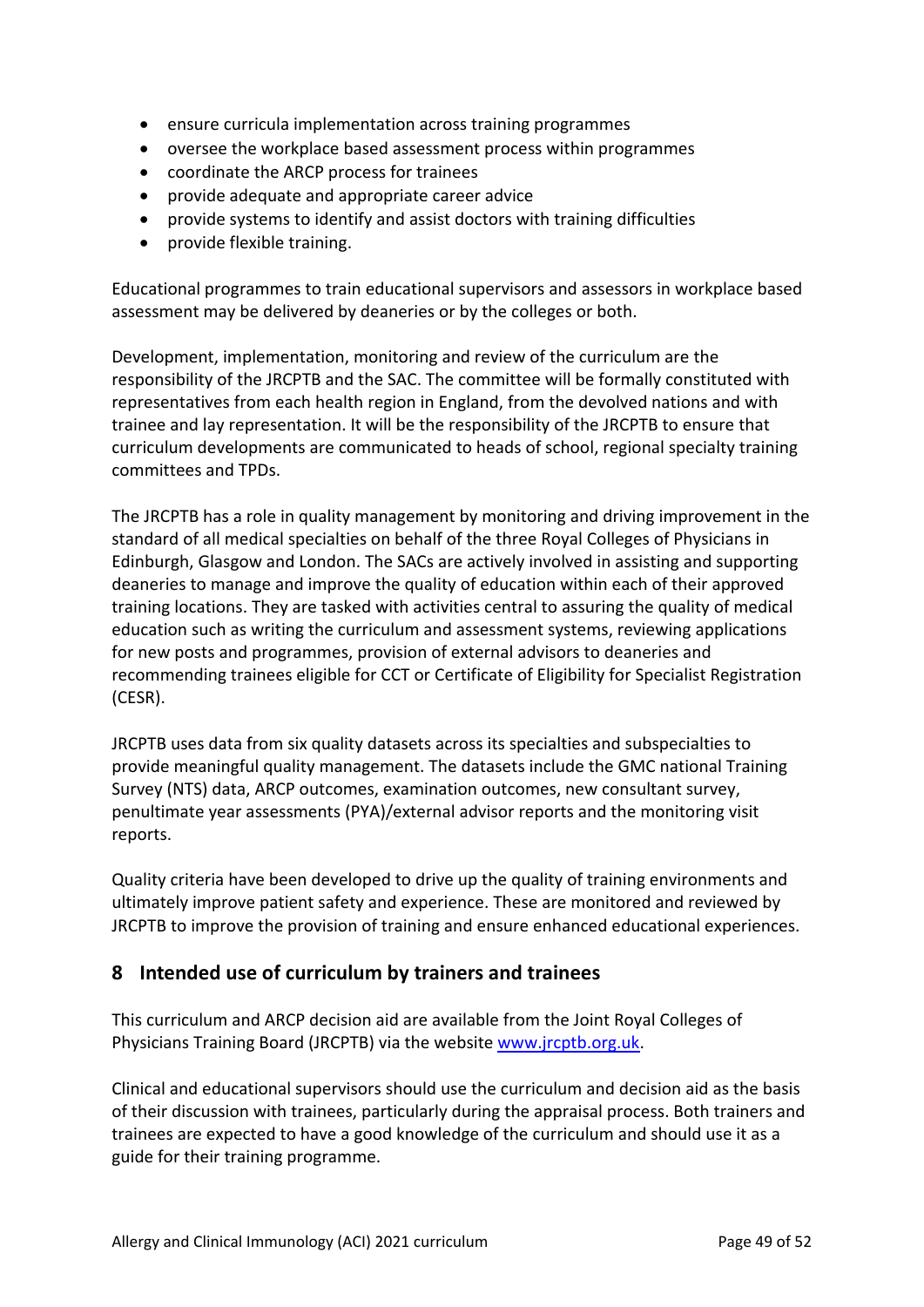- ensure curricula implementation across training programmes
- oversee the workplace based assessment process within programmes
- coordinate the ARCP process for trainees
- provide adequate and appropriate career advice
- provide systems to identify and assist doctors with training difficulties
- provide flexible training.

Educational programmes to train educational supervisors and assessors in workplace based assessment may be delivered by deaneries or by the colleges or both.

Development, implementation, monitoring and review of the curriculum are the responsibility of the JRCPTB and the SAC. The committee will be formally constituted with representatives from each health region in England, from the devolved nations and with trainee and lay representation. It will be the responsibility of the JRCPTB to ensure that curriculum developments are communicated to heads of school, regional specialty training committees and TPDs.

The JRCPTB has a role in quality management by monitoring and driving improvement in the standard of all medical specialties on behalf of the three Royal Colleges of Physicians in Edinburgh, Glasgow and London. The SACs are actively involved in assisting and supporting deaneries to manage and improve the quality of education within each of their approved training locations. They are tasked with activities central to assuring the quality of medical education such as writing the curriculum and assessment systems, reviewing applications for new posts and programmes, provision of external advisors to deaneries and recommending trainees eligible for CCT or Certificate of Eligibility for Specialist Registration (CESR).

JRCPTB uses data from six quality datasets across its specialties and subspecialties to provide meaningful quality management. The datasets include the GMC national Training Survey (NTS) data, ARCP outcomes, examination outcomes, new consultant survey, penultimate year assessments (PYA)/external advisor reports and the monitoring visit reports.

Quality criteria have been developed to drive up the quality of training environments and ultimately improve patient safety and experience. These are monitored and reviewed by JRCPTB to improve the provision of training and ensure enhanced educational experiences.

## <span id="page-48-0"></span>**8 Intended use of curriculum by trainers and trainees**

This curriculum and ARCP decision aid are available from the Joint Royal Colleges of Physicians Training Board (JRCPTB) via the website [www.jrcptb.org.uk.](http://www.jrcptb.org.uk/)

Clinical and educational supervisors should use the curriculum and decision aid as the basis of their discussion with trainees, particularly during the appraisal process. Both trainers and trainees are expected to have a good knowledge of the curriculum and should use it as a guide for their training programme.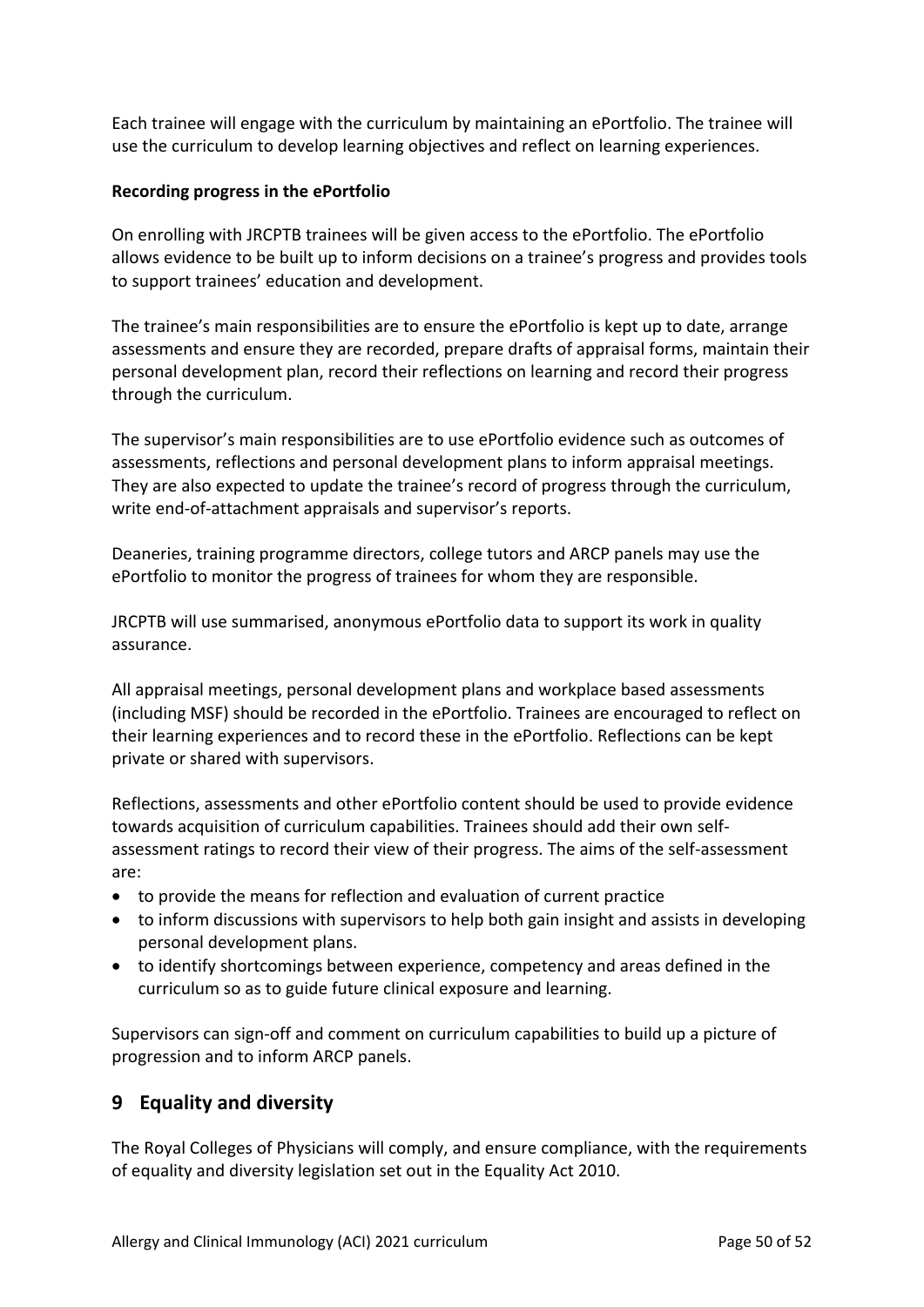Each trainee will engage with the curriculum by maintaining an ePortfolio. The trainee will use the curriculum to develop learning objectives and reflect on learning experiences.

## **Recording progress in the ePortfolio**

On enrolling with JRCPTB trainees will be given access to the ePortfolio. The ePortfolio allows evidence to be built up to inform decisions on a trainee's progress and provides tools to support trainees' education and development.

The trainee's main responsibilities are to ensure the ePortfolio is kept up to date, arrange assessments and ensure they are recorded, prepare drafts of appraisal forms, maintain their personal development plan, record their reflections on learning and record their progress through the curriculum.

The supervisor's main responsibilities are to use ePortfolio evidence such as outcomes of assessments, reflections and personal development plans to inform appraisal meetings. They are also expected to update the trainee's record of progress through the curriculum, write end-of-attachment appraisals and supervisor's reports.

Deaneries, training programme directors, college tutors and ARCP panels may use the ePortfolio to monitor the progress of trainees for whom they are responsible.

JRCPTB will use summarised, anonymous ePortfolio data to support its work in quality assurance.

All appraisal meetings, personal development plans and workplace based assessments (including MSF) should be recorded in the ePortfolio. Trainees are encouraged to reflect on their learning experiences and to record these in the ePortfolio. Reflections can be kept private or shared with supervisors.

Reflections, assessments and other ePortfolio content should be used to provide evidence towards acquisition of curriculum capabilities. Trainees should add their own selfassessment ratings to record their view of their progress. The aims of the self-assessment are:

- to provide the means for reflection and evaluation of current practice
- to inform discussions with supervisors to help both gain insight and assists in developing personal development plans.
- to identify shortcomings between experience, competency and areas defined in the curriculum so as to guide future clinical exposure and learning.

Supervisors can sign-off and comment on curriculum capabilities to build up a picture of progression and to inform ARCP panels.

# <span id="page-49-0"></span>**9 Equality and diversity**

The Royal Colleges of Physicians will comply, and ensure compliance, with the requirements of equality and diversity legislation set out in the Equality Act 2010.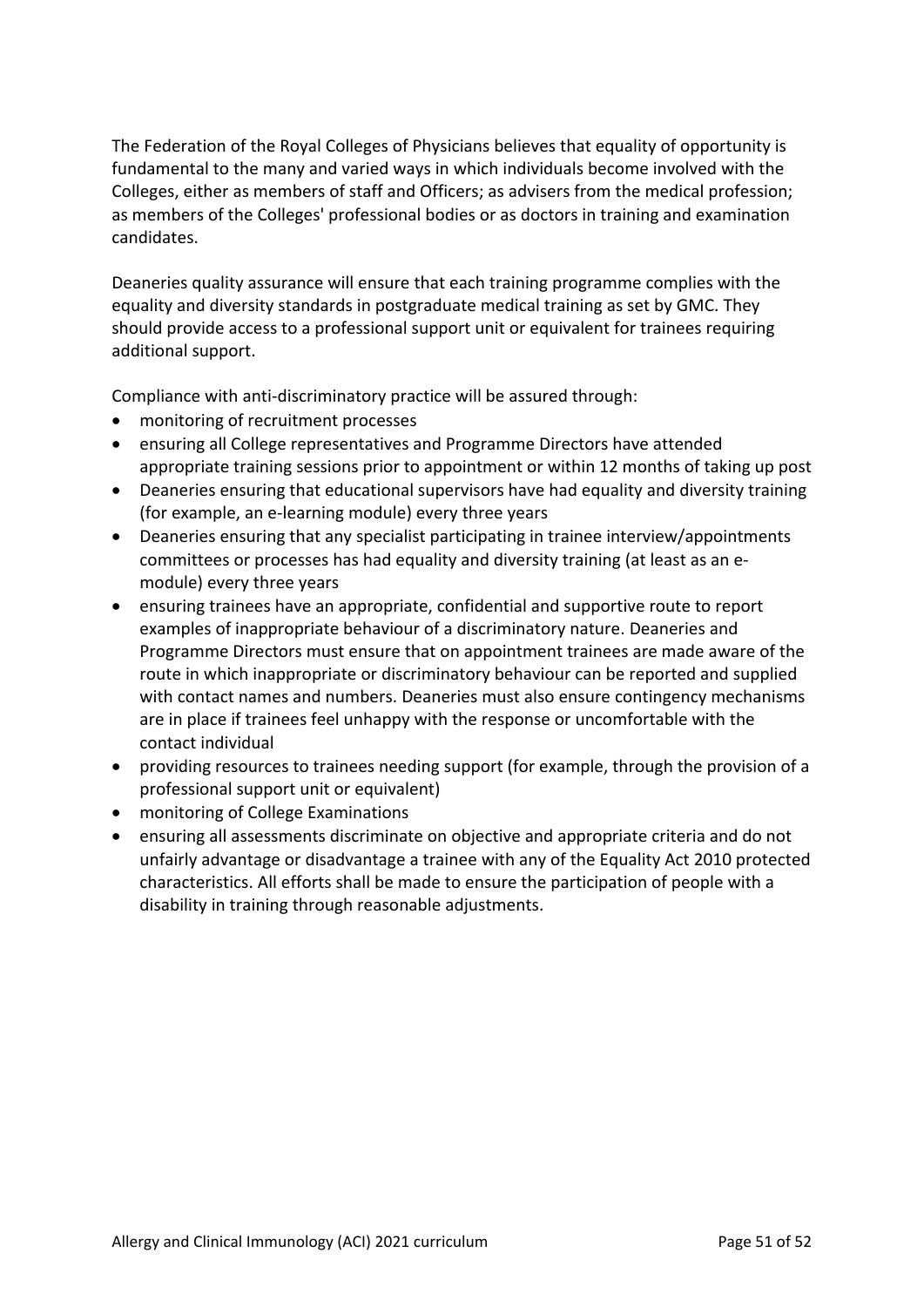The Federation of the Royal Colleges of Physicians believes that equality of opportunity is fundamental to the many and varied ways in which individuals become involved with the Colleges, either as members of staff and Officers; as advisers from the medical profession; as members of the Colleges' professional bodies or as doctors in training and examination candidates.

Deaneries quality assurance will ensure that each training programme complies with the equality and diversity standards in postgraduate medical training as set by GMC. They should provide access to a professional support unit or equivalent for trainees requiring additional support.

Compliance with anti-discriminatory practice will be assured through:

- monitoring of recruitment processes
- ensuring all College representatives and Programme Directors have attended appropriate training sessions prior to appointment or within 12 months of taking up post
- Deaneries ensuring that educational supervisors have had equality and diversity training (for example, an e-learning module) every three years
- Deaneries ensuring that any specialist participating in trainee interview/appointments committees or processes has had equality and diversity training (at least as an emodule) every three years
- ensuring trainees have an appropriate, confidential and supportive route to report examples of inappropriate behaviour of a discriminatory nature. Deaneries and Programme Directors must ensure that on appointment trainees are made aware of the route in which inappropriate or discriminatory behaviour can be reported and supplied with contact names and numbers. Deaneries must also ensure contingency mechanisms are in place if trainees feel unhappy with the response or uncomfortable with the contact individual
- providing resources to trainees needing support (for example, through the provision of a professional support unit or equivalent)
- monitoring of College Examinations
- ensuring all assessments discriminate on objective and appropriate criteria and do not unfairly advantage or disadvantage a trainee with any of the Equality Act 2010 protected characteristics. All efforts shall be made to ensure the participation of people with a disability in training through reasonable adjustments.